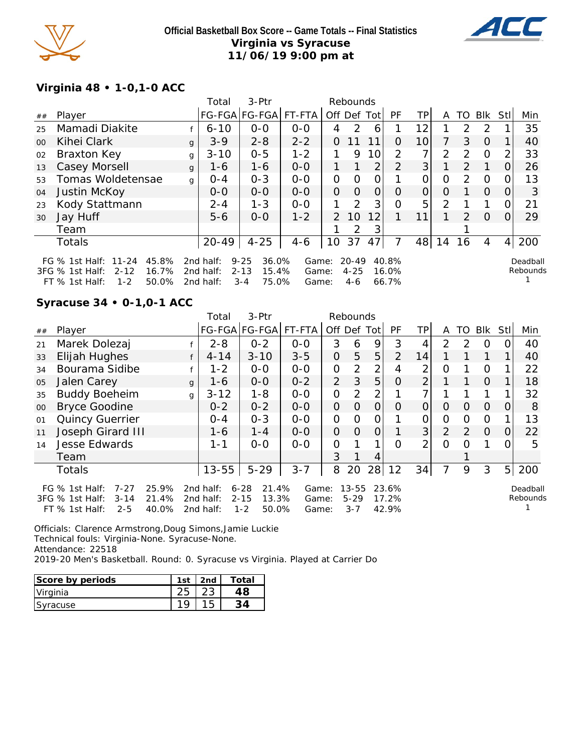



# **Virginia 48 • 1-0,1-0 ACC**

|        |                                                                                                               |   | Total                               | 3-Ptr                                                      |                         |                | Rebounds                     |                |                         |                |                |                |               |          |                      |
|--------|---------------------------------------------------------------------------------------------------------------|---|-------------------------------------|------------------------------------------------------------|-------------------------|----------------|------------------------------|----------------|-------------------------|----------------|----------------|----------------|---------------|----------|----------------------|
| ##     | Player                                                                                                        |   |                                     | FG-FGA FG-FGA  FT-FTA                                      |                         |                |                              | Off Def Tot    | PF                      | TP.            | A              |                | TO BIK        | Stll     | Min                  |
| 25     | Mamadi Diakite                                                                                                |   | $6 - 10$                            | $0 - 0$                                                    | $0-0$                   | 4              | 2                            | 6              |                         | 12             |                | $\mathcal{P}$  | $\mathcal{P}$ |          | 35                   |
| $00\,$ | Kihei Clark                                                                                                   | q | $3 - 9$                             | $2 - 8$                                                    | $2 - 2$                 | 0              | 11                           | 11             | 0                       | 10             | 7              | 3              | $\Omega$      |          | 40                   |
| 02     | Braxton Key                                                                                                   | g | $3 - 10$                            | $0 - 5$                                                    | $1 - 2$                 | 1.             | 9                            | 10             | 2                       | 7 <sub>1</sub> | $\overline{2}$ | $\mathcal{D}$  | $\Omega$      |          | 33                   |
| 13     | Casey Morsell                                                                                                 | g | $1 - 6$                             | $1 - 6$                                                    | $0-0$                   | 1.             |                              | 2 <sub>1</sub> | $\overline{2}$          | 3 <sup>1</sup> |                | $\overline{2}$ | $\mathbf{1}$  | 0        | 26                   |
| 53     | Tomas Woldetensae                                                                                             | g | $O - 4$                             | $0 - 3$                                                    | $0-0$                   | O              | 0                            | 0              |                         | 0              | 0              | $\mathcal{P}$  | $\Omega$      | 0        | 13                   |
| 04     | Justin McKoy                                                                                                  |   | $0 - 0$                             | $0 - 0$                                                    | $0 - 0$                 | $\Omega$       | $\Omega$                     | $\overline{O}$ | $\Omega$                | $\overline{O}$ | $\Omega$       |                | $\Omega$      | $\Omega$ | 3                    |
| 23     | Kody Stattmann                                                                                                |   | $2 - 4$                             | $1 - 3$                                                    | $0 - 0$                 |                | $\mathcal{P}$                | 3              | O                       | 5              | $\overline{2}$ |                |               | O        | 21                   |
| 30     | Jay Huff                                                                                                      |   | $5 - 6$                             | $0 - 0$                                                    | $1 - 2$                 | $\overline{2}$ | 10                           | 12             |                         | 11             |                | 2              | $\Omega$      |          | 29                   |
|        | Team                                                                                                          |   |                                     |                                                            |                         |                | 2                            | 3              |                         |                |                |                |               |          |                      |
|        | <b>Totals</b>                                                                                                 |   | 20-49                               | $4 - 25$                                                   | $4 - 6$                 | 10             | 37                           | 47             | 7                       | 48             | 14             | 16             | 4             | 4        | 200                  |
|        | FG % 1st Half: 11-24<br>45.8%<br>$2 - 12$<br>16.7%<br>3FG % 1st Half:<br>$1 - 2$<br>50.0%<br>$FT$ % 1st Half: |   | 2nd half:<br>2nd half:<br>2nd half: | $9 - 25$<br>36.0%<br>$2 - 13$<br>15.4%<br>$3 - 4$<br>75.0% | Game:<br>Game:<br>Game: |                | $20 - 49$<br>$4 - 25$<br>4-6 |                | 40.8%<br>16.0%<br>66.7% |                |                |                |               |          | Deadball<br>Rebounds |

## **Syracuse 34 • 0-1,0-1 ACC**

|    |                                                                                                                       |   | Total                               | 3-Ptr                                                      |                         |                | Rebounds                         |                |                         |                |                |               |            |                |                      |
|----|-----------------------------------------------------------------------------------------------------------------------|---|-------------------------------------|------------------------------------------------------------|-------------------------|----------------|----------------------------------|----------------|-------------------------|----------------|----------------|---------------|------------|----------------|----------------------|
| ## | Player                                                                                                                |   |                                     | FG-FGA FG-FGA                                              | FT-FTA                  | Off Def        |                                  | Tot            | <b>PF</b>               | TPI            | A              | TO            | <b>BIK</b> | <b>Stl</b>     | Min                  |
| 21 | Marek Dolezaj                                                                                                         |   | $2 - 8$                             | $0 - 2$                                                    | $0-0$                   | 3              | 6                                | 9              | 3                       | 4              | 2              | $\mathcal{D}$ | O          |                | 40                   |
| 33 | Elijah Hughes                                                                                                         | f | $4 - 14$                            | $3 - 10$                                                   | $3 - 5$                 | $\Omega$       | 5                                | 5              | $\mathcal{P}$           | 14             |                |               |            |                | 40                   |
| 34 | Bourama Sidibe                                                                                                        | f | $1 - 2$                             | $0 - 0$                                                    | $0-0$                   | $\Omega$       | 2                                | 2              | 4                       | 2              | 0              |               | O          |                | 22                   |
| 05 | Jalen Carey                                                                                                           | g | $1 - 6$                             | $0-0$                                                      | $0 - 2$                 | $\overline{2}$ | 3                                | 5              | $\Omega$                | $\overline{2}$ |                |               | $\Omega$   |                | 18                   |
| 35 | <b>Buddy Boeheim</b>                                                                                                  | g | $3 - 12$                            | $1 - 8$                                                    | $0 - 0$                 | $\overline{O}$ | 2                                | 2              |                         | 7              |                |               |            |                | 32                   |
| 00 | <b>Bryce Goodine</b>                                                                                                  |   | $0 - 2$                             | $0 - 2$                                                    | $0 - 0$                 | 0              | $\Omega$                         | $\Omega$       | $\Omega$                | $\Omega$       | 0              | $\Omega$      | $\Omega$   | 0              | 8                    |
| 01 | Quincy Guerrier                                                                                                       |   | $0 - 4$                             | $0 - 3$                                                    | $O-O$                   | $\overline{O}$ | $\mathbf{O}$                     | $\overline{O}$ |                         | 0              | $\overline{O}$ | $\Omega$      | $\Omega$   |                | 13                   |
| 11 | Joseph Girard III                                                                                                     |   | $1 - 6$                             | $1 - 4$                                                    | $O-O$                   | $\overline{O}$ | $\overline{O}$                   | $\overline{O}$ |                         | 3 <sup>1</sup> | $\overline{2}$ | 2             | $\Omega$   | $\overline{O}$ | 22                   |
| 14 | Jesse Edwards                                                                                                         |   | 1-1                                 | $0-0$                                                      | $0-0$                   | $\overline{O}$ |                                  |                | $\Omega$                | $\overline{2}$ | $\Omega$       | Ω             |            | $\Omega$       | 5                    |
|    | Team                                                                                                                  |   |                                     |                                                            |                         | 3              |                                  | 4              |                         |                |                |               |            |                |                      |
|    | <b>Totals</b>                                                                                                         |   | $13 - 55$                           | $5 - 29$                                                   | $3 - 7$                 | 8              | 20                               | 28             | 12                      | 34             | 7              | 9             | 3          |                | $5$   200            |
|    | 25.9%<br>FG $%$ 1st Half:<br>$7 - 27$<br>21.4%<br>3FG % 1st Half:<br>$3 - 14$<br>$2 - 5$<br>40.0%<br>$FT$ % 1st Half: |   | 2nd half:<br>2nd half:<br>2nd half: | 21.4%<br>$6 - 28$<br>13.3%<br>$2 - 15$<br>$1 - 2$<br>50.0% | Game:<br>Game:<br>Game: |                | $13 - 55$<br>$5 - 29$<br>$3 - 7$ |                | 23.6%<br>17.2%<br>42.9% |                |                |               |            |                | Deadball<br>Rebounds |

Officials: Clarence Armstrong,Doug Simons,Jamie Luckie Technical fouls: Virginia-None. Syracuse-None. Attendance: 22518 2019-20 Men's Basketball. Round: 0. Syracuse vs Virginia. Played at Carrier Do

| Score by periods | 1st | . 2nd | Total |
|------------------|-----|-------|-------|
| Virginia         |     |       |       |
| Syracuse         |     |       |       |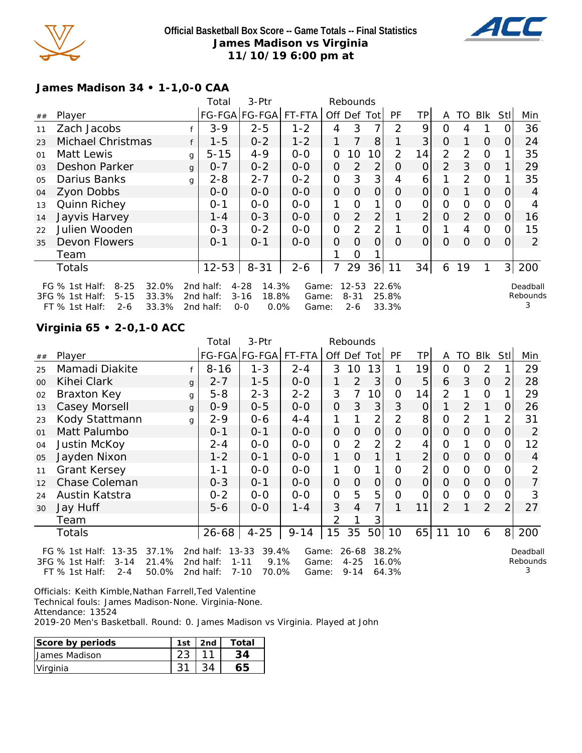

#### **Official Basketball Box Score -- Game Totals -- Final Statistics James Madison vs Virginia 11/10/19 6:00 pm at**



#### **James Madison 34 • 1-1,0-0 CAA**

|                |                                                                                                                     |              | Total                               | 3-Ptr                                                     |                         |                | Rebounds                         |                |                         |                |              |          |                |          |                           |
|----------------|---------------------------------------------------------------------------------------------------------------------|--------------|-------------------------------------|-----------------------------------------------------------|-------------------------|----------------|----------------------------------|----------------|-------------------------|----------------|--------------|----------|----------------|----------|---------------------------|
| ##             | Player                                                                                                              |              |                                     | FG-FGA FG-FGA                                             | FT-FTA                  | Off Def        |                                  | Totl           | PF                      | ΤP             | A            | TO       | Blk            | Stl      | Min                       |
| 11             | Zach Jacobs                                                                                                         |              | $3 - 9$                             | $2 - 5$                                                   | $1 - 2$                 | 4              | 3                                | 7              | 2                       | 9              | 0            | 4        |                |          | 36                        |
| 23             | Michael Christmas                                                                                                   |              | $1 - 5$                             | $0 - 2$                                                   | $1 - 2$                 |                |                                  | 8              |                         | 3              | 0            |          | $\Omega$       | 0        | 24                        |
| 01             | Matt Lewis                                                                                                          | $\mathbf{q}$ | $5 - 15$                            | $4 - 9$                                                   | $0 - 0$                 | 0              | 10                               | 10             | 2                       | 14             | 2            | 2        | $\Omega$       |          | 35                        |
| 0 <sub>3</sub> | <b>Deshon Parker</b>                                                                                                | $\mathbf{q}$ | $0 - 7$                             | $0 - 2$                                                   | $O-O$                   | 0              | $\mathcal{P}$                    | 2              | 0                       | $\overline{O}$ | 2            | 3        | $\Omega$       |          | 29                        |
| 05             | Darius Banks                                                                                                        | g            | $2 - 8$                             | $2 - 7$                                                   | $0 - 2$                 | $\overline{O}$ | 3                                | 3              | 4                       | 6              |              | 2        | $\Omega$       |          | 35                        |
| 04             | Zyon Dobbs                                                                                                          |              | $O-O$                               | $0 - 0$                                                   | $0 - 0$                 | $\Omega$       | $\Omega$                         | 0              | 0                       | O              | 0            |          | $\Omega$       | $\Omega$ | 4                         |
| 13             | Quinn Richey                                                                                                        |              | $0 - 1$                             | $0-0$                                                     | $0-0$                   | 1              | O                                | 1              | O                       | 0              | $\mathbf{O}$ | $\Omega$ | $\overline{O}$ |          |                           |
| 14             | Jayvis Harvey                                                                                                       |              | $1 - 4$                             | $0 - 3$                                                   | $0 - 0$                 | O              | 2                                | $\overline{2}$ |                         | $\overline{2}$ | $\Omega$     | 2        | $\Omega$       | 0        | 16                        |
| 22             | Julien Wooden                                                                                                       |              | $0 - 3$                             | $0 - 2$                                                   | $0 - 0$                 | O              | 2                                | 2              |                         | 0              |              | 4        | $\Omega$       | O        | 15                        |
| 35             | Devon Flowers                                                                                                       |              | $O - 1$                             | $0 - 1$                                                   | $O-O$                   | $\Omega$       | $\Omega$                         | $\Omega$       | $\Omega$                | 0              | 0            | $\Omega$ | $\Omega$       | $\Omega$ | 2                         |
|                | Team                                                                                                                |              |                                     |                                                           |                         |                | Ω                                |                |                         |                |              |          |                |          |                           |
|                | Totals                                                                                                              |              | $12 - 53$                           | $8 - 31$                                                  | $2 - 6$                 |                | 29                               | 36             | 11                      | 34             | 6            | 19       |                | 3        | 200                       |
|                | $8 - 25$<br>32.0%<br>FG $%$ 1st Half:<br>3FG % 1st Half:<br>33.3%<br>$5 - 15$<br>33.3%<br>FT % 1st Half:<br>$2 - 6$ |              | 2nd half:<br>2nd half:<br>2nd half: | $4 - 28$<br>14.3%<br>$3 - 16$<br>18.8%<br>0.0%<br>$0 - 0$ | Game:<br>Game:<br>Game: |                | $12 - 53$<br>$8 - 31$<br>$2 - 6$ |                | 22.6%<br>25.8%<br>33.3% |                |              |          |                |          | Deadball<br>Rebounds<br>3 |

# **Virginia 65 • 2-0,1-0 ACC**

|    |                               |   | Total             | 3-Ptr         |          |                     | Rebounds       |                |                |                |                |                |                |                |                |
|----|-------------------------------|---|-------------------|---------------|----------|---------------------|----------------|----------------|----------------|----------------|----------------|----------------|----------------|----------------|----------------|
| ## | Player                        |   |                   | FG-FGA FG-FGA | FT-FTA   |                     |                | Off Def Tot    | <b>PF</b>      | ΤP             | A              | TO             | Blk            | Stll           | Min            |
| 25 | Mamadi Diakite                |   | $8 - 16$          | $1 - 3$       | $2 - 4$  | 3                   | 10             | 13             | 1              | 19             | 0              | 0              | 2              |                | 29             |
| 00 | Kihei Clark                   | g | $2 - 7$           | $1 - 5$       | $0-0$    | 1                   | 2              | 3              | $\overline{O}$ | 5              | 6              | 3              | $\overline{O}$ | 2              | 28             |
| 02 | Braxton Key                   | g | $5 - 8$           | $2 - 3$       | $2 - 2$  | 3                   | $\overline{7}$ | 10             | $\Omega$       | 14             | $\overline{2}$ | 1              | 0              | 1              | 29             |
| 13 | Casey Morsell                 | g | $0 - 9$           | $0 - 5$       | $0-0$    | $\mathsf{O}\xspace$ | 3              | 3              | 3              | $\overline{O}$ |                | 2              |                | 0              | 26             |
| 23 | Kody Stattmann                | g | $2 - 9$           | $0 - 6$       | $4 - 4$  | 1                   | 1              | $\overline{2}$ | $\overline{2}$ | 8              | $\Omega$       | 2              | 1              | 2              | 31             |
| 01 | Matt Palumbo                  |   | $0 - 1$           | $0 - 1$       | $O-O$    | $\overline{O}$      | $\overline{O}$ | $\overline{O}$ | $\overline{O}$ | 0              | $\Omega$       | $\Omega$       | $\Omega$       | 0              | 2              |
| 04 | Justin McKoy                  |   | $2 - 4$           | $O-O$         | $0-0$    | O                   | $\overline{2}$ | $\overline{2}$ | 2              | 4              | 0              | 1              | $\mathcal{O}$  | 0              | 12             |
| 05 | Jayden Nixon                  |   | $1 - 2$           | $0 - 1$       | $O-O$    | 1                   | $\overline{O}$ | 1              | 1              | $\overline{2}$ | $\Omega$       | $\Omega$       | $\Omega$       | $\overline{O}$ | $\overline{4}$ |
| 11 | <b>Grant Kersey</b>           |   | $1 - 1$           | $O-O$         | $O-O$    | 1                   | $\overline{O}$ | 1              | $\overline{O}$ | $\overline{2}$ | $\Omega$       | $\Omega$       | $\mathbf{O}$   | $\overline{O}$ | $\overline{2}$ |
| 12 | Chase Coleman                 |   | $0 - 3$           | $0 - 1$       | $0-0$    | $\overline{O}$      | $\overline{O}$ | $\overline{O}$ | $\Omega$       | $\mathsf O$    | $\Omega$       | $\overline{O}$ | $\Omega$       | 0              | 7              |
| 24 | Austin Katstra                |   | $0 - 2$           | $O-O$         | $O-O$    | $\overline{O}$      | 5              | 5              | $\overline{O}$ | 0              | 0              | $\circ$        | $\Omega$       | 0              | 3              |
| 30 | Jay Huff                      |   | $5-6$             | $O-O$         | $1 - 4$  | 3                   | $\overline{4}$ | $\overline{7}$ | 1              | 11             | 2              | 1              | 2              | 2              | 27             |
|    | Team                          |   |                   |               |          | 2                   | 1              | 3              |                |                |                |                |                |                |                |
|    | Totals                        |   | $26 - 68$         | $4 - 25$      | $9 - 14$ | 15                  | 35             | 50             | 10             | 65             | 11             | 10             | 6              | 8 <sup>1</sup> | 200            |
|    | 37.1%<br>FG % 1st Half: 13-35 |   | 2nd half: $13-33$ | 39.4%         |          | Game: 26-68 38.2%   |                |                |                |                |                |                |                |                | Deadbal        |

3FG % 1st Half: 3-14 21.4% 2nd half: 1-11 9.1% FT  $%$  1st Half: 2-4 2nd half: 7-10 70.0% 9.1% Game: 4-25 16.0% Game: 9-14 64.3%

Deadball Rebounds 3

Officials: Keith Kimble,Nathan Farrell,Ted Valentine Technical fouls: James Madison-None. Virginia-None.

Attendance: 13524

2019-20 Men's Basketball. Round: 0. James Madison vs Virginia. Played at John

| Score by periods | 1st | 2nd | Total |
|------------------|-----|-----|-------|
| Uames Madison    |     |     |       |
| Virginia         |     |     |       |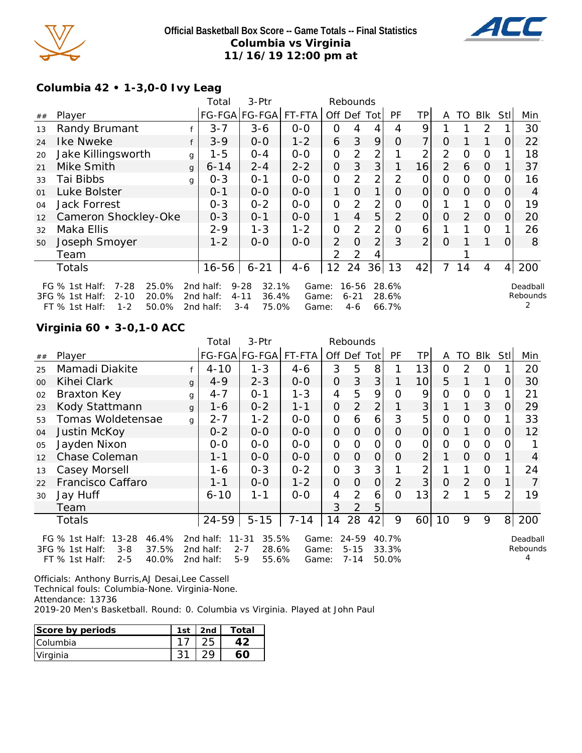

## **Official Basketball Box Score -- Game Totals -- Final Statistics Columbia vs Virginia 11/16/19 12:00 pm at**



# **Columbia 42 • 1-3,0-0 Ivy Leag**

|    |                                                                                                                     |              | Total                               | 3-Ptr                                                      |                         |                | Rebounds                   |                |                         |                |                |          |                |          |                      |
|----|---------------------------------------------------------------------------------------------------------------------|--------------|-------------------------------------|------------------------------------------------------------|-------------------------|----------------|----------------------------|----------------|-------------------------|----------------|----------------|----------|----------------|----------|----------------------|
| ## | Player                                                                                                              |              |                                     | FG-FGA FG-FGA FT-FTA                                       |                         | Off Def        |                            | <b>Tot</b>     | <b>PF</b>               | ΤP             | A              | TO.      | <b>BIK</b>     | Stl      | Min                  |
| 13 | Randy Brumant                                                                                                       |              | $3 - 7$                             | $3 - 6$                                                    | $0 - 0$                 | 0              | 4                          | 4              | 4                       | 9              |                |          | 2              |          | 30                   |
| 24 | Ike Nweke                                                                                                           | f            | $3 - 9$                             | $0-0$                                                      | $1 - 2$                 | 6              | 3                          | 9              | O                       | 7              | O              |          |                | O        | 22                   |
| 20 | Jake Killingsworth                                                                                                  | g            | $1 - 5$                             | 0-4                                                        | $O-O$                   | 0              | $\overline{2}$             | 2              |                         | 2              | 2              | 0        | $\Omega$       |          | 18                   |
| 21 | Mike Smith                                                                                                          | $\mathbf{q}$ | $6 - 14$                            | $2 - 4$                                                    | $2 - 2$                 | 0              | 3                          | 3              |                         | 16             | $\overline{2}$ | 6        | $\Omega$       |          | 37                   |
| 33 | Tai Bibbs                                                                                                           | g            | $0 - 3$                             | $O - 1$                                                    | $O-O$                   | 0              | $\overline{2}$             | $\overline{2}$ | 2                       | O              | 0              | 0        | $\mathbf{O}$   |          | 16                   |
| 01 | Luke Bolster                                                                                                        |              | $O - 1$                             | $0 - 0$                                                    | $0 - 0$                 | 1              | $\Omega$                   | 1              | O                       | 0              | $\Omega$       | $\Omega$ | $\overline{O}$ | O        | 4                    |
| 04 | <b>Jack Forrest</b>                                                                                                 |              | $0 - 3$                             | $0 - 2$                                                    | $0 - 0$                 | $\overline{O}$ | $\overline{2}$             | $\overline{2}$ | Ο                       | 0              |                |          | $\Omega$       |          | 19                   |
| 12 | Cameron Shockley-Oke                                                                                                |              | $0 - 3$                             | $0 - 1$                                                    | $0 - 0$                 |                | $\overline{4}$             | 5              | $\overline{2}$          | $\Omega$       | $\Omega$       | 2        | $\Omega$       | 0        | 20                   |
| 32 | Maka Ellis                                                                                                          |              | $2 - 9$                             | 1-3                                                        | $1 - 2$                 | 0              | 2                          | $\overline{2}$ | 0                       | 6              |                |          | $\Omega$       |          | 26                   |
| 50 | Joseph Smoyer                                                                                                       |              | $1 - 2$                             | $0 - 0$                                                    | $0 - 0$                 | 2              | $\Omega$                   | 2              | 3                       | $\overline{2}$ | $\Omega$       |          |                | $\Omega$ | 8                    |
|    | Team                                                                                                                |              |                                     |                                                            |                         | $\mathcal{P}$  | 2                          | 4              |                         |                |                |          |                |          |                      |
|    | <b>Totals</b>                                                                                                       |              | $16 - 56$                           | $6 - 21$                                                   | $4 - 6$                 | 12             | 24                         | 36             | 13                      | 42             | 7              | 14       | 4              | 4        | 200                  |
|    | $7 - 28$<br>25.0%<br>FG % 1st Half:<br>3FG % 1st Half:<br>$2 - 10$<br>20.0%<br>$1 - 2$<br>50.0%<br>$FT$ % 1st Half: |              | 2nd half:<br>2nd half:<br>2nd half: | $9 - 28$<br>32.1%<br>$4 - 11$<br>36.4%<br>$3 - 4$<br>75.0% | Game:<br>Game:<br>Game: |                | 16-56<br>$6 - 21$<br>$4-6$ |                | 28.6%<br>28.6%<br>66.7% |                |                |          |                |          | Deadball<br>Rebounds |

# **Virginia 60 • 3-0,1-0 ACC**

|    |                                                                               |   | Total                  | 3-Ptr                                  |                |                | Rebounds              |                |                |                 |          |               |                |                |                      |
|----|-------------------------------------------------------------------------------|---|------------------------|----------------------------------------|----------------|----------------|-----------------------|----------------|----------------|-----------------|----------|---------------|----------------|----------------|----------------------|
| ## | Player                                                                        |   |                        | FG-FGA FG-FGA                          | FT-FTA         |                | Off Def Tot           |                | PF             | TP              | A        | TO            | Blk            | Stll           | Min                  |
| 25 | Mamadi Diakite                                                                |   | $4 - 10$               | $1 - 3$                                | 4-6            | 3              | 5                     | 8              |                | 13              | 0        | $\mathcal{P}$ | 0              |                | 20                   |
| 00 | Kihei Clark                                                                   | g | $4 - 9$                | $2 - 3$                                | $0-0$          | $\overline{O}$ | 3                     | 3              |                | 10 <sup>1</sup> | 5        |               | 1              | 0              | 30                   |
| 02 | Braxton Key                                                                   | g | $4 - 7$                | $0 - 1$                                | $1 - 3$        | 4              | 5                     | 9              | $\Omega$       | 9               | 0        | O             | 0              |                | 21                   |
| 23 | Kody Stattmann                                                                | g | 1-6                    | $0 - 2$                                | $1 - 1$        | $\overline{O}$ | $\overline{2}$        | $\overline{2}$ |                | 3               |          |               | 3              | 0              | 29                   |
| 53 | Tomas Woldetensae                                                             | g | $2 - 7$                | $1 - 2$                                | $O-O$          | $\Omega$       | 6                     | 6              | 3              | 5               | $\Omega$ | O             | $\Omega$       |                | 33                   |
| 04 | Justin McKoy                                                                  |   | $0 - 2$                | $0-0$                                  | $O-O$          | $\overline{O}$ | $\overline{O}$        | $\overline{O}$ | $\Omega$       | $\mathcal{O}$   | O        |               | $\overline{O}$ | 0              | 12                   |
| 05 | Jayden Nixon                                                                  |   | $O-O$                  | $0-0$                                  | $O-O$          | $\mathcal{O}$  | $\overline{O}$        | $\mathbf{O}$   | O              | $\mathcal{O}$   | $\Omega$ | $\mathbf{O}$  | $\Omega$       | O              |                      |
| 12 | Chase Coleman                                                                 |   | $1 - 1$                | $0-0$                                  | $O-O$          | $\overline{O}$ | $\overline{O}$        | $\overline{O}$ | $\Omega$       | $\overline{2}$  |          | $\Omega$      | $\Omega$       |                | 4                    |
| 13 | Casey Morsell                                                                 |   | 1-6                    | $0 - 3$                                | $0 - 2$        | $\mathcal{O}$  | 3                     | 3              |                | 2               |          |               | 0              |                | 24                   |
| 22 | Francisco Caffaro                                                             |   | $1 - 1$                | $0-0$                                  | $1 - 2$        | $\overline{O}$ | $\overline{O}$        | $\overline{O}$ | $\overline{2}$ | 3               | $\Omega$ | 2             | $\Omega$       |                |                      |
| 30 | Jay Huff                                                                      |   | $6 - 10$               | $1 - 1$                                | $0 - 0$        | 4              | 2                     | 6              | $\Omega$       | 13              | 2        |               | 5              | 2              | 19                   |
|    | Team                                                                          |   |                        |                                        |                | 3              | 2                     | 5              |                |                 |          |               |                |                |                      |
|    | <b>Totals</b>                                                                 |   | $24 - 59$              | $5 - 15$                               | $7 - 14$       | 14             | 28                    | 42             | 9              | 60              | 10       | 9             | 9              | 8 <sup>1</sup> | 200                  |
|    | FG $%$ 1st Half:<br>$13 - 28$<br>46.4%<br>37.5%<br>3FG % 1st Half:<br>$3 - 8$ |   | 2nd half:<br>2nd half: | 35.5%<br>$11 - 31$<br>$2 - 7$<br>28.6% | Game:<br>Game: |                | $24 - 59$<br>$5 - 15$ |                | 40.7%<br>33.3% |                 |          |               |                |                | Deadball<br>Rebounds |
|    | $2 - 5$<br>40.0%<br>FT % 1st Half:                                            |   | 2nd half:              | $5-9$<br>55.6%                         | Game:          |                | $7 - 14$              |                | 50.0%          |                 |          |               |                |                |                      |

Officials: Anthony Burris,AJ Desai,Lee Cassell

Technical fouls: Columbia-None. Virginia-None.

Attendance: 13736

2019-20 Men's Basketball. Round: 0. Columbia vs Virginia. Played at John Paul

| Score by periods | 1c <sub>1</sub> | 2nd | ™otal |
|------------------|-----------------|-----|-------|
| <b>Columbia</b>  |                 |     |       |
| Virginia         |                 |     |       |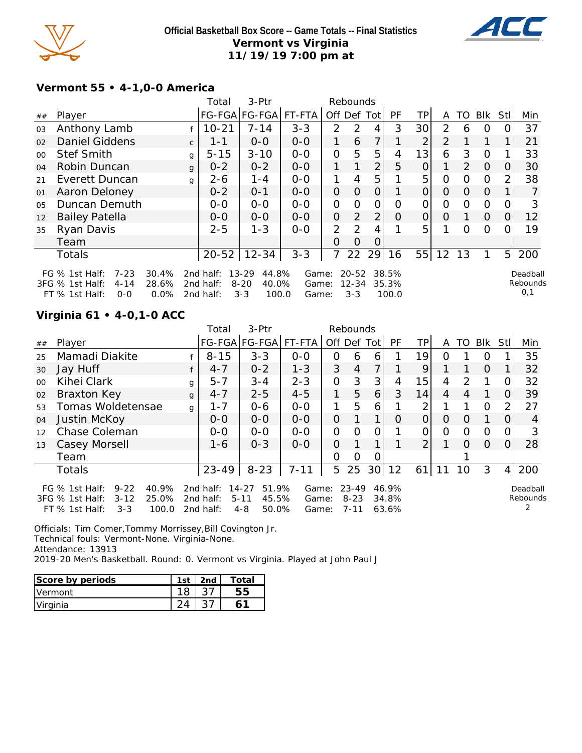

## **Official Basketball Box Score -- Game Totals -- Final Statistics Vermont vs Virginia 11/19/19 7:00 pm at**



#### **Vermont 55 • 4-1,0-0 America**

|                |                                                                                                                    |              | Total                               | 3-Ptr                                                       |                         |                | Rebounds                          |                |                         |                |          |          |                |                |                             |
|----------------|--------------------------------------------------------------------------------------------------------------------|--------------|-------------------------------------|-------------------------------------------------------------|-------------------------|----------------|-----------------------------------|----------------|-------------------------|----------------|----------|----------|----------------|----------------|-----------------------------|
| ##             | Player                                                                                                             |              |                                     | FG-FGA FG-FGA                                               | FT-FTA                  | Off Def Tot    |                                   |                | PF                      | TPI            | A        |          | TO Blk         | Stl            | Min                         |
| 03             | Anthony Lamb                                                                                                       |              | $10 - 21$                           | $7 - 14$                                                    | $3 - 3$                 | $\mathcal{P}$  | 2                                 | 4              | 3                       | 30             | 2        | 6        | $\Omega$       |                | 37                          |
| 02             | <b>Daniel Giddens</b>                                                                                              | $\mathsf{C}$ | $1 - 1$                             | $O-O$                                                       | $0 - 0$                 | 1              | 6                                 | 7 <sub>1</sub> |                         | 2              | 2        |          | 1              |                | 21                          |
| 00             | <b>Stef Smith</b>                                                                                                  | $\mathbf{q}$ | $5 - 15$                            | $3 - 10$                                                    | $0 - 0$                 | $\Omega$       | 5                                 | 5              | 4                       | 13             | 6        | 3        | $\Omega$       |                | 33                          |
| 04             | Robin Duncan                                                                                                       | $\mathbf{q}$ | $0 - 2$                             | $0 - 2$                                                     | $0-0$                   | 1              |                                   | $\overline{2}$ | 5                       | $\overline{O}$ | 1        | 2        | $\overline{O}$ | 0              | 30                          |
| 21             | Everett Duncan                                                                                                     | $\mathsf{q}$ | $2 - 6$                             | $1 - 4$                                                     | $0 - 0$                 | 1.             | 4                                 | 5              |                         | 5              | 0        | $\Omega$ | $\Omega$       | 2              | 38                          |
| 01             | Aaron Deloney                                                                                                      |              | $0 - 2$                             | $O - 1$                                                     | $0 - 0$                 | $\overline{O}$ | $\Omega$                          | $\Omega$       |                         | $\overline{O}$ | $\Omega$ | $\Omega$ | $\Omega$       |                |                             |
| 0 <sub>5</sub> | Duncan Demuth                                                                                                      |              | $0-0$                               | $0-0$                                                       | $O-O$                   | $\overline{O}$ | O                                 | 0              | $\Omega$                | 0              | 0        | $\Omega$ | $\mathbf{O}$   |                | 3                           |
| 12             | <b>Bailey Patella</b>                                                                                              |              | $0-0$                               | $0-0$                                                       | $0-0$                   | $\overline{O}$ | $\overline{2}$                    | $\overline{2}$ | O                       | $\Omega$       | $\Omega$ |          | $\overline{O}$ | 0              | 12                          |
| 35             | Ryan Davis                                                                                                         |              | $2 - 5$                             | $1 - 3$                                                     | $0 - 0$                 | $\overline{2}$ | 2                                 | 4              |                         | 5              |          | $\Omega$ | $\Omega$       |                | 19                          |
|                | Team                                                                                                               |              |                                     |                                                             |                         | Ω              | $\Omega$                          | Ω              |                         |                |          |          |                |                |                             |
|                | <b>Totals</b>                                                                                                      |              | $20 - 52$                           | $12 - 34$                                                   | $3 - 3$                 | 7              | 22                                | 29             | 16                      | 55             | 12       | 13       |                | 5 <sub>l</sub> | 200                         |
|                | FG $%$ 1st Half:<br>$7 - 23$<br>30.4%<br>3FG % 1st Half:<br>$4 - 14$<br>28.6%<br>0.0%<br>$FT$ % 1st Half:<br>$O-O$ |              | 2nd half:<br>2nd half:<br>2nd half: | $13 - 29$<br>44.8%<br>$8 - 20$<br>40.0%<br>$3 - 3$<br>100.0 | Game:<br>Game:<br>Game: |                | $20 - 52$<br>$12 - 34$<br>$3 - 3$ |                | 38.5%<br>35.3%<br>100.0 |                |          |          |                |                | Deadball<br>Rebounds<br>0,1 |

## **Virginia 61 • 4-0,1-0 ACC**

|         |                                                                                                                       |              | Total                               | 3-Ptr                                                       |                         |                | Rebounds                          |                 |                         |          |          |               |            |                |                      |
|---------|-----------------------------------------------------------------------------------------------------------------------|--------------|-------------------------------------|-------------------------------------------------------------|-------------------------|----------------|-----------------------------------|-----------------|-------------------------|----------|----------|---------------|------------|----------------|----------------------|
| ##      | Player                                                                                                                |              |                                     | FG-FGA FG-FGA                                               | FT-FTA                  | Off Def Tot    |                                   |                 | <b>PF</b>               | TPI      | A        |               | TO Blk Stl |                | Min                  |
| 25      | Mamadi Diakite                                                                                                        |              | $8 - 15$                            | $3 - 3$                                                     | $0-0$                   | 0              | 6                                 | 6               |                         | 19       | $\Omega$ |               | O          |                | 35                   |
| 30      | Jay Huff                                                                                                              |              | $4 - 7$                             | $0 - 2$                                                     | $1 - 3$                 | 3              | $\overline{4}$                    |                 |                         | 9        |          |               | $\Omega$   |                | 32                   |
| $00 \,$ | Kihei Clark                                                                                                           | g            | $5 - 7$                             | $3 - 4$                                                     | $2 - 3$                 | $\overline{O}$ | 3                                 | 3               | 4                       | 15       | 4        | $\mathcal{P}$ | 1          | $\Omega$       | 32                   |
| 02      | Braxton Key                                                                                                           | g            | $4 - 7$                             | $2 - 5$                                                     | $4 - 5$                 | 1              | 5                                 | 6               | 3                       | 14       | 4        | 4             |            | 0              | 39                   |
| 53      | Tomas Woldetensae                                                                                                     | $\mathsf{q}$ | $1 - 7$                             | $0 - 6$                                                     | $0 - 0$                 | 1              | 5                                 | 6               |                         | 2        |          |               | $\circ$    | $\overline{2}$ | 27                   |
| 04      | Justin McKoy                                                                                                          |              | $0 - 0$                             | $0 - 0$                                                     | $O - O$                 | $\Omega$       |                                   |                 | $\Omega$                | $\Omega$ | $\Omega$ | O             | 1          | $\Omega$       | 4                    |
| 12      | Chase Coleman                                                                                                         |              | $0 - 0$                             | $0 - 0$                                                     | $0-0$                   | 0              | $\Omega$                          | 0               |                         | O        | 0        | $\Omega$      | $\Omega$   | 0              | 3                    |
| 13      | Casey Morsell                                                                                                         |              | $1 - 6$                             | $0 - 3$                                                     | $O-O$                   | 0              |                                   |                 |                         | 2        |          | $\Omega$      | $\Omega$   | 0              | 28                   |
|         | Team                                                                                                                  |              |                                     |                                                             |                         | 0              | $\Omega$                          | O               |                         |          |          |               |            |                |                      |
|         | <b>Totals</b>                                                                                                         |              | $23 - 49$                           | $8 - 23$                                                    | $7 - 11$                |                | 5 25                              | 30 <sup>1</sup> | 12                      | 61       | 11       | 10            | 3          | $\overline{4}$ | 200                  |
|         | $9 - 22$<br>40.9%<br>FG $%$ 1st Half:<br>3FG % 1st Half:<br>$3 - 12$<br>25.0%<br>$FT$ % 1st Half:<br>$3 - 3$<br>100.0 |              | 2nd half:<br>2nd half:<br>2nd half: | 51.9%<br>$14 - 27$<br>$5 - 11$<br>45.5%<br>$4 - 8$<br>50.0% | Game:<br>Game:<br>Game: |                | $23 - 49$<br>$8 - 23$<br>$7 - 11$ |                 | 46.9%<br>34.8%<br>63.6% |          |          |               |            |                | Deadball<br>Rebounds |

Officials: Tim Comer,Tommy Morrissey,Bill Covington Jr. Technical fouls: Vermont-None. Virginia-None. Attendance: 13913 2019-20 Men's Basketball. Round: 0. Vermont vs Virginia. Played at John Paul J

| Score by periods | 1 <sub>ct</sub> | $\Omega$ | Total |
|------------------|-----------------|----------|-------|
| <b>Vermont</b>   |                 |          |       |
| Virginia         |                 |          |       |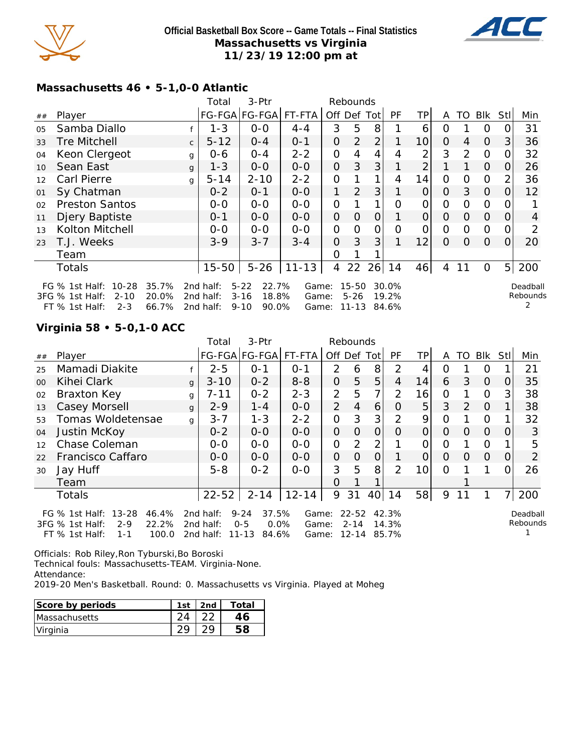



#### **Massachusetts 46 • 5-1,0-0 Atlantic**

|    |                                                                                           |                         |              | Total                               | 3-Ptr                                                       |                         |          | Rebounds                       |                |                         |                |          |          |                |                |                           |
|----|-------------------------------------------------------------------------------------------|-------------------------|--------------|-------------------------------------|-------------------------------------------------------------|-------------------------|----------|--------------------------------|----------------|-------------------------|----------------|----------|----------|----------------|----------------|---------------------------|
| ## | Player                                                                                    |                         |              |                                     | FG-FGA FG-FGA FT-FTA                                        |                         | Off      | Def                            | Totl           | PF                      | ΤP             | A        | TO       | <b>Blk</b>     | Stl            | Min                       |
| 05 | Samba Diallo                                                                              |                         |              | $1 - 3$                             | $0 - 0$                                                     | $4 - 4$                 | 3        | 5                              | 8              |                         | 6              | 0        |          | 0              |                | 31                        |
| 33 | <b>Tre Mitchell</b>                                                                       |                         | $\mathsf{C}$ | $5 - 12$                            | $O - 4$                                                     | $0 - 1$                 | 0        | $\overline{2}$                 | $\overline{2}$ |                         | 10             | $\Omega$ | 4        | $\Omega$       | 3              | 36                        |
| 04 | Keon Clergeot                                                                             |                         | g            | 0-6                                 | $O - 4$                                                     | $2 - 2$                 | 0        | 4                              | 4              | 4                       | $\overline{2}$ | 3        | 2        | $\overline{O}$ | O              | 32                        |
| 10 | Sean East                                                                                 |                         | $\mathbf{q}$ | 1-3                                 | $0 - 0$                                                     | $O-O$                   | 0        | 3                              | 3              |                         | $\overline{2}$ |          |          | $\overline{O}$ | $\Omega$       | 26                        |
| 12 | <b>Carl Pierre</b>                                                                        |                         | g            | $5 - 14$                            | $2 - 10$                                                    | $2 - 2$                 | 0        |                                | 1              | 4                       | 14             | 0        | $\Omega$ | $\Omega$       |                | 36                        |
| 01 | Sy Chatman                                                                                |                         |              | $0 - 2$                             | $0 - 1$                                                     | $0-0$                   | 1        | 2                              | 3              |                         | $\overline{O}$ | 0        | 3        | $\overline{0}$ |                | 12                        |
| 02 | <b>Preston Santos</b>                                                                     |                         |              | $0-0$                               | $0 - 0$                                                     | $0 - 0$                 | 0        |                                |                | Ω                       | 0              | 0        | 0        | $\Omega$       |                |                           |
| 11 | Djery Baptiste                                                                            |                         |              | $0 - 1$                             | $0 - 0$                                                     | $0 - 0$                 | 0        | $\Omega$                       | $\Omega$       |                         | $\Omega$       | $\Omega$ | $\Omega$ | $\Omega$       | 0              | 4                         |
| 13 | Kolton Mitchell                                                                           |                         |              | $O-O$                               | $O-O$                                                       | $O-O$                   | $\Omega$ | $\Omega$                       | 0              | Ω                       | 0              | 0        | $\Omega$ | $\Omega$       |                |                           |
| 23 | T.J. Weeks                                                                                |                         |              | $3 - 9$                             | $3 - 7$                                                     | $3 - 4$                 | 0        | 3                              | 3              |                         | 12             | $\Omega$ | $\Omega$ | $\overline{O}$ | $\Omega$       | 20                        |
|    | Team                                                                                      |                         |              |                                     |                                                             |                         | 0        |                                |                |                         |                |          |          |                |                |                           |
|    | <b>Totals</b>                                                                             |                         |              | $15 - 50$                           | $5 - 26$                                                    | $11 - 13$               | 4        | 22                             | 26             | 14                      | 46             | 4        | 11       | $\Omega$       | 5 <sub>l</sub> | 200                       |
|    | $10 - 28$<br>FG % 1st Half:<br>3FG % 1st Half:<br>$2 - 10$<br>$FT$ % 1st Half:<br>$2 - 3$ | 35.7%<br>20.0%<br>66.7% |              | 2nd half:<br>2nd half:<br>2nd half: | $5 - 22$<br>22.7%<br>$3 - 16$<br>18.8%<br>$9 - 10$<br>90.0% | Game:<br>Game:<br>Game: |          | $15 - 50$<br>$5 - 26$<br>11-13 |                | 30.0%<br>19.2%<br>84.6% |                |          |          |                |                | Deadball<br>Rebounds<br>2 |

# **Virginia 58 • 5-0,1-0 ACC**

|    |                                                                                                                     |              | Total                               | 3-Ptr                                                         |                         |                | Rebounds                           |                 |                         |                 |          |          |          |          |                      |
|----|---------------------------------------------------------------------------------------------------------------------|--------------|-------------------------------------|---------------------------------------------------------------|-------------------------|----------------|------------------------------------|-----------------|-------------------------|-----------------|----------|----------|----------|----------|----------------------|
| ## | Player                                                                                                              |              |                                     | FG-FGA FG-FGA                                                 | FT-FTA                  | Off Def        |                                    | Totl            | <b>PF</b>               | <b>TP</b>       | A        | TO       | Blk      | Stll     | Min                  |
| 25 | Mamadi Diakite                                                                                                      |              | $2 - 5$                             | $0 - 1$                                                       | $O - 1$                 | $\mathcal{P}$  | 6                                  | 8               | 2                       | 4               | Ο        |          | Ő        |          | 21                   |
| 00 | Kihei Clark                                                                                                         | $\mathsf{q}$ | $3 - 10$                            | $0 - 2$                                                       | $8 - 8$                 | $\overline{O}$ | 5                                  | 5               | 4                       | 14              | 6        | 3        | $\Omega$ | O        | 35                   |
| 02 | Braxton Key                                                                                                         | g            | $7 - 11$                            | $0 - 2$                                                       | $2 - 3$                 | $\overline{2}$ | 5                                  | $\overline{7}$  | $\overline{2}$          | 16              | 0        |          | O        | 3        | 38                   |
| 13 | Casey Morsell                                                                                                       | g            | $2 - 9$                             | $1 - 4$                                                       | $0-0$                   | 2              | $\overline{4}$                     | 6               | O                       | 5               | 3        | 2        | $\Omega$ |          | 38                   |
| 53 | Tomas Woldetensae                                                                                                   | g            | $3 - 7$                             | $1 - 3$                                                       | $2 - 2$                 | $\mathcal{O}$  | 3                                  | 3               | 2                       | 9               | O        |          | O        |          | 32                   |
| 04 | Justin McKoy                                                                                                        |              | $0 - 2$                             | $0 - 0$                                                       | $0-0$                   | $\overline{O}$ | $\Omega$                           | $\overline{O}$  | $\Omega$                | $\Omega$        | $\Omega$ | $\Omega$ | $\Omega$ | $\Omega$ | 3                    |
| 12 | Chase Coleman                                                                                                       |              | $0 - 0$                             | $O-O$                                                         | $0-0$                   | $\mathbf{O}$   | 2                                  | 2               |                         | 0               | O        |          | O        |          | 5                    |
| 22 | Francisco Caffaro                                                                                                   |              | $0 - 0$                             | $0 - 0$                                                       | $0-0$                   | $\overline{O}$ | $\Omega$                           | $\overline{O}$  |                         | 0               | $\Omega$ | 0        | $\Omega$ | 0        | 2                    |
| 30 | Jay Huff                                                                                                            |              | $5 - 8$                             | $0 - 2$                                                       | $0 - 0$                 | 3              | 5                                  | 8               | $\mathcal{P}$           | 10 <sup>1</sup> | $\Omega$ |          |          | 0        | 26                   |
|    | Team                                                                                                                |              |                                     |                                                               |                         | $\Omega$       |                                    |                 |                         |                 |          |          |          |          |                      |
|    | <b>Totals</b>                                                                                                       |              | $22 - 52$                           | $2 - 14$                                                      | $12 - 14$               | 9              | 31                                 | 40 <sup>1</sup> | 14                      | 58              | 9        | 11       |          | 7        | 200                  |
|    | $13 - 28$<br>FG $%$ 1st Half:<br>46.4%<br>22.2%<br>3FG % 1st Half:<br>$2 - 9$<br>FT % 1st Half:<br>100.0<br>$1 - 1$ |              | 2nd half:<br>2nd half:<br>2nd half: | $9 - 24$<br>37.5%<br>$0.0\%$<br>$0 - 5$<br>$11 - 13$<br>84.6% | Game:<br>Game:<br>Game: |                | $22 - 52$<br>$2 - 14$<br>$12 - 14$ |                 | 42.3%<br>14.3%<br>85.7% |                 |          |          |          |          | Deadball<br>Rebounds |

Officials: Rob Riley,Ron Tyburski,Bo Boroski Technical fouls: Massachusetts-TEAM. Virginia-None. Attendance:

2019-20 Men's Basketball. Round: 0. Massachusetts vs Virginia. Played at Moheg

| Score by periods     | 1st | 2nd | Total |
|----------------------|-----|-----|-------|
| <b>Massachusetts</b> |     |     |       |
| Virginia             |     |     |       |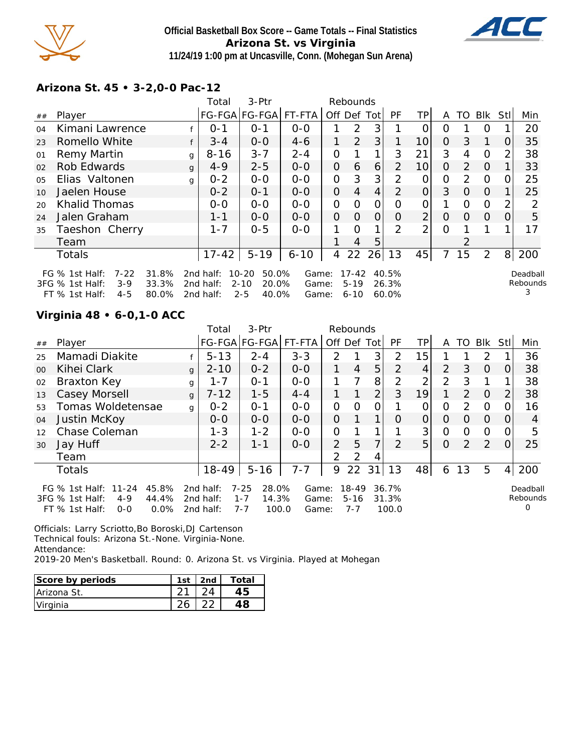

# **Official Basketball Box Score -- Game Totals -- Final Statistics Arizona St. vs Virginia 11/24/19 1:00 pm at Uncasville, Conn. (Mohegan Sun Arena)**



#### **Arizona St. 45 • 3-2,0-0 Pac-12**

|                |                                                                                                                  |   | Total                               | 3-Ptr                                                       |                         |                | Rebounds                          |                |                            |                |          |               |          |                  |                           |
|----------------|------------------------------------------------------------------------------------------------------------------|---|-------------------------------------|-------------------------------------------------------------|-------------------------|----------------|-----------------------------------|----------------|----------------------------|----------------|----------|---------------|----------|------------------|---------------------------|
| ##             | Player                                                                                                           |   |                                     | FG-FGA FG-FGA  FT-FTA                                       |                         | Off Def Tot    |                                   |                | PF                         | ΤP             | A        | TO.           | Blk      | Stl              | Min                       |
| 04             | Kimani Lawrence                                                                                                  |   | $O - 1$                             | $0 - 1$                                                     | $O-O$                   |                | 2                                 | 3              |                            | 0              | Ο        |               | $\Omega$ |                  | 20                        |
| 23             | Romello White                                                                                                    |   | $3 - 4$                             | $O-O$                                                       | $4 - 6$                 | 1              | 2                                 | 3              |                            | 10             | $\Omega$ | 3             | 1        | $\Omega$         | 35                        |
| 01             | Remy Martin                                                                                                      | g | $8 - 16$                            | $3 - 7$                                                     | $2 - 4$                 | O              |                                   | 1              | 3                          | 21             | 3        | 4             | $\Omega$ |                  | 38                        |
| 02             | Rob Edwards                                                                                                      | g | $4 - 9$                             | $2 - 5$                                                     | $0 - 0$                 | 0              | 6                                 | 6              | $\overline{2}$             | 10             | $\Omega$ | 2             | $\Omega$ |                  | 33                        |
| 0 <sub>5</sub> | Elias Valtonen                                                                                                   | g | $0 - 2$                             | $0 - 0$                                                     | $0-0$                   | O              | 3                                 | 3              | 2                          | O              | 0        | $\mathcal{P}$ | $\Omega$ | O                | 25                        |
| 10             | Jaelen House                                                                                                     |   | $0 - 2$                             | $O - 1$                                                     | $0 - 0$                 | $\Omega$       | $\overline{4}$                    | $\overline{4}$ | $\mathcal{P}$              | $\overline{O}$ | 3        | $\Omega$      | $\Omega$ |                  | 25                        |
| 20             | <b>Khalid Thomas</b>                                                                                             |   | $0-0$                               | $0 - 0$                                                     | $0-0$                   | $\overline{O}$ | $\Omega$                          | 0              | O                          | 0              |          | 0             | $\Omega$ |                  | 2                         |
| 24             | Jalen Graham                                                                                                     |   | $1 - 1$                             | $0 - 0$                                                     | $0 - 0$                 | $\overline{O}$ | 0                                 | $\overline{O}$ | O                          | $\overline{2}$ | O        | $\Omega$      | $\Omega$ | $\left( \right)$ | 5                         |
| 35             | Taeshon Cherry                                                                                                   |   | $1 - 7$                             | $0 - 5$                                                     | $0 - 0$                 | 1              | $\Omega$                          | 1 <sub>1</sub> | 2                          | $\overline{2}$ | 0        |               |          |                  | 17                        |
|                | Team                                                                                                             |   |                                     |                                                             |                         |                | 4                                 | 5              |                            |                |          | 2             |          |                  |                           |
|                | <b>Totals</b>                                                                                                    |   | $17 - 42$                           | $5 - 19$                                                    | $6 - 10$                | 4              | 22                                | 26             | 13                         | 45             |          | 15            | 2        | 8                | 200                       |
|                | $7 - 22$<br>31.8%<br>FG $%$ 1st Half:<br>3FG % 1st Half:<br>33.3%<br>$3-9$<br>FT % 1st Half:<br>80.0%<br>$4 - 5$ |   | 2nd half:<br>2nd half:<br>2nd half: | $10 - 20$<br>50.0%<br>$2 - 10$<br>20.0%<br>$2 - 5$<br>40.0% | Game:<br>Game:<br>Game: |                | $17 - 42$<br>$5 - 19$<br>$6 - 10$ |                | 40.5%<br>26.3%<br>$60.0\%$ |                |          |               |          |                  | Deadball<br>Rebounds<br>3 |

## **Virginia 48 • 6-0,1-0 ACC**

|                 |                                                                                                                     |              | Total                                     | 3-Ptr                                                     |                         |               | Rebounds                         |                |                         |                |          |               |                |                |                      |
|-----------------|---------------------------------------------------------------------------------------------------------------------|--------------|-------------------------------------------|-----------------------------------------------------------|-------------------------|---------------|----------------------------------|----------------|-------------------------|----------------|----------|---------------|----------------|----------------|----------------------|
| ##              | Player                                                                                                              |              |                                           |                                                           | FG-FGA FG-FGA FT-FTA    | Off Def Tot   |                                  |                | <b>PF</b>               | TPI            | A        |               | TO Blk Stl     |                | Min                  |
| 25              | Mamadi Diakite                                                                                                      |              | $5 - 13$                                  | $2 - 4$                                                   | $3 - 3$                 | 2             |                                  | 3              | 2                       | 15             |          |               | $\mathcal{P}$  |                | 36                   |
| 00 <sup>2</sup> | Kihei Clark                                                                                                         | $\mathbf{q}$ | $2 - 10$                                  | $0 - 2$                                                   | $0-0$                   | 1             | 4                                | 5              | 2                       | 4              | 2        | 3             | $\overline{O}$ | 0              | 38                   |
| 02              | Braxton Key                                                                                                         | g            | $1 - 7$                                   | $O - 1$                                                   | $0 - 0$                 |               |                                  | 8              | 2                       | $\overline{2}$ | 2        | 3             |                |                | 38                   |
| 13              | Casey Morsell                                                                                                       | $\mathbf{q}$ | $7 - 12$                                  | $1 - 5$                                                   | $4 - 4$                 |               |                                  | $\overline{2}$ | 3                       | 19             |          | $\mathcal{P}$ | $\Omega$       | $\overline{2}$ | 38                   |
| 53              | Tomas Woldetensae                                                                                                   | $\mathsf{q}$ | $0 - 2$                                   | $O - 1$                                                   | $0-0$                   | $\Omega$      | 0                                | O              |                         | 0              | O        | $\mathcal{P}$ | $\Omega$       | O              | 16                   |
| 04              | Justin McKoy                                                                                                        |              | $0 - 0$                                   | $0 - 0$                                                   | $O - O$                 | $\Omega$      |                                  | 1              | $\Omega$                | $\Omega$       | $\Omega$ | $\Omega$      | $\Omega$       | $\Omega$       | 4                    |
| 12              | Chase Coleman                                                                                                       |              | $1 - 3$                                   | $1 - 2$                                                   | $0-0$                   | 0             |                                  |                |                         | 3              | $\Omega$ | $\Omega$      | O              | 0              | 5                    |
| 30              | Jay Huff                                                                                                            |              | $2 - 2$                                   | $1 - 1$                                                   | $0 - 0$                 | 2             | 5                                | 7              | $\mathcal{D}$           | 5 <sup>1</sup> | $\Omega$ | 2             | 2              | $\Omega$       | 25                   |
|                 | Team                                                                                                                |              |                                           |                                                           |                         | $\mathcal{P}$ | 2                                | 4              |                         |                |          |               |                |                |                      |
|                 | <b>Totals</b>                                                                                                       |              | $18-49$                                   | $5 - 16$                                                  | $7 - 7$                 | 9             | 22                               | 31             | 13                      | 48             | 6        | 13            | 5              | 4              | 200                  |
|                 | $11 - 24$<br>45.8%<br>FG $\%$ 1st Half:<br>3FG % 1st Half:<br>44.4%<br>$4 - 9$<br>0.0%<br>$FT$ % 1st Half:<br>$O-O$ |              | 2 $nd$ half:<br>2 $nd$ half:<br>2nd half: | $7 - 25$<br>28.0%<br>$1 - 7$<br>14.3%<br>$7 - 7$<br>100.0 | Game:<br>Game:<br>Game: |               | $18 - 49$<br>$5 - 16$<br>$7 - 7$ |                | 36.7%<br>31.3%<br>100.0 |                |          |               |                |                | Deadball<br>Rebounds |

Officials: Larry Scriotto,Bo Boroski,DJ Cartenson Technical fouls: Arizona St.-None. Virginia-None. Attendance:

2019-20 Men's Basketball. Round: 0. Arizona St. vs Virginia. Played at Mohegan

| Score by periods | 1st | 2nd | Total |
|------------------|-----|-----|-------|
| Arizona St.      |     |     |       |
| Virginia         |     |     |       |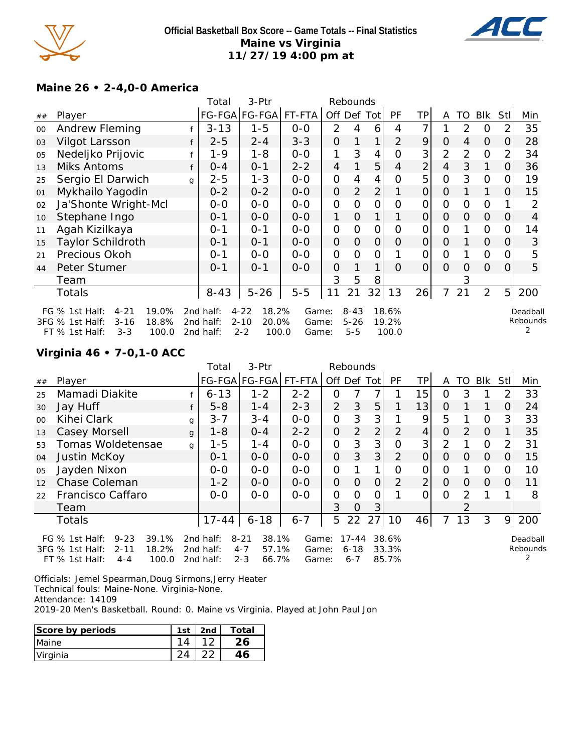

## **Official Basketball Box Score -- Game Totals -- Final Statistics Maine vs Virginia 11/27/19 4:00 pm at**



# **Maine 26 • 2-4,0-0 America**

|    |                                                                                                               |   | Total                               | 3-Ptr                                                      |                         |                | Rebounds                        |                |                         |                |               |                |                |          |                      |
|----|---------------------------------------------------------------------------------------------------------------|---|-------------------------------------|------------------------------------------------------------|-------------------------|----------------|---------------------------------|----------------|-------------------------|----------------|---------------|----------------|----------------|----------|----------------------|
| ## | Player                                                                                                        |   |                                     |                                                            | FG-FGA FG-FGA  FT-FTA   | Off            | Def                             | Tot            | PF                      | TP             | A             | TO             | Blk            | Stl      | Min                  |
| 00 | Andrew Fleming                                                                                                |   | $3 - 13$                            | $1 - 5$                                                    | $0-0$                   | $\overline{2}$ | 4                               | 6              | 4                       |                |               | 2              | 0              | 2        | 35                   |
| 03 | Vilgot Larsson                                                                                                |   | $2 - 5$                             | $2 - 4$                                                    | $3 - 3$                 | 0              |                                 | 1              | $\overline{2}$          | 9              | $\Omega$      | 4              | $\overline{O}$ | 0        | 28                   |
| 05 | Nedeljko Prijovic                                                                                             |   | 1-9                                 | 1-8                                                        | $0-0$                   |                | 3                               | 4              | $\Omega$                | 3              | 2             | $\overline{2}$ | $\Omega$       | 2        | 34                   |
| 13 | Miks Antoms                                                                                                   | f | $0 - 4$                             | $0 - 1$                                                    | $2 - 2$                 | 4              |                                 | 5              | 4                       | 2              | 4             | 3              |                | $\Omega$ | 36                   |
| 25 | Sergio El Darwich                                                                                             | g | $2 - 5$                             | $1 - 3$                                                    | $0 - 0$                 | 0              | 4                               | 4              | $\Omega$                | 5              | 0             | 3              | $\Omega$       | O        | 19                   |
| 01 | Mykhailo Yagodin                                                                                              |   | $0 - 2$                             | $0 - 2$                                                    | $0-0$                   | 0              | $\overline{2}$                  | $\overline{2}$ |                         | $\mathsf O$    | 0             |                |                | 0        | 15                   |
| 02 | Ja'Shonte Wright-Mcl                                                                                          |   | $0-0$                               | $0 - 0$                                                    | $0 - 0$                 | 0              | O                               | 0              | 0                       | 0              | 0             | $\Omega$       | $\Omega$       |          | 2                    |
| 10 | Stephane Ingo                                                                                                 |   | $0 - 1$                             | $0 - 0$                                                    | $0 - 0$                 | 1              | $\overline{O}$                  |                |                         | $\overline{O}$ | $\Omega$      | $\Omega$       | $\Omega$       | O        | 4                    |
| 11 | Agah Kizilkaya                                                                                                |   | $0 - 1$                             | $0 - 1$                                                    | $0-0$                   | 0              | 0                               | O              | 0                       | 0              | $\mathcal{O}$ |                | $\mathcal{O}$  | 0        | 14                   |
| 15 | <b>Taylor Schildroth</b>                                                                                      |   | $0 - 1$                             | $0 - 1$                                                    | $O-O$                   | 0              | O                               | $\overline{O}$ | $\Omega$                | $\mathsf O$    | $\Omega$      |                | $\overline{O}$ | $\Omega$ | 3                    |
| 21 | Precious Okoh                                                                                                 |   | $0 - 1$                             | $O-O$                                                      | $0 - 0$                 | 0              | $\Omega$                        | 0              |                         | O              | $\Omega$      |                | $\mathcal{O}$  | O        | 5                    |
| 44 | Peter Stumer                                                                                                  |   | $0 - 1$                             | $0 - 1$                                                    | $0-0$                   | 0              |                                 | 1              | $\Omega$                | $\overline{O}$ | $\Omega$      | $\Omega$       | $\overline{O}$ | $\Omega$ | 5                    |
|    | Team                                                                                                          |   |                                     |                                                            |                         | 3              | 5                               | 8              |                         |                |               | 3              |                |          |                      |
|    | Totals                                                                                                        |   | $8 - 43$                            | $5 - 26$                                                   | $5-5$                   | 11             | 21                              | 32             | 13                      | 26             | 7             | 21             | $\overline{2}$ | 5        | 200                  |
|    | 19.0%<br>FG % 1st Half:<br>$4 - 21$<br>18.8%<br>3FG % 1st Half:<br>$3 - 16$<br>100.0<br>FT % 1st Half:<br>3-3 |   | 2nd half:<br>2nd half:<br>2nd half: | $4 - 22$<br>18.2%<br>$2 - 10$<br>20.0%<br>$2 - 2$<br>100.0 | Game:<br>Game:<br>Game: |                | $8 - 43$<br>$5 - 26$<br>$5 - 5$ |                | 18.6%<br>19.2%<br>100.0 |                |               |                |                |          | Deadball<br>Rebounds |

# **Virginia 46 • 7-0,1-0 ACC**

|    |                                                                               |              | Total                  | 3-Ptr                                 |                |                | Rebounds              |                |                |                |                |                |                |                |                      |
|----|-------------------------------------------------------------------------------|--------------|------------------------|---------------------------------------|----------------|----------------|-----------------------|----------------|----------------|----------------|----------------|----------------|----------------|----------------|----------------------|
| ## | Player                                                                        |              |                        | FG-FGA FG-FGA                         | FT-FTA         |                |                       | Off Def Tot    | PF             | TPI            | A              | TO             | <b>BIK</b>     | Stll           | Min                  |
| 25 | Mamadi Diakite                                                                |              | $6 - 13$               | $1 - 2$                               | $2 - 2$        | 0              |                       |                |                | 15             | 0              | 3              |                | $\overline{2}$ | 33                   |
| 30 | Jay Huff                                                                      |              | $5 - 8$                | $1 - 4$                               | $2 - 3$        | $\overline{2}$ | 3                     | 5              |                | 13             | O              |                |                | 0              | 24                   |
| 00 | Kihei Clark                                                                   | g            | $3 - 7$                | $3 - 4$                               | $0-0$          | $\mathcal{O}$  | 3                     | 3              |                | 9              | 5              |                | $\circ$        | 3 <sub>l</sub> | 33                   |
| 13 | Casey Morsell                                                                 | $\mathbf{q}$ | $1 - 8$                | $0 - 4$                               | $2 - 2$        | $\overline{O}$ | $\overline{2}$        | $\overline{2}$ | 2              | 4              | $\overline{O}$ | $\mathcal{P}$  | $\Omega$       |                | 35                   |
| 53 | Tomas Woldetensae                                                             | g            | $1 - 5$                | $1 - 4$                               | $0-0$          | $\mathcal{O}$  | 3                     | 3              | 0              | 3              | $\overline{2}$ |                | $\circ$        | 2              | 31                   |
| 04 | Justin McKoy                                                                  |              | $0 - 1$                | $0-0$                                 | $0-0$          | $\overline{O}$ | 3                     | 3              | $\overline{2}$ | 0              | $\Omega$       | O              | $\overline{O}$ | O              | 15                   |
| 05 | Jayden Nixon                                                                  |              | $0 - 0$                | $0 - 0$                               | $0-0$          | $\mathcal{O}$  |                       | 1              | 0              | $\mathcal{O}$  | 0              |                | $\Omega$       | 0              | 10                   |
| 12 | Chase Coleman                                                                 |              | $1 - 2$                | $0-0$                                 | $O-O$          | $\overline{O}$ | $\Omega$              | $\overline{O}$ | $\overline{2}$ | $\overline{2}$ | $\Omega$       | O              | $\overline{O}$ | $\Omega$       | 11                   |
| 22 | Francisco Caffaro                                                             |              | $0-0$                  | $0-0$                                 | $O-O$          | $\mathbf{O}$   | $\Omega$              | 0              |                | 0              | $\Omega$       | $\mathcal{P}$  |                |                | 8                    |
|    | Team                                                                          |              |                        |                                       |                | 3              | $\overline{O}$        | 3              |                |                |                | $\overline{2}$ |                |                |                      |
|    | <b>Totals</b>                                                                 |              | $17 - 44$              | $6 - 18$                              | $6 - 7$        | 5              | 22                    | 27             | 10             | 46             | 7              | 13             | 3              | 9              | 200                  |
|    | $9 - 23$<br>39.1%<br>FG $%$ 1st Half:<br>18.2%<br>3FG % 1st Half:<br>$2 - 11$ |              | 2nd half:<br>2nd half: | 38.1%<br>$8 - 21$<br>$4 - 7$<br>57.1% | Game:<br>Game: |                | $17 - 44$<br>$6 - 18$ |                | 38.6%<br>33.3% |                |                |                |                |                | Deadball<br>Rebounds |
|    | FT % 1st Half:<br>100.0<br>$4 - 4$                                            |              | 2nd half:              | 66.7%<br>$2 - 3$                      | Game:          |                | $6 - 7$               |                | 85.7%          |                |                |                |                |                |                      |

Officials: Jemel Spearman,Doug Sirmons,Jerry Heater Technical fouls: Maine-None. Virginia-None. Attendance: 14109

2019-20 Men's Basketball. Round: 0. Maine vs Virginia. Played at John Paul Jon

| Score by periods | 1st | 2nd | Total |
|------------------|-----|-----|-------|
| Maine            |     |     |       |
| Virginia         |     |     |       |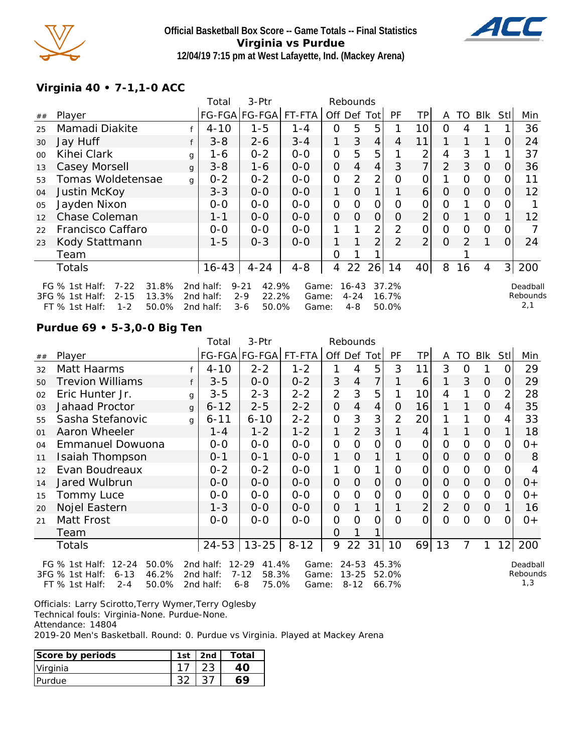

#### **Official Basketball Box Score -- Game Totals -- Final Statistics Virginia vs Purdue 12/04/19 7:15 pm at West Lafayette, Ind. (Mackey Arena)**



# **Virginia 40 • 7-1,1-0 ACC**

|        |                                                                                                                   |              | Total                               | 3-Ptr                                                     |                         | Rebounds       |                                  |                |                         |                |                |                |                |          |                             |
|--------|-------------------------------------------------------------------------------------------------------------------|--------------|-------------------------------------|-----------------------------------------------------------|-------------------------|----------------|----------------------------------|----------------|-------------------------|----------------|----------------|----------------|----------------|----------|-----------------------------|
| $\#\#$ | Player                                                                                                            |              |                                     | FG-FGA FG-FGA                                             | FT-FTA                  | Off Def        |                                  | Totl           | PF                      | ΤP             | A              | TO             | <b>BIK</b>     | Stl      | Min                         |
| 25     | Mamadi Diakite                                                                                                    |              | $4 - 10$                            | $1 - 5$                                                   | 1-4                     | O              | 5                                | 5              |                         | 10             | 0              | 4              |                |          | 36                          |
| 30     | Jay Huff                                                                                                          |              | $3 - 8$                             | $2 - 6$                                                   | $3 - 4$                 | 1              | 3                                | 4              | 4                       | 11             |                |                |                | O        | 24                          |
| $00\,$ | Kihei Clark                                                                                                       | g            | 1-6                                 | $0 - 2$                                                   | $0-0$                   | $\overline{O}$ | 5                                | 5              |                         | 2              | 4              | 3              |                |          | 37                          |
| 13     | Casey Morsell                                                                                                     | $\mathbf{q}$ | $3 - 8$                             | $1 - 6$                                                   | $0-0$                   | $\overline{O}$ | 4                                | $\overline{4}$ | 3                       | 7 <sub>1</sub> | 2              | 3              | $\overline{O}$ | $\Omega$ | 36                          |
| 53     | Tomas Woldetensae                                                                                                 | g            | $0 - 2$                             | $0 - 2$                                                   | $0 - 0$                 | $\overline{O}$ | $\overline{2}$                   | 2              | $\Omega$                | 0              |                | 0              | $\Omega$       |          | 11                          |
| 04     | Justin McKoy                                                                                                      |              | $3 - 3$                             | $0-0$                                                     | $O - O$                 | 1              | $\overline{O}$                   |                |                         | 6              | 0              | $\overline{O}$ | $\overline{O}$ | 0        | 12                          |
| 05     | Jayden Nixon                                                                                                      |              | $0-0$                               | $0-0$                                                     | $O-O$                   | $\overline{O}$ | O                                | $\mathcal{O}$  | 0                       | 0              | $\mathcal{O}$  |                | $\overline{O}$ |          |                             |
| 12     | Chase Coleman                                                                                                     |              | $1 - 1$                             | $0 - 0$                                                   | $0 - 0$                 | $\overline{O}$ | $\Omega$                         | 0              | O                       | $\overline{2}$ | $\overline{O}$ |                | $\overline{O}$ |          | 12                          |
| 22     | Francisco Caffaro                                                                                                 |              | $O-O$                               | $O-O$                                                     | $O-O$                   |                |                                  | $\overline{2}$ | $\mathcal{P}$           | 0              | 0              | 0              | $\Omega$       |          |                             |
| 23     | Kody Stattmann                                                                                                    |              | $1 - 5$                             | $O - 3$                                                   | $0 - 0$                 | 1.             |                                  | $\overline{2}$ | $\mathcal{P}$           | 2 <sub>1</sub> | $\Omega$       | $\mathcal{P}$  |                | $\Omega$ | 24                          |
|        | Team                                                                                                              |              |                                     |                                                           |                         | Ω              |                                  |                |                         |                |                |                |                |          |                             |
|        | <b>Totals</b>                                                                                                     |              | $16 - 43$                           | $4 - 24$                                                  | $4 - 8$                 | 4              | 22                               | 26             | 14                      | 40             | 8              | 16             | 4              | 3        | 200                         |
|        | $7 - 22$<br>31.8%<br>FG % 1st Half:<br>13.3%<br>3FG % 1st Half:<br>$2 - 15$<br>$1 - 2$<br>50.0%<br>FT % 1st Half: |              | 2nd half:<br>2nd half:<br>2nd half: | 42.9%<br>$9 - 21$<br>22.2%<br>$2 - 9$<br>$3 - 6$<br>50.0% | Game:<br>Game:<br>Game: |                | $16 - 43$<br>$4 - 24$<br>$4 - 8$ |                | 37.2%<br>16.7%<br>50.0% |                |                |                |                |          | Deadball<br>Rebounds<br>2,1 |

# **Purdue 69 • 5-3,0-0 Big Ten**

|    |                                                                                                                      |              | Total                               | 3-Ptr                                                       |                         |                | Rebounds                           |                |                         |                |                |          |                |            |                             |
|----|----------------------------------------------------------------------------------------------------------------------|--------------|-------------------------------------|-------------------------------------------------------------|-------------------------|----------------|------------------------------------|----------------|-------------------------|----------------|----------------|----------|----------------|------------|-----------------------------|
| ## | Player                                                                                                               |              |                                     | FG-FGA FG-FGA FT-FTA                                        |                         | Off Def Tot    |                                    |                | <b>PF</b>               | ΤP             | A              | TO       | Blk            | <b>StI</b> | Min                         |
| 32 | Matt Haarms                                                                                                          |              | $4 - 10$                            | $2 - 2$                                                     | $1 - 2$                 |                | 4                                  | 5              | 3                       | 11             | 3              | $\Omega$ |                | $\Omega$   | 29                          |
| 50 | Trevion Williams                                                                                                     |              | $3 - 5$                             | $0-0$                                                       | $0 - 2$                 | 3              | 4                                  | 7              |                         | 6              |                | 3        | $\Omega$       | $\Omega$   | 29                          |
| 02 | Eric Hunter Jr.                                                                                                      | g            | $3 - 5$                             | $2 - 3$                                                     | $2 - 2$                 | 2              | 3                                  | 5              |                         | 10             | 4              |          | $\mathbf{O}$   | 2          | 28                          |
| 03 | <b>Jahaad Proctor</b>                                                                                                | $\mathbf{q}$ | $6 - 12$                            | $2 - 5$                                                     | $2 - 2$                 | $\mathcal{O}$  | 4                                  | $\overline{4}$ | 0                       | 16             |                |          | $\overline{O}$ | 4          | 35                          |
| 55 | Sasha Stefanovic                                                                                                     | $\alpha$     | $6 - 11$                            | $6 - 10$                                                    | $2 - 2$                 | O              | 3                                  | 3              | 2                       | 20             |                |          | $\Omega$       | 4          | 33                          |
| 01 | Aaron Wheeler                                                                                                        |              | 1-4                                 | $1 - 2$                                                     | $1 - 2$                 | 1              | 2                                  | 3              |                         | 4              |                |          | $\Omega$       |            | 18                          |
| 04 | <b>Emmanuel Dowuona</b>                                                                                              |              | $0-0$                               | $0-0$                                                       | $0-0$                   | O              | O                                  | 0              | $\Omega$                | 0              | 0              | 0        | $\mathbf{O}$   | 0          | 0+                          |
| 11 | Isaiah Thompson                                                                                                      |              | $0 - 1$                             | $0 - 1$                                                     | $0-0$                   | 1              | $\overline{O}$                     | 1              |                         | $\overline{O}$ | 0              | $\Omega$ | $\overline{O}$ | 0          | 8                           |
| 12 | Evan Boudreaux                                                                                                       |              | $0 - 2$                             | $0 - 2$                                                     | $0 - 0$                 | 1              | O                                  | 1              | 0                       | 0              | 0              | $\Omega$ | $\Omega$       | $\Omega$   | 4                           |
| 14 | Jared Wulbrun                                                                                                        |              | $0-0$                               | $0-0$                                                       | $0 - 0$                 | 0              | $\Omega$                           | $\overline{O}$ | $\Omega$                | $\overline{O}$ | 0              | $\Omega$ | $\Omega$       | $\Omega$   | $0+$                        |
| 15 | Tommy Luce                                                                                                           |              | $0-0$                               | $0-0$                                                       | $0 - 0$                 | 0              | $\Omega$                           | $\overline{O}$ | $\Omega$                | $\overline{O}$ | 0              | $\Omega$ | $\mathbf{O}$   | $\Omega$   | 0+                          |
| 20 | Nojel Eastern                                                                                                        |              | $1 - 3$                             | $0-0$                                                       | $0 - 0$                 | $\overline{O}$ |                                    | 1              |                         | 2              | $\overline{2}$ | $\Omega$ | $\overline{O}$ |            | 16                          |
| 21 | Matt Frost                                                                                                           |              | $0 - 0$                             | $0 - 0$                                                     | $0 - 0$                 | 0              | 0                                  | 0              | $\Omega$                | $\Omega$       | $\Omega$       | $\Omega$ | $\Omega$       | $\Omega$   | $0+$                        |
|    | Team                                                                                                                 |              |                                     |                                                             |                         | O              |                                    |                |                         |                |                |          |                |            |                             |
|    | Totals                                                                                                               |              | $24 - 53$                           | $13 - 25$                                                   | $8 - 12$                | 9              | 22                                 | 31             | 10                      | 69             | 13             | 7        |                | 12         | 200                         |
|    | $12 - 24$<br>50.0%<br>FG $%$ 1st Half:<br>3FG % 1st Half:<br>$6 - 13$<br>46.2%<br>50.0%<br>$2 - 4$<br>FT % 1st Half: |              | 2nd half:<br>2nd half:<br>2nd half: | $12 - 29$<br>41.4%<br>$7 - 12$<br>58.3%<br>75.0%<br>$6 - 8$ | Game:<br>Game:<br>Game: |                | $24 - 53$<br>$13 - 25$<br>$8 - 12$ |                | 45.3%<br>52.0%<br>66.7% |                |                |          |                |            | Deadball<br>Rebounds<br>1,3 |

Officials: Larry Scirotto,Terry Wymer,Terry Oglesby

Technical fouls: Virginia-None. Purdue-None.

Attendance: 14804

2019-20 Men's Basketball. Round: 0. Purdue vs Virginia. Played at Mackey Arena

| Score by periods | 1st | 2nd | Total |
|------------------|-----|-----|-------|
| Virginia         |     |     |       |
| <b>Purdue</b>    |     |     |       |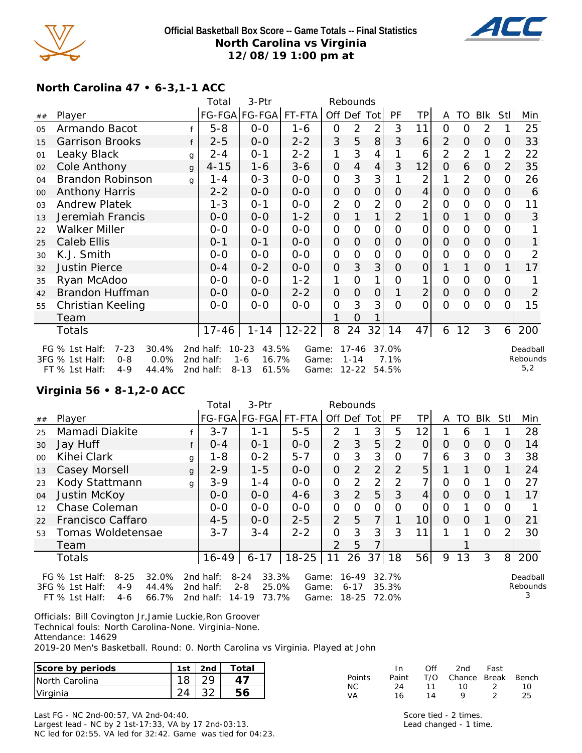

#### **Official Basketball Box Score -- Game Totals -- Final Statistics North Carolina vs Virginia 12/08/19 1:00 pm at**



# **North Carolina 47 • 6-3,1-1 ACC**

|    |                                                                                                                                                                                                                                                                                                                                                 |   | 3-Ptr<br>Total<br>Rebounds |                      |           |                |                |                |                |                |                |                |                |                |                |
|----|-------------------------------------------------------------------------------------------------------------------------------------------------------------------------------------------------------------------------------------------------------------------------------------------------------------------------------------------------|---|----------------------------|----------------------|-----------|----------------|----------------|----------------|----------------|----------------|----------------|----------------|----------------|----------------|----------------|
| ## | Player                                                                                                                                                                                                                                                                                                                                          |   |                            | FG-FGA FG-FGA FT-FTA |           | Off Def Tot    |                |                | PF             | TP             | A              | TO             | Blk            | Stl            | Min            |
| 05 | Armando Bacot                                                                                                                                                                                                                                                                                                                                   |   | $5 - 8$                    | $O-O$                | 1-6       | 0              | $\overline{2}$ | $\overline{2}$ | 3              | 11             | 0              | $\Omega$       | $\overline{2}$ |                | 25             |
| 15 | <b>Garrison Brooks</b>                                                                                                                                                                                                                                                                                                                          | f | $2 - 5$                    | $0-0$                | $2 - 2$   | 3              | 5              | 8              | 3              | 6              | 2              | 0              | $\overline{O}$ | O              | 33             |
| 01 | Leaky Black                                                                                                                                                                                                                                                                                                                                     | g | $2 - 4$                    | $0 - 1$              | $2 - 2$   | 1              | 3              | 4              |                | 6              | $\overline{2}$ | 2              | 1              | 2              | 22             |
| 02 | Cole Anthony                                                                                                                                                                                                                                                                                                                                    | g | $4 - 15$                   | 1-6                  | $3 - 6$   | 0              | 4              | $\overline{4}$ | 3              | 12             | $\overline{O}$ | 6              | 0              | 2              | 35             |
| 04 | Brandon Robinson                                                                                                                                                                                                                                                                                                                                | a | $1 - 4$                    | $0 - 3$              | $0 - 0$   | 0              | 3              | 3              |                | 2              | 1              | $\overline{2}$ | $\mathbf{O}$   | 0              | 26             |
| 00 | <b>Anthony Harris</b>                                                                                                                                                                                                                                                                                                                           |   | $2 - 2$                    | $0-0$                | $0-0$     | 0              | 0              | 0              | $\Omega$       | $\overline{4}$ | $\Omega$       | $\overline{O}$ | $\overline{O}$ | O              | 6              |
| 03 | <b>Andrew Platek</b>                                                                                                                                                                                                                                                                                                                            |   | $1 - 3$                    | $0 - 1$              | $0 - 0$   | $\overline{2}$ | O              | 2              | 0              | 2              | 0              | $\Omega$       | $\overline{O}$ |                | 11             |
| 13 | Jeremiah Francis                                                                                                                                                                                                                                                                                                                                |   | $0-0$                      | $0 - 0$              | $1 - 2$   | 0              |                | 1              | $\overline{2}$ | 1              | $\overline{O}$ |                | $\mathbf 0$    |                | 3              |
| 22 | Walker Miller                                                                                                                                                                                                                                                                                                                                   |   | $0-0$                      | $0-0$                | $0-0$     | 0              | O              | 0              | $\Omega$       | 0              | 0              | $\mathbf{O}$   | $\mathbf{O}$   |                |                |
| 25 | Caleb Ellis                                                                                                                                                                                                                                                                                                                                     |   | $0 - 1$                    | $0 - 1$              | $0-0$     | 0              | $\Omega$       | $\Omega$       | 0              | $\overline{O}$ | 0              | 0              | $\overline{O}$ | O              | 1              |
| 30 | K.J. Smith                                                                                                                                                                                                                                                                                                                                      |   | $0 - 0$                    | $0 - 0$              | $0 - 0$   | 0              | O              | $\mathcal{O}$  | 0              | 0              | 0              | $\mathbf{O}$   | $\overline{O}$ |                | 2              |
| 32 | <b>Justin Pierce</b>                                                                                                                                                                                                                                                                                                                            |   | $0 - 4$                    | $0 - 2$              | $0-0$     | 0              | 3              | 3              | O              | 0              | 1              |                | $\Omega$       |                | 17             |
| 35 | Ryan McAdoo                                                                                                                                                                                                                                                                                                                                     |   | $0-0$                      | $0 - 0$              | $1 - 2$   | 1              | O              | 1              | 0              | 1              | 0              | $\Omega$       | $\mathcal{O}$  |                |                |
| 42 | Brandon Huffman                                                                                                                                                                                                                                                                                                                                 |   | $0-0$                      | $0-0$                | $2 - 2$   | 0              | $\Omega$       | $\mathsf O$    |                | $\overline{2}$ | $\Omega$       | $\overline{O}$ | $\mathcal{O}$  | $\Omega$       | $\overline{2}$ |
| 55 | Christian Keeling                                                                                                                                                                                                                                                                                                                               |   | $0-0$                      | $O-O$                | $0 - 0$   | 0              | 3              | 3              | $\Omega$       | $\overline{O}$ | $\overline{O}$ | $\Omega$       | $\Omega$       | ∩              | 15             |
|    | Team                                                                                                                                                                                                                                                                                                                                            |   |                            |                      |           |                | Ő              |                |                |                |                |                |                |                |                |
|    | Totals                                                                                                                                                                                                                                                                                                                                          |   | $17 - 46$                  | $1 - 14$             | $12 - 22$ | 8              | 24             | $32$   14      |                | 47             | 6              | 12             | 3              | 6 <sup>1</sup> | 200            |
|    | $7 - 23$<br>30.4%<br>$10 - 23$<br>43.5%<br>$17 - 46$<br>37.0%<br>FG % 1st Half:<br>2nd half:<br>Deadball<br>Game:<br>Rebounds<br>3FG % 1st Half:<br>$0 - 8$<br>0.0%<br>2nd half:<br>16.7%<br>7.1%<br>$1 - 6$<br>$1 - 14$<br>Game:<br>5,2<br>$12 - 22$<br>FT % 1st Half:<br>$4 - 9$<br>44.4%<br>$8 - 13$<br>61.5%<br>2nd half:<br>54.5%<br>Game: |   |                            |                      |           |                |                |                |                |                |                |                |                |                |                |

## **Virginia 56 • 8-1,2-0 ACC**

|                                                                                                                                                                                                                                                                                                                                                |                   |   | Total   | 3-Ptr         |           | Rebounds       |                |                |                |                 |          |          |          |               |     |
|------------------------------------------------------------------------------------------------------------------------------------------------------------------------------------------------------------------------------------------------------------------------------------------------------------------------------------------------|-------------------|---|---------|---------------|-----------|----------------|----------------|----------------|----------------|-----------------|----------|----------|----------|---------------|-----|
| ##                                                                                                                                                                                                                                                                                                                                             | Player            |   |         | FG-FGA FG-FGA | FT-FTA    | Off Def Tot    |                |                | PF             | <b>TP</b>       | A        | TO       | Blk      | Stl           | Min |
| 25                                                                                                                                                                                                                                                                                                                                             | Mamadi Diakite    |   | $3 - 7$ | $1 - 1$       | $5 - 5$   | 2              |                | 3              | 5              | 12              |          | 6        |          |               | 28  |
| 30                                                                                                                                                                                                                                                                                                                                             | Jay Huff          |   | $0 - 4$ | $O - 1$       | $0-0$     | $\overline{2}$ | 3              | 5              | $\overline{2}$ | 0               | $\Omega$ | 0        | $\Omega$ | 0             | 14  |
| $00 \,$                                                                                                                                                                                                                                                                                                                                        | Kihei Clark       | g | $1 - 8$ | $0 - 2$       | $5 - 7$   | $\overline{O}$ | 3              | 3              | O              | 7               | 6        | 3        | $\Omega$ | 3             | 38  |
| 13                                                                                                                                                                                                                                                                                                                                             | Casey Morsell     | g | $2 - 9$ | $1 - 5$       | $0 - 0$   | $\overline{O}$ | 2              | $\overline{2}$ | $\overline{2}$ | 5               |          |          | $\Omega$ |               | 24  |
| 23                                                                                                                                                                                                                                                                                                                                             | Kody Stattmann    | g | $3 - 9$ | $1 - 4$       | $0-0$     | $\overline{O}$ | 2              | $\overline{2}$ | 2              | 7               | $\Omega$ | O        | 1        | Ω             | 27  |
| 04                                                                                                                                                                                                                                                                                                                                             | Justin McKoy      |   | $0 - 0$ | $0 - 0$       | $4-6$     | 3              | $\overline{2}$ | 5              | 3              | $\overline{4}$  | $\Omega$ | $\Omega$ | $\Omega$ |               | 17  |
| 12                                                                                                                                                                                                                                                                                                                                             | Chase Coleman     |   | $0-0$   | $0-0$         | $0-0$     | O              | 0              | 0              | 0              | 0               | Ο        |          | 0        |               |     |
| 22                                                                                                                                                                                                                                                                                                                                             | Francisco Caffaro |   | $4 - 5$ | $0 - 0$       | $2 - 5$   | $\mathcal{P}$  | 5              | 7              |                | 10 <sup>1</sup> | $\Omega$ | $\Omega$ | 1        | $\Omega$      | 21  |
| 53                                                                                                                                                                                                                                                                                                                                             | Tomas Woldetensae |   | $3 - 7$ | $3 - 4$       | $2 - 2$   | 0              | 3              | 3              | 3              | 11              |          |          | $\Omega$ | $\mathcal{P}$ | 30  |
|                                                                                                                                                                                                                                                                                                                                                | Team              |   |         |               |           | $\mathcal{P}$  | 5              |                |                |                 |          |          |          |               |     |
|                                                                                                                                                                                                                                                                                                                                                | <b>Totals</b>     |   | 16-49   | $6 - 17$      | $18 - 25$ | 11             | 26             | 37             | 18             | 56              | 9        | 13       | 3        | 8             | 200 |
| FG % 1st Half:<br>32.0%<br>$8 - 24$<br>33.3%<br>$8 - 25$<br>2nd half:<br>16-49<br>32.7%<br>Game:<br>Deadball<br>Rebounds<br>3FG % 1st Half:<br>44.4%<br>$2 - 8$<br>25.0%<br>$4 - 9$<br>35.3%<br>2 $nd$ half:<br>$6 - 17$<br>Game:<br>3<br>66.7%<br>2nd half:<br>$14 - 19$<br>73.7%<br>$18 - 25$<br>72.0%<br>$FT$ % 1st Half:<br>$4-6$<br>Game: |                   |   |         |               |           |                |                |                |                |                 |          |          |          |               |     |

Officials: Bill Covington Jr,Jamie Luckie,Ron Groover Technical fouls: North Carolina-None. Virginia-None. Attendance: 14629

2019-20 Men's Basketball. Round: 0. North Carolina vs Virginia. Played at John

| Score by periods       | 1st | 2 <sub>nd</sub> | Totai |
|------------------------|-----|-----------------|-------|
| <b>INorth Carolina</b> |     |                 |       |
| Virginia               |     |                 |       |

|               | In.   | ∩ff | 2nd                    | Fast |     |
|---------------|-------|-----|------------------------|------|-----|
| <b>Points</b> | Paint |     | T/O Chance Break Bench |      |     |
| NC.           | 24    | 11  | 10                     | - 2  | 1 O |
| VA            | 16    | 14  | Q                      |      | 25  |

Last FG - NC 2nd-00:57, VA 2nd-04:40. Largest lead - NC by 2 1st-17:33, VA by 17 2nd-03:13. NC led for 02:55. VA led for 32:42. Game was tied for 04:23.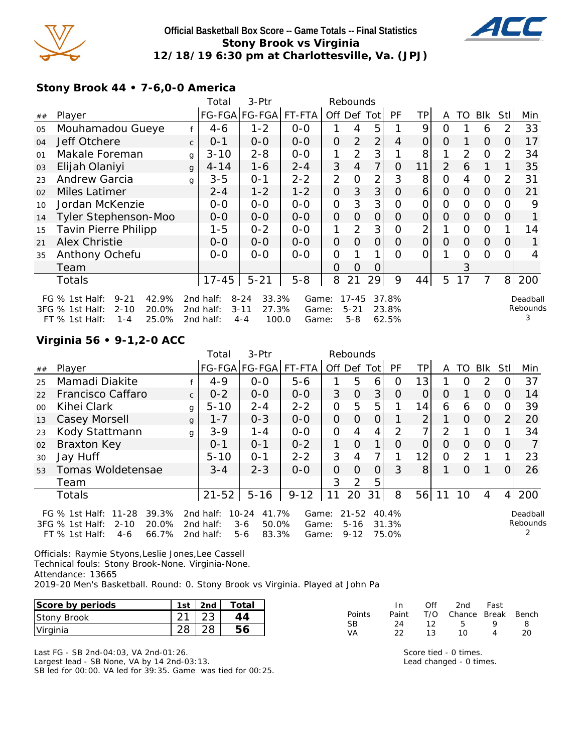

#### **Official Basketball Box Score -- Game Totals -- Final Statistics Stony Brook vs Virginia 12/18/19 6:30 pm at Charlottesville, Va. (JPJ)**



**Stony Brook 44 • 7-6,0-0 America**

|                                                                                             |                                                                                                                                                                                                                                                    | 3-Ptr<br>Rebounds<br>Total |          |               |         |                |                |                |                |                |                |                |                |          |     |
|---------------------------------------------------------------------------------------------|----------------------------------------------------------------------------------------------------------------------------------------------------------------------------------------------------------------------------------------------------|----------------------------|----------|---------------|---------|----------------|----------------|----------------|----------------|----------------|----------------|----------------|----------------|----------|-----|
| ##                                                                                          | Player                                                                                                                                                                                                                                             |                            |          | FG-FGA FG-FGA | FT-FTA  | Off            | Def            | Totl           | <b>PF</b>      | ТP             | A              | TO             | <b>BIK</b>     | Stll     | Min |
| 05                                                                                          | Mouhamadou Gueye                                                                                                                                                                                                                                   |                            | 4-6      | $1 - 2$       | $0 - 0$ |                |                | 5              |                | 9              | O              |                | 6              | 2        | 33  |
| 04                                                                                          | Jeff Otchere                                                                                                                                                                                                                                       | $\mathsf{C}$               | $0 - 1$  | $0 - 0$       | $0-0$   | $\Omega$       | 2              | $\overline{2}$ | $\overline{4}$ | O              | 0              |                | $\Omega$       | 0        | 17  |
| 01                                                                                          | Makale Foreman                                                                                                                                                                                                                                     | $\mathsf{q}$               | $3 - 10$ | $2 - 8$       | $0 - 0$ | 1              | $\overline{2}$ | 3              |                | 8              |                | $\overline{2}$ | $\Omega$       | 2        | 34  |
| 03                                                                                          | Elijah Olaniyi                                                                                                                                                                                                                                     | $\mathbf{q}$               | $4 - 14$ | $1 - 6$       | $2 - 4$ | 3              | 4              | 7              | O              | 11             | $\overline{2}$ | 6              | 1              |          | 35  |
| 23                                                                                          | <b>Andrew Garcia</b>                                                                                                                                                                                                                               | g                          | $3 - 5$  | $0 - 1$       | $2 - 2$ | $\overline{2}$ | O              | 2              | 3              | 8              | 0              | 4              | $\overline{O}$ |          | 31  |
| 02                                                                                          | Miles Latimer                                                                                                                                                                                                                                      |                            | $2 - 4$  | $1 - 2$       | $1 - 2$ | $\overline{O}$ | 3              | 3              | O              | 6              | $\Omega$       | 0              | $\Omega$       | 0        | 21  |
| 10                                                                                          | Jordan McKenzie                                                                                                                                                                                                                                    |                            | $0 - 0$  | $0 - 0$       | $O-O$   | $\overline{O}$ | 3              | 3              | Ω              | 0              | $\Omega$       | $\Omega$       | $\overline{O}$ |          | 9   |
| 14                                                                                          | Tyler Stephenson-Moo                                                                                                                                                                                                                               |                            | $O - O$  | $0 - 0$       | $0 - 0$ | $\Omega$       | 0              | $\overline{O}$ | O              | O              | $\Omega$       | $\Omega$       | $\Omega$       | $\Omega$ |     |
| 15                                                                                          | <b>Tavin Pierre Philipp</b>                                                                                                                                                                                                                        |                            | 1-5      | $0 - 2$       | $0 - 0$ | 1              | 2              | 3              | Ω              | $\overline{2}$ |                | $\Omega$       | 0              |          | 14  |
| 21                                                                                          | Alex Christie                                                                                                                                                                                                                                      |                            | $0 - 0$  | $0 - 0$       | $0 - 0$ | $\Omega$       | $\Omega$       | $\Omega$       | O              | O              | 0              | $\Omega$       | $\Omega$       | 0        |     |
| 35                                                                                          | Anthony Ochefu                                                                                                                                                                                                                                     |                            | $0-0$    | $0 - 0$       | $0 - 0$ | 0              |                | 1              | Ω              | ი              |                | $\Omega$       | $\Omega$       | Ω        | 4   |
|                                                                                             | Team                                                                                                                                                                                                                                               |                            |          |               |         | 0              | O              | Ő              |                |                |                | 3              |                |          |     |
| $5 - 21$<br>$5 - 8$<br>21<br>29<br>9<br>5<br>17<br>7<br>8<br>$17 - 45$<br>8<br>44<br>Totals |                                                                                                                                                                                                                                                    |                            |          |               |         |                |                |                |                | 200            |                |                |                |          |     |
|                                                                                             | $9 - 21$<br>42.9%<br>$8 - 24$<br>33.3%<br>$17 - 45$<br>FG $%$ 1st Half:<br>2nd half:<br>Game:<br>37.8%<br>Deadball                                                                                                                                 |                            |          |               |         |                |                |                |                |                |                |                |                |          |     |
|                                                                                             | Rebounds<br>$3 - 11$<br>27.3%<br>3FG % 1st Half:<br>$2 - 10$<br>20.0%<br>2nd half:<br>$5 - 21$<br>23.8%<br>Game:<br>OF OOL<br>1000<br>220 EQ<br>$TT$ $0/1$ $\alpha+1$ $\alpha+1$<br>and holf.<br>$C_{\alpha}$<br>1 1<br>$\Lambda$ $\Lambda$<br>E O |                            |          |               |         |                |                |                |                |                |                |                |                |          |     |

100.0 Game: 5-8 62.5%

**Virginia 56 • 9-1,2-0 ACC**

FT % 1st Half: 1-4 25.0% 2nd half: 4-4 100.0

|                                                                                                                                                                                                                                                                                                                      |                    |              | Total     | 3-Ptr         |          |                | Rebounds       |                |                      |                |          |               |          |                |     |
|----------------------------------------------------------------------------------------------------------------------------------------------------------------------------------------------------------------------------------------------------------------------------------------------------------------------|--------------------|--------------|-----------|---------------|----------|----------------|----------------|----------------|----------------------|----------------|----------|---------------|----------|----------------|-----|
| ##                                                                                                                                                                                                                                                                                                                   | Player             |              |           | FG-FGA FG-FGA | FT-FTA   |                |                | Off Def Tot    | <b>PF</b>            | TPI            | A        | TO            | Blk      | StII           | Min |
| 25                                                                                                                                                                                                                                                                                                                   | Mamadi Diakite     |              | $4 - 9$   | $0 - 0$       | $5 - 6$  |                | 5              | 6              | 0                    | 13             |          | $\Omega$      | 2        | $\Omega$       | 37  |
| 22                                                                                                                                                                                                                                                                                                                   | Francisco Caffaro  | $\mathsf{C}$ | $0 - 2$   | $0-0$         | $0 - 0$  | 3              | $\overline{O}$ | 3              | $\Omega$             | 0              | $\Omega$ |               | $\Omega$ | 0              | 14  |
| 0 <sup>0</sup>                                                                                                                                                                                                                                                                                                       | Kihei Clark        | g            | $5 - 10$  | $2 - 4$       | $2 - 2$  | O              | 5              | 5              |                      | 14             | 6        | 6             | 0        | $\Omega$       | 39  |
| 13                                                                                                                                                                                                                                                                                                                   | Casey Morsell      | g            | $1 - 7$   | $0 - 3$       | $0-0$    | $\overline{O}$ | $\Omega$       | $\overline{O}$ |                      | $\overline{2}$ |          | $\Omega$      | $\Omega$ | $\overline{2}$ | 20  |
| 23                                                                                                                                                                                                                                                                                                                   | Kody Stattmann     | g            | $3 - 9$   | $1 - 4$       | $0 - 0$  | $\overline{O}$ | 4              | 4              | 2                    | 7              | 2        |               | $\Omega$ |                | 34  |
| 02                                                                                                                                                                                                                                                                                                                   | <b>Braxton Key</b> |              | $O - 1$   | $O - 1$       | $0 - 2$  | 1              | $\Omega$       | $\mathbf{1}$   | $\Omega$             | $\overline{O}$ | $\Omega$ | $\Omega$      | $\Omega$ | $\Omega$       |     |
| 30                                                                                                                                                                                                                                                                                                                   | Jay Huff           |              | $5 - 10$  | $O - 1$       | $2 - 2$  | 3              | 4              |                |                      | 12             | 0        | $\mathcal{P}$ |          |                | 23  |
| 53                                                                                                                                                                                                                                                                                                                   | Tomas Woldetensae  |              | $3 - 4$   | $2 - 3$       | $O-O$    | 0              | $\Omega$       | $\overline{O}$ | 3                    | 8 <sup>1</sup> |          | $\Omega$      |          | 0              | 26  |
|                                                                                                                                                                                                                                                                                                                      | Team               |              |           |               |          | 3              | $\overline{2}$ | 5              |                      |                |          |               |          |                |     |
|                                                                                                                                                                                                                                                                                                                      | <b>Totals</b>      |              | $21 - 52$ | $5 - 16$      | $9 - 12$ | 11             | 20             | 31             | 8                    | 56             |          | 10            | 4        | 4 <sup>1</sup> | 200 |
| 40.4%<br>$11 - 28$<br>39.3%<br>2nd half:<br>$10 - 24$<br>41.7%<br>$21 - 52$<br>FG $%$ 1st Half:<br>Game:<br>20.0%<br>50.0%<br>$3FG \%$ 1st Half:<br>$2 - 10$<br>2nd half:<br>$3-6$<br>$5 - 16$<br>31.3%<br>Game:<br>66.7%<br>83.3%<br>75.0%<br>$FT \%$ 1st Half:<br>2nd half:<br>$5 - 6$<br>$9 - 12$<br>4-6<br>Game: |                    |              |           |               |          |                |                |                | Deadball<br>Rebounds |                |          |               |          |                |     |

Officials: Raymie Styons,Leslie Jones,Lee Cassell Technical fouls: Stony Brook-None. Virginia-None. Attendance: 13665

2019-20 Men's Basketball. Round: 0. Stony Brook vs Virginia. Played at John Pa

| Score by periods   | 1st      | 2nd          | $\tau$ otal |        |          | Ofi | 2nd    | Fast  |       |
|--------------------|----------|--------------|-------------|--------|----------|-----|--------|-------|-------|
| <b>Stony Brook</b> | $\sim$ 1 | $\cap$<br>∠J |             | Points | Paint    | T/O | Chance | Break | Bench |
| Virginia           | າຂ       | 28           |             | VA     | 24<br>റി | 12  | 10     |       | 20    |

Last FG - SB 2nd-04:03, VA 2nd-01:26. Largest lead - SB None, VA by 14 2nd-03:13.

SB led for 00:00. VA led for 39:35. Game was tied for 00:25.

Score tied - 0 times. Lead changed - 0 times.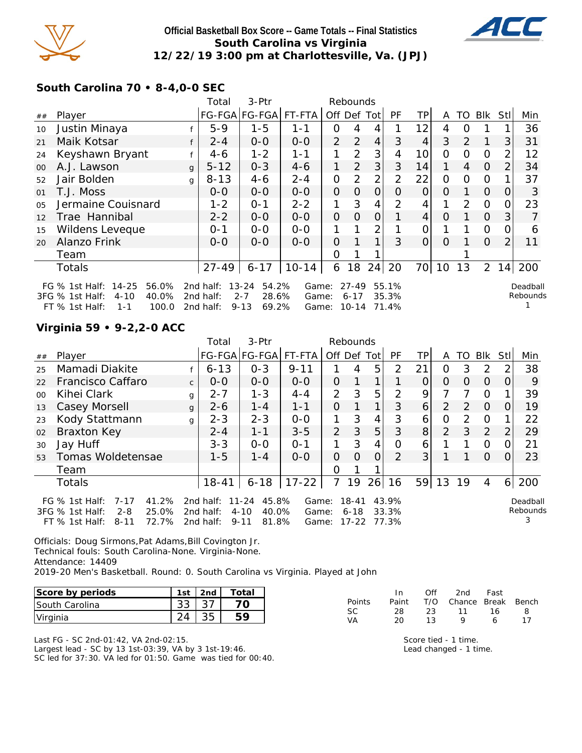

#### **Official Basketball Box Score -- Game Totals -- Final Statistics South Carolina vs Virginia 12/22/19 3:00 pm at Charlottesville, Va. (JPJ)**



**South Carolina 70 • 8-4,0-0 SEC**

|                |                                                                                                                |              | 3-Ptr<br>Total<br>Rebounds          |                                                             |                         |                |                                |                |                         |                |          |    |                |                |                      |
|----------------|----------------------------------------------------------------------------------------------------------------|--------------|-------------------------------------|-------------------------------------------------------------|-------------------------|----------------|--------------------------------|----------------|-------------------------|----------------|----------|----|----------------|----------------|----------------------|
| ##             | Player                                                                                                         |              |                                     | FG-FGA FG-FGA                                               | FT-FTA                  | Off Def        |                                | Totl           | PF                      | TP.            | A        | TO | <b>Blk</b>     | Stl            | Min                  |
| 10             | Justin Minaya                                                                                                  |              | $5 - 9$                             | $1 - 5$                                                     | $1 - 1$                 | 0              | 4                              | 4              |                         | 12             | 4        | Ω  |                |                | 36                   |
| 21             | Maik Kotsar                                                                                                    |              | $2 - 4$                             | $0-0$                                                       | $0-0$                   | $\overline{2}$ | $\overline{2}$                 | $\overline{4}$ | 3                       | $\overline{4}$ | 3        | 2  | 1              | 3              | 31                   |
| 24             | Keyshawn Bryant                                                                                                |              | 4-6                                 | $1 - 2$                                                     | 1-1                     |                | $\overline{2}$                 | 3              | 4                       | 10             | O        | Ω  | 0              | 2              | 12                   |
| $00\,$         | A.J. Lawson                                                                                                    | $\mathbf{q}$ | $5 - 12$                            | $0 - 3$                                                     | $4 - 6$                 | 1              | 2                              | 3              | 3                       | 14             | 1        | 4  | $\Omega$       | 2              | 34                   |
| 52             | Jair Bolden                                                                                                    | g            | $8 - 13$                            | 4-6                                                         | $2 - 4$                 | $\overline{O}$ | 2                              | 2              | 2                       | 22             | O        | Ω  | $\overline{O}$ |                | 37                   |
| 01             | T.J. Moss                                                                                                      |              | $0 - 0$                             | $0 - 0$                                                     | $0 - 0$                 | $\Omega$       | 0                              | 0              | Ο                       | 0              | O        |    | $\Omega$       | O              | 3                    |
| 0 <sub>5</sub> | Jermaine Couisnard                                                                                             |              | $1 - 2$                             | $0 - 1$                                                     | $2 - 2$                 | 1              | 3                              | 4              | 2                       | 4              |          | 2  | $\overline{O}$ |                | 23                   |
| 12             | Trae Hannibal                                                                                                  |              | $2 - 2$                             | $0 - 0$                                                     | $0-0$                   | $\Omega$       | $\Omega$                       | 0              |                         | 4              | $\circ$  |    | $\overline{O}$ | 3              |                      |
| 15             | Wildens Leveque                                                                                                |              | $0 - 1$                             | $0 - 0$                                                     | $0-0$                   |                |                                | 2              |                         | Ω              |          |    | 0              | O              | 6                    |
| 20             | Alanzo Frink                                                                                                   |              | $O-O$                               | $0 - 0$                                                     | $0-0$                   | $\Omega$       |                                | 1              | 3                       | $\Omega$       | $\Omega$ |    | $\Omega$       | $\overline{2}$ | 11                   |
|                | Team                                                                                                           |              |                                     |                                                             |                         | 0              |                                |                |                         |                |          |    |                |                |                      |
|                | <b>Totals</b>                                                                                                  |              | $27 - 49$                           | $6 - 17$                                                    | $10 - 14$               | 6              | 18                             | 24             | 20                      | 70             | 10       | 13 | $\overline{2}$ | 14             | 200                  |
|                | FG % 1st Half: 14-25<br>56.0%<br>40.0%<br>3FG % 1st Half:<br>$4 - 10$<br>FT $\%$ 1st Half:<br>100.0<br>$1 - 1$ |              | 2nd half:<br>2nd half:<br>2nd half: | $13 - 24$<br>54.2%<br>$2 - 7$<br>28.6%<br>69.2%<br>$9 - 13$ | Game:<br>Game:<br>Game: |                | $27 - 49$<br>$6 - 17$<br>10-14 |                | 55.1%<br>35.3%<br>71.4% |                |          |    |                |                | Deadball<br>Rebounds |

#### **Virginia 59 • 9-2,2-0 ACC**

|                                                                                                                                                                                                                                                                                                                                                       |                    |              | $3-$ Ptr<br>Rebounds<br>Total |               |           |                |          |                |               |                |    |               |                |              |       |
|-------------------------------------------------------------------------------------------------------------------------------------------------------------------------------------------------------------------------------------------------------------------------------------------------------------------------------------------------------|--------------------|--------------|-------------------------------|---------------|-----------|----------------|----------|----------------|---------------|----------------|----|---------------|----------------|--------------|-------|
| ##                                                                                                                                                                                                                                                                                                                                                    | Player             |              |                               | FG-FGA FG-FGA | FT-FTA    |                |          | Off Def Tot    | PF            | TPI            | A  | TO.           | <b>BIK</b>     | StII         | Min   |
| 25                                                                                                                                                                                                                                                                                                                                                    | Mamadi Diakite     |              | $6 - 13$                      | $0 - 3$       | $9 - 11$  |                | 4        | 5              | $\mathcal{P}$ | 21             | 0  | 3             | 2              | 2            | 38    |
| 22                                                                                                                                                                                                                                                                                                                                                    | Francisco Caffaro  | $\mathsf{C}$ | $O-O$                         | $0 - 0$       | $0 - 0$   | 0              |          |                |               | 0              | 0  | 0             | 0              | O            | 9     |
| $00 \,$                                                                                                                                                                                                                                                                                                                                               | Kihei Clark        | g            | $2 - 7$                       | $1 - 3$       | $4 - 4$   | 2              | 3        | 5              | 2             | 9              |    |               | $\circ$        |              | 39    |
| 13                                                                                                                                                                                                                                                                                                                                                    | Casey Morsell      | $\mathbf{q}$ | $2 - 6$                       | $1 - 4$       | $1 - 1$   | 0              |          | 1              | 3             | $\overline{6}$ | 2  | 2             | $\overline{0}$ | 0            | 19    |
| 23                                                                                                                                                                                                                                                                                                                                                    | Kody Stattmann     | g            | $2 - 3$                       | $2 - 3$       | $0 - 0$   | 1              | 3        | $\overline{4}$ | 3             | 6              | 0  | $\mathcal{P}$ | $\Omega$       |              | 22    |
| 02                                                                                                                                                                                                                                                                                                                                                    | <b>Braxton Key</b> |              | $2 - 4$                       | $1 - 1$       | $3 - 5$   | 2              | 3        | 5              | 3             | 8 <sup>1</sup> | 2  | 3             | 2              | 2            | 29    |
| 30                                                                                                                                                                                                                                                                                                                                                    | Jay Huff           |              | $3 - 3$                       | $0 - 0$       | $O - 1$   |                | 3        | $\overline{4}$ | $\Omega$      | 6              |    |               | $\Omega$       | 0            | 21    |
| 53                                                                                                                                                                                                                                                                                                                                                    | Tomas Woldetensae  |              | $1 - 5$                       | $1 - 4$       | $0 - 0$   | $\overline{O}$ | $\Omega$ | $\overline{O}$ | 2             | 3 <sup>1</sup> |    |               | $\Omega$       | <sup>O</sup> | 23    |
|                                                                                                                                                                                                                                                                                                                                                       | Team               |              |                               |               |           | $\Omega$       |          |                |               |                |    |               |                |              |       |
|                                                                                                                                                                                                                                                                                                                                                       | <b>Totals</b>      |              | $18 - 41$                     | $6 - 18$      | $17 - 22$ | $\overline{7}$ | 19       | 26             | 16            | 59             | 13 | 19            | 4              |              | 6 200 |
| 45.8%<br>41.2%<br>$11 - 24$<br>$18 - 41$<br>43.9%<br>FG $%$ 1st Half:<br>$7 - 17$<br>2nd half:<br>Game:<br>Deadball<br>Rebounds<br>3FG % 1st Half:<br>$2 - 8$<br>25.0%<br>40.0%<br>$4 - 10$<br>33.3%<br>$6 - 18$<br>2nd half:<br>Game:<br>3<br>81.8%<br>72.7%<br>$17 - 22$<br>77.3%<br>$FT$ % 1st Half:<br>$9 - 11$<br>$8 - 11$<br>2nd half:<br>Game: |                    |              |                               |               |           |                |          |                |               |                |    |               |                |              |       |

Officials: Doug Sirmons,Pat Adams,Bill Covington Jr. Technical fouls: South Carolina-None. Virginia-None. Attendance: 14409 2019-20 Men's Basketball. Round: 0. South Carolina vs Virginia. Played at John

| Score by periods       | 1st | 2nd | Total |
|------------------------|-----|-----|-------|
| <b>ISouth Carolina</b> |     |     |       |
| Virginia               |     |     |       |

Last FG - SC 2nd-01:42, VA 2nd-02:15. Largest lead - SC by 13 1st-03:39, VA by 3 1st-19:46. SC led for 37:30. VA led for 01:50. Game was tied for 00:40.

|               | In In | Off | 2nd Fast               |   |    |
|---------------|-------|-----|------------------------|---|----|
| <b>Points</b> | Paint |     | T/O Chance Break Bench |   |    |
| SC.           | -28.  |     | 23 11 16               |   | 8  |
| VA            | 20.   | 13  | Q                      | 6 | 17 |

Score tied - 1 time. Lead changed - 1 time.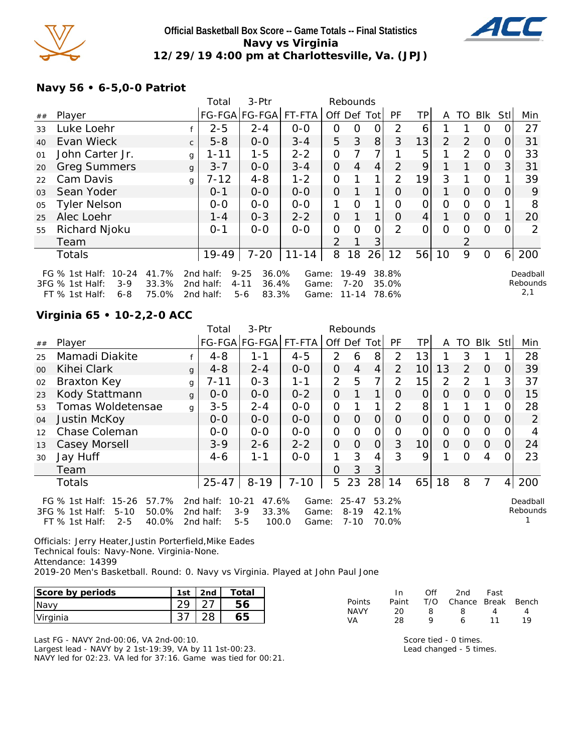

#### **Official Basketball Box Score -- Game Totals -- Final Statistics Navy vs Virginia 12/29/19 4:00 pm at Charlottesville, Va. (JPJ)**



## **Navy 56 • 6-5,0-0 Patriot**

|    |                                                                                        |                         | Total                               | 3-Ptr                                                    |                         |                | Rebounds                 |          |                         |                 |          |                |                |          |                             |
|----|----------------------------------------------------------------------------------------|-------------------------|-------------------------------------|----------------------------------------------------------|-------------------------|----------------|--------------------------|----------|-------------------------|-----------------|----------|----------------|----------------|----------|-----------------------------|
| ## | Player                                                                                 |                         |                                     | FG-FGA FG-FGA                                            | FT-FTA                  | Off Def Tot    |                          |          | <b>PF</b>               | TPI             | A        | TO.            | Blk            | Stl      | Min                         |
| 33 | Luke Loehr                                                                             |                         | $2 - 5$                             | $2 - 4$                                                  | $0-0$                   | 0              | 0                        | Ο        | $\mathcal{P}$           | 6               |          |                | O              |          | 27                          |
| 40 | Evan Wieck                                                                             | $\mathsf{C}$            | $5 - 8$                             | $0 - 0$                                                  | $3 - 4$                 | 5              | 3                        | 8        | 3                       | 13              | 2        | 2              | $\Omega$       | $\Omega$ | 31                          |
| 01 | John Carter Jr.                                                                        | g                       | $1 - 11$                            | $1 - 5$                                                  | $2 - 2$                 | 0              |                          |          |                         | 5               |          | 2              | $\Omega$       |          | 33                          |
| 20 | <b>Greg Summers</b>                                                                    | $\mathbf{q}$            | $3 - 7$                             | $0 - 0$                                                  | $3 - 4$                 | $\Omega$       | $\overline{4}$           | 4        | 2                       | 9               |          |                | $\Omega$       | 3        | 31                          |
| 22 | Cam Davis                                                                              | g                       | 7-12                                | $4 - 8$                                                  | $1 - 2$                 | 0              |                          | 1        | 2                       | 19              | 3        |                | $\Omega$       |          | 39                          |
| 03 | Sean Yoder                                                                             |                         | $0 - 1$                             | $0 - 0$                                                  | $0-0$                   | $\overline{O}$ |                          |          | Ω                       | $\overline{O}$  |          | $\Omega$       | $\overline{O}$ | $\Omega$ | 9                           |
| 05 | <b>Tyler Nelson</b>                                                                    |                         | $0 - 0$                             | $0 - 0$                                                  | $0-0$                   | 1              | $\Omega$                 |          | $\Omega$                | 0               | $\Omega$ | $\Omega$       | $\Omega$       |          | 8                           |
| 25 | Alec Loehr                                                                             |                         | $1 - 4$                             | $0 - 3$                                                  | $2 - 2$                 | $\overline{O}$ | $\mathbf 1$              |          | $\Omega$                | $\vert 4 \vert$ | 1        | $\Omega$       | $\overline{O}$ |          | 20                          |
| 55 | Richard Njoku                                                                          |                         | $0 - 1$                             | $0-0$                                                    | $O-O$                   | O              | $\Omega$                 | $\Omega$ | $\mathcal{P}$           | $\overline{O}$  | $\Omega$ | $\Omega$       | $\Omega$       |          |                             |
|    | Team                                                                                   |                         |                                     |                                                          |                         | $\overline{2}$ |                          | 3        |                         |                 |          | $\overline{2}$ |                |          |                             |
|    | Totals                                                                                 |                         | $19 - 49$                           | $7 - 20$                                                 | $11 - 14$               | 8              | 18                       | 26       | 12                      | 56              | 10       | 9              | $\overline{O}$ | $6 \mid$ | 200                         |
|    | $10 - 24$<br>FG $%$ 1st Half:<br>3FG % 1st Half:<br>$3-9$<br>FT % 1st Half:<br>$6 - 8$ | 41.7%<br>33.3%<br>75.0% | 2nd half:<br>2nd half:<br>2nd half: | $9 - 25$<br>36.0%<br>$4 - 11$<br>36.4%<br>83.3%<br>$5-6$ | Game:<br>Game:<br>Game: |                | $19-49$<br>7-20<br>11-14 |          | 38.8%<br>35.0%<br>78.6% |                 |          |                |                |          | Deadball<br>Rebounds<br>2,1 |

## **Virginia 65 • 10-2,2-0 ACC**

|    |                                                                                                                      |              | Total                               | 3-Ptr<br>Rebounds                                        |                         |                |                                   |                |                         |                 |          |          |            |                |                      |
|----|----------------------------------------------------------------------------------------------------------------------|--------------|-------------------------------------|----------------------------------------------------------|-------------------------|----------------|-----------------------------------|----------------|-------------------------|-----------------|----------|----------|------------|----------------|----------------------|
| ## | Player                                                                                                               |              |                                     | FG-FGA FG-FGA                                            | FT-FTA                  | Off Def        |                                   | Tot            | PF                      | <b>TP</b>       | A        | TO       | <b>BIK</b> | Stll           | Min                  |
| 25 | Mamadi Diakite                                                                                                       |              | $4 - 8$                             | $1 - 1$                                                  | $4 - 5$                 | 2              | 6                                 | 8              | $\overline{2}$          | 13              |          | 3        |            |                | 28                   |
| 00 | Kihei Clark                                                                                                          | q            | $4 - 8$                             | $2 - 4$                                                  | $0-0$                   | $\overline{O}$ | 4                                 | 4              | 2                       | 10 <sup>1</sup> | 13       | 2        | $\Omega$   | O              | 39                   |
| 02 | Braxton Key                                                                                                          | g            | $7 - 11$                            | $0 - 3$                                                  | $1 - 1$                 | $\overline{2}$ | 5                                 | $\overline{7}$ | $\overline{2}$          | 15              | 2        | 2        |            | 3              | 37                   |
| 23 | Kody Stattmann                                                                                                       | $\mathbf{q}$ | $0-0$                               | $0-0$                                                    | $0 - 2$                 | $\overline{O}$ |                                   | 1              | 0                       | 0               | $\Omega$ | 0        | $\Omega$   | 0              | 15                   |
| 53 | Tomas Woldetensae                                                                                                    | g            | $3 - 5$                             | $2 - 4$                                                  | $O-O$                   | $\mathbf{O}$   |                                   | 1              | 2                       | 8               |          |          |            | 0              | 28                   |
| 04 | Justin McKoy                                                                                                         |              | $0 - 0$                             | $0-0$                                                    | $0-0$                   | $\overline{O}$ | $\Omega$                          | $\Omega$       | $\Omega$                | $\overline{O}$  | $\Omega$ | $\Omega$ | $\Omega$   | 0              | 2                    |
| 12 | Chase Coleman                                                                                                        |              | $0-0$                               | $0-0$                                                    | $0-0$                   | $\mathbf{O}$   | 0                                 | $\mathcal{O}$  | O                       | O               | O        | O        | $\circ$    | 0              |                      |
| 13 | Casey Morsell                                                                                                        |              | $3 - 9$                             | $2 - 6$                                                  | $2 - 2$                 | $\overline{O}$ | $\Omega$                          | 0              | 3                       | 10 <sup>1</sup> | 0        | $\Omega$ | $\Omega$   | O              | 24                   |
| 30 | Jay Huff                                                                                                             |              | $4-6$                               | $1 - 1$                                                  | $0 - 0$                 | 1              | 3                                 | $\overline{4}$ | 3                       | 9               |          | Ω        | 4          |                | 23                   |
|    | Team                                                                                                                 |              |                                     |                                                          |                         | 0              | 3                                 | 3              |                         |                 |          |          |            |                |                      |
|    | <b>Totals</b>                                                                                                        |              | $25 - 47$                           | $8 - 19$                                                 | $7 - 10$                | 5              | 23                                | 28             | 14                      | 65              | 18       | 8        | 7          | 4 <sup>1</sup> | 200                  |
|    | FG $%$ 1st Half:<br>$15 - 26$<br>57.7%<br>50.0%<br>3FG % 1st Half:<br>$5 - 10$<br>40.0%<br>FT % 1st Half:<br>$2 - 5$ |              | 2nd half:<br>2nd half:<br>2nd half: | $10 - 21$<br>47.6%<br>33.3%<br>$3-9$<br>$5 - 5$<br>100.0 | Game:<br>Game:<br>Game: |                | $25 - 47$<br>$8 - 19$<br>$7 - 10$ |                | 53.2%<br>42.1%<br>70.0% |                 |          |          |            |                | Deadball<br>Rebounds |

Officials: Jerry Heater,Justin Porterfield,Mike Eades Technical fouls: Navy-None. Virginia-None. Attendance: 14399 2019-20 Men's Basketball. Round: 0. Navy vs Virginia. Played at John Paul Jone

| Score by periods | 1st | 2nd | Total |
|------------------|-----|-----|-------|
| Navv             |     |     |       |
| Virginia         |     |     |       |

Last FG - NAVY 2nd-00:06, VA 2nd-00:10. Largest lead - NAVY by 2 1st-19:39, VA by 11 1st-00:23.

NAVY led for 02:23. VA led for 37:16. Game was tied for 00:21.

|        | In.   | ∩ff | 2nd                    | Fast |    |
|--------|-------|-----|------------------------|------|----|
| Points | Paint |     | T/O Chance Break Bench |      |    |
| NAVY   | 20.   | Χ   | я                      | Δ    | 4  |
| VA     | 28    | o   | 6                      | 11   | 10 |

Score tied - 0 times. Lead changed - 5 times.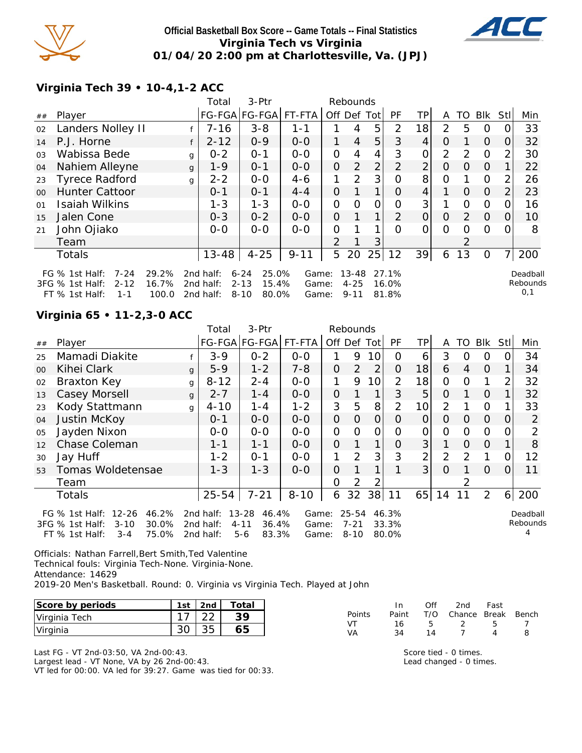

#### **Official Basketball Box Score -- Game Totals -- Final Statistics Virginia Tech vs Virginia 01/04/20 2:00 pm at Charlottesville, Va. (JPJ)**



**Virginia Tech 39 • 10-4,1-2 ACC**

|                |                                                                                                                       |   | Total                               | 3-Ptr                                                       | Rebounds                |                |                                   |                |                         |                |          |               |          |          |                             |
|----------------|-----------------------------------------------------------------------------------------------------------------------|---|-------------------------------------|-------------------------------------------------------------|-------------------------|----------------|-----------------------------------|----------------|-------------------------|----------------|----------|---------------|----------|----------|-----------------------------|
| ##             | Player                                                                                                                |   |                                     | FG-FGA FG-FGA  FT-FTA                                       |                         | Off Def Tot    |                                   |                | PF                      | ΤP             | A        |               | TO BIK   | Stll     | Min                         |
| 02             | Landers Nolley II                                                                                                     |   | $7 - 16$                            | $3 - 8$                                                     | 1-1                     |                | 4                                 | 5              | 2                       | 18             | 2        | 5             | 0        |          | 33                          |
| 14             | P.J. Horne                                                                                                            |   | $2 - 12$                            | $0 - 9$                                                     | $0 - 0$                 | 1              | $\overline{4}$                    | 5              | 3                       | 4              | $\Omega$ |               | $\Omega$ | $\Omega$ | 32                          |
| 0 <sub>3</sub> | Wabissa Bede                                                                                                          | g | $0 - 2$                             | $O - 1$                                                     | $0 - 0$                 | 0              | 4                                 | 4              | 3                       | 0              | 2        | $\mathcal{P}$ | $\Omega$ | 2        | 30                          |
| 04             | Nahiem Alleyne                                                                                                        | g | $1 - 9$                             | $O - 1$                                                     | $0-0$                   | $\overline{O}$ | 2                                 | $\overline{2}$ | $\overline{2}$          | $\overline{2}$ | 0        | $\Omega$      | $\Omega$ |          | 22                          |
| 23             | <b>Tyrece Radford</b>                                                                                                 | g | $2 - 2$                             | $O-O$                                                       | $4 - 6$                 | $\mathbf{1}$   | 2                                 | 3 <sup>1</sup> | O                       | 8              | 0        |               | $\Omega$ | 2        | 26                          |
| 0 <sup>0</sup> | <b>Hunter Cattoor</b>                                                                                                 |   | $0 - 1$                             | $O - 1$                                                     | $4 - 4$                 | $\Omega$       | 1                                 | $\mathbf 1$    | O                       | 4              | 1        | $\Omega$      | $\Omega$ | 2        | 23                          |
| 01             | <b>Isaiah Wilkins</b>                                                                                                 |   | $1 - 3$                             | $1 - 3$                                                     | $0-0$                   | O              | Ω                                 | 0              | 0                       | 3              |          | $\Omega$      | $\Omega$ |          | 16                          |
| 15             | Jalen Cone                                                                                                            |   | $0 - 3$                             | $0 - 2$                                                     | $0-0$                   | $\Omega$       |                                   | $\mathbf 1$    | 2                       | $\overline{O}$ | $\Omega$ | 2             | $\Omega$ | O        | 10                          |
| 21             | John Ojiako                                                                                                           |   | $0 - 0$                             | $0 - 0$                                                     | $O-O$                   | O              |                                   | 1              | ∩                       | 0              | $\Omega$ | $\Omega$      | $\Omega$ |          | 8                           |
|                | Team                                                                                                                  |   |                                     |                                                             |                         | 2              |                                   | 3              |                         |                |          |               |          |          |                             |
|                | <b>Totals</b>                                                                                                         |   | $13 - 48$                           | $4 - 25$                                                    | $9 - 11$                | 5              | 20                                | 25             | 12                      | 39             | 6        | 13            | $\Omega$ |          | 200                         |
|                | FG $%$ 1st Half:<br>$7 - 24$<br>29.2%<br>3FG % 1st Half:<br>$2 - 12$<br>16.7%<br>$FT$ % 1st Half:<br>100.0<br>$1 - 1$ |   | 2nd half:<br>2nd half:<br>2nd half: | $6 - 24$<br>25.0%<br>$2 - 13$<br>15.4%<br>$8 - 10$<br>80.0% | Game:<br>Game:<br>Game: |                | $13 - 48$<br>$4 - 25$<br>$9 - 11$ |                | 27.1%<br>16.0%<br>81.8% |                |          |               |          |          | Deadball<br>Rebounds<br>0,1 |

## **Virginia 65 • 11-2,3-0 ACC**

|                |                                                                                                                        |              | 3-Ptr<br>Rebounds<br>Total          |                                                             |                         |                |                                   |                 |                         |                 |                |                |                |                |                      |
|----------------|------------------------------------------------------------------------------------------------------------------------|--------------|-------------------------------------|-------------------------------------------------------------|-------------------------|----------------|-----------------------------------|-----------------|-------------------------|-----------------|----------------|----------------|----------------|----------------|----------------------|
| ##             | Player                                                                                                                 |              |                                     | FG-FGA FG-FGA                                               | FT-FTA                  | Off Def Tot    |                                   |                 | PF                      | <b>TP</b>       | A              | TO I           | Blk            | Stll           | Min                  |
| 25             | Mamadi Diakite                                                                                                         |              | $3 - 9$                             | $0 - 2$                                                     | $0-0$                   | 1              | 9                                 | 10              | O                       | 6               | 3              | O              | O              | 0              | 34                   |
| 0 <sup>0</sup> | Kihei Clark                                                                                                            | g            | $5-9$                               | $1 - 2$                                                     | $7 - 8$                 | $\overline{O}$ | 2                                 | $\overline{2}$  | 0                       | 18              | 6              | $\overline{4}$ | $\Omega$       |                | 34                   |
| 02             | Braxton Key                                                                                                            | g            | $8 - 12$                            | $2 - 4$                                                     | $O-O$                   | 1              | 9                                 | 10 <sup>1</sup> | $\overline{2}$          | 18              | 0              | O              |                | 2              | 32                   |
| 13             | Casey Morsell                                                                                                          | $\mathbf{q}$ | $2 - 7$                             | $1 - 4$                                                     | $0-0$                   | $\overline{O}$ |                                   | 1               | 3                       | 5               | $\Omega$       |                | $\Omega$       |                | 32                   |
| 23             | Kody Stattmann                                                                                                         | g            | $4 - 10$                            | $1 - 4$                                                     | $1 - 2$                 | 3              | 5                                 | 8               | 2                       | 10 <sup>1</sup> | $\overline{2}$ |                | $\Omega$       |                | 33                   |
| 04             | Justin McKoy                                                                                                           |              | $0 - 1$                             | $0-0$                                                       | $O-O$                   | $\mathcal{O}$  | $\overline{O}$                    | $\overline{O}$  | $\Omega$                | $\overline{O}$  | $\Omega$       | 0              | $\overline{O}$ | $\Omega$       | 2                    |
| 05             | Jayden Nixon                                                                                                           |              | $O-O$                               | $O-O$                                                       | $O-O$                   | $\mathbf{O}$   | $\Omega$                          | $\mathcal{O}$   | $\overline{O}$          | $\mathcal{O}$   | $\Omega$       | 0              | $\Omega$       | 0              | 2                    |
| 12             | Chase Coleman                                                                                                          |              | $1 - 1$                             | $1 - 1$                                                     | $O-O$                   | $\overline{O}$ |                                   | 1               | Ο                       | 3               |                | $\overline{O}$ | 0              |                | 8                    |
| 30             | Jay Huff                                                                                                               |              | $1 - 2$                             | $O - 1$                                                     | $O-O$                   |                | $\overline{2}$                    | 3               | 3                       | $\overline{2}$  | $\overline{2}$ | 2              |                | 0              | 12                   |
| 53             | Tomas Woldetensae                                                                                                      |              | $1 - 3$                             | $1 - 3$                                                     | $0-0$                   | $\overline{O}$ |                                   | 1               |                         | 3               | $\Omega$       |                | $\Omega$       | $\Omega$       | 11                   |
|                | Team                                                                                                                   |              |                                     |                                                             |                         | $\Omega$       | 2                                 | 2               |                         |                 |                | $\mathcal{P}$  |                |                |                      |
|                | Totals                                                                                                                 |              | $25 - 54$                           | $7 - 21$                                                    | $8 - 10$                | 6              | 32                                | 38              | 11                      | 65              | 14             |                | 2              | 6 <sup>1</sup> | 200                  |
|                | $12 - 26$<br>46.2%<br>FG $%$ 1st Half:<br>30.0%<br>3FG % 1st Half:<br>$3 - 10$<br>75.0%<br>$FT$ % 1st Half:<br>$3 - 4$ |              | 2nd half:<br>2nd half:<br>2nd half: | $13 - 28$<br>46.4%<br>36.4%<br>$4 - 11$<br>83.3%<br>$5 - 6$ | Game:<br>Game:<br>Game: |                | $25 - 54$<br>$7 - 21$<br>$8 - 10$ |                 | 46.3%<br>33.3%<br>80.0% |                 |                |                |                |                | Deadball<br>Rebounds |

Officials: Nathan Farrell,Bert Smith,Ted Valentine Technical fouls: Virginia Tech-None. Virginia-None. Attendance: 14629 2019-20 Men's Basketball. Round: 0. Virginia vs Virginia Tech. Played at John

| Score by periods | 1st           | 2nd           | ctal- |        |          | Of  | 2nd    | Fast  |       |
|------------------|---------------|---------------|-------|--------|----------|-----|--------|-------|-------|
| Virginia Tech    | $\rightarrow$ | $\cap$<br>ے ے | 30    | Points | Paint    | T/O | Chance | Break | Bench |
| Virginia         | $\cap$<br>υc  | つに<br>ັບ      | 65    | VA     | 16<br>34 |     |        |       |       |

Last FG - VT 2nd-03:50, VA 2nd-00:43.

Largest lead - VT None, VA by 26 2nd-00:43.

VT led for 00:00. VA led for 39:27. Game was tied for 00:33.

Score tied - 0 times. Lead changed - 0 times.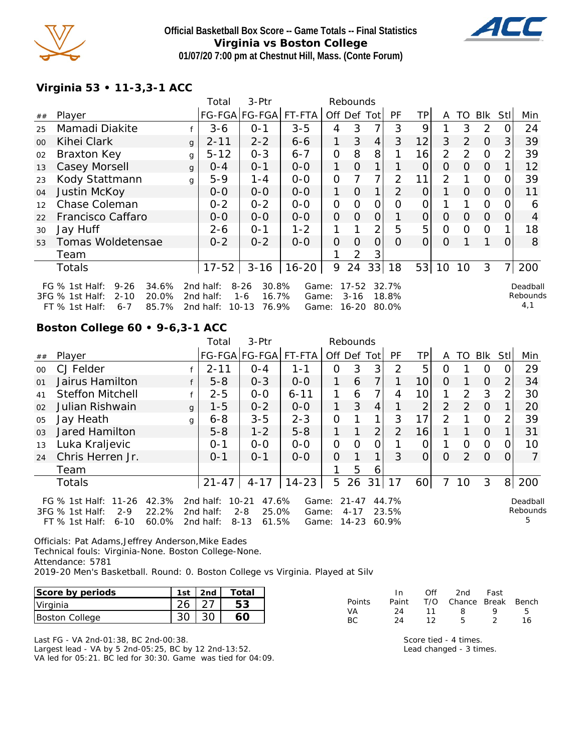

## **Official Basketball Box Score -- Game Totals -- Final Statistics Virginia vs Boston College 01/07/20 7:00 pm at Chestnut Hill, Mass. (Conte Forum)**



# **Virginia 53 • 11-3,3-1 ACC**

|        |                                                                                                                     |          | Total                               | 3-Ptr                                                       | Rebounds                |                |                                |                |                         |                |                |          |                |          |                             |
|--------|---------------------------------------------------------------------------------------------------------------------|----------|-------------------------------------|-------------------------------------------------------------|-------------------------|----------------|--------------------------------|----------------|-------------------------|----------------|----------------|----------|----------------|----------|-----------------------------|
| ##     | Player                                                                                                              |          |                                     | FG-FGA FG-FGA                                               | FT-FTA                  | Off Def        |                                | Totl           | PF                      | ΤP             | A              | TO       | Blk            | Stl      | Min                         |
| 25     | Mamadi Diakite                                                                                                      |          | $3 - 6$                             | $O - 1$                                                     | $3 - 5$                 | 4              | 3                              | 7              | 3                       | 9              |                | 3        | $\overline{2}$ |          | 24                          |
| $00\,$ | Kihei Clark                                                                                                         | $\alpha$ | $2 - 11$                            | $2 - 2$                                                     | $6 - 6$                 | 1              | 3                              | $\overline{4}$ | 3                       | 12             | 3              | 2        | $\overline{O}$ | 3        | 39                          |
| 02     | Braxton Key                                                                                                         | g        | $5 - 12$                            | $0 - 3$                                                     | $6 - 7$                 | 0              | 8                              | 8              |                         | 16             | $\overline{2}$ | 2        | $\Omega$       | 2        | 39                          |
| 13     | Casey Morsell                                                                                                       | g        | $O - 4$                             | $0 - 1$                                                     | $O-O$                   | 1              | $\Omega$                       | 1              |                         | 0              | 0              | $\Omega$ | $\Omega$       |          | 12                          |
| 23     | Kody Stattmann                                                                                                      | g        | $5 - 9$                             | $1 - 4$                                                     | $0 - 0$                 | O              |                                | 7              | 2                       | 11             | 2              |          | $\Omega$       |          | 39                          |
| 04     | Justin McKoy                                                                                                        |          | $O-O$                               | $0 - 0$                                                     | $0 - 0$                 | 1.             | $\Omega$                       | $\mathbf 1$    | 2                       | $\overline{O}$ |                | $\Omega$ | $\Omega$       | 0        | 11                          |
| 12     | Chase Coleman                                                                                                       |          | $0 - 2$                             | $0 - 2$                                                     | $0-0$                   | 0              | $\Omega$                       | 0              | Ω                       | 0              |                |          | $\Omega$       |          | 6                           |
| 22     | Francisco Caffaro                                                                                                   |          | $0 - 0$                             | $0 - 0$                                                     | $0-0$                   | $\overline{O}$ | $\Omega$                       | $\Omega$       |                         | 0              | $\Omega$       | $\Omega$ | $\overline{O}$ | $\Omega$ | $\overline{4}$              |
| 30     | Jay Huff                                                                                                            |          | $2 - 6$                             | $O - 1$                                                     | $1 - 2$                 | 1              |                                | $\overline{2}$ | 5                       | 5              | $\Omega$       | $\Omega$ | $\Omega$       |          | 18                          |
| 53     | Tomas Woldetensae                                                                                                   |          | $0 - 2$                             | $0 - 2$                                                     | $O-O$                   | O              | $\Omega$                       | 0              | 0                       | 0              | 0              |          |                | $\Omega$ | 8                           |
|        | Team                                                                                                                |          |                                     |                                                             |                         |                | 2                              | 3              |                         |                |                |          |                |          |                             |
|        | Totals                                                                                                              |          | $17 - 52$                           | $3 - 16$                                                    | $16 - 20$               | 9              | 24                             | 33             | 18                      | 53             | 10             | 10       | 3              |          | 200                         |
|        | FG $%$ 1st Half:<br>$9 - 26$<br>34.6%<br>3FG % 1st Half:<br>$2 - 10$<br>20.0%<br>FT % 1st Half:<br>85.7%<br>$6 - 7$ |          | 2nd half:<br>2nd half:<br>2nd half: | $8 - 26$<br>30.8%<br>16.7%<br>$1 - 6$<br>76.9%<br>$10 - 13$ | Game:<br>Game:<br>Game: |                | $17 - 52$<br>$3 - 16$<br>16-20 |                | 32.7%<br>18.8%<br>80.0% |                |                |          |                |          | Deadball<br>Rebounds<br>4,1 |

# **Boston College 60 • 9-6,3-1 ACC**

|                |                                                                                    |                         | Total                               | 3-Ptr                                                       | Rebounds                |             |                                    |    |                         |    |          |               |          |                |                           |
|----------------|------------------------------------------------------------------------------------|-------------------------|-------------------------------------|-------------------------------------------------------------|-------------------------|-------------|------------------------------------|----|-------------------------|----|----------|---------------|----------|----------------|---------------------------|
| ##             | Player                                                                             |                         |                                     | FG-FGA FG-FGA  FT-FTA                                       |                         | Off Def Tot |                                    |    | PF                      | TP | A        | TO            | Blk      | <b>StII</b>    | Min                       |
| $00 \,$        | CJ Felder                                                                          |                         | $2 - 11$                            | $O - 4$                                                     | $1 - 1$                 | 0           | 3                                  | 3  | 2                       | 5  | O        |               | $\Omega$ |                | 29                        |
| 01             | Jairus Hamilton                                                                    |                         | $5 - 8$                             | $0 - 3$                                                     | $0 - 0$                 |             | 6                                  |    |                         | 10 | $\Omega$ |               | $\Omega$ | $\overline{2}$ | 34                        |
| 41             | <b>Steffon Mitchell</b>                                                            | £                       | $2 - 5$                             | $O - O$                                                     | $6 - 11$                |             | 6                                  | 7  | 4                       | 10 |          | $\mathcal{P}$ | 3        | 2              | 30                        |
| 02             | Julian Rishwain                                                                    | g                       | 1-5                                 | $0 - 2$                                                     | $0 - 0$                 |             | 3                                  | 4  |                         | 2  | 2        | $\mathcal{P}$ | $\Omega$ |                | 20                        |
| 05             | Jay Heath                                                                          | g                       | $6 - 8$                             | $3 - 5$                                                     | $2 - 3$                 | 0           |                                    |    | 3                       | 17 | 2        |               | $\Omega$ | 2              | 39                        |
| 0 <sub>3</sub> | Jared Hamilton                                                                     |                         | $5 - 8$                             | $1 - 2$                                                     | $5 - 8$                 |             |                                    | 2  | 2                       | 16 |          |               | $\Omega$ |                | 31                        |
| 13             | Luka Kraljevic                                                                     |                         | $0 - 1$                             | $0 - 0$                                                     | $0 - 0$                 | 0           | $\Omega$                           | Ω  |                         |    |          | $\Omega$      | $\Omega$ |                | 10                        |
| 24             | Chris Herren Jr.                                                                   |                         | $0 - 1$                             | $0 - 1$                                                     | $0 - 0$                 | 0           |                                    |    | 3                       | O  | 0        | $\mathcal{P}$ | $\Omega$ |                | $\overline{7}$            |
|                | Team                                                                               |                         |                                     |                                                             |                         |             | 5                                  | 6  |                         |    |          |               |          |                |                           |
|                | Totals                                                                             |                         | $21 - 47$                           | $4 - 17$                                                    | $14 - 23$               | 5           | 26                                 | 31 | 17                      | 60 |          | 10            | 3        | 8 <sup>1</sup> | 200                       |
|                | FG % 1st Half: 11-26<br>3FG % 1st Half:<br>$2 - 9$<br>$FT$ % 1st Half:<br>$6 - 10$ | 42.3%<br>22.2%<br>60.0% | 2nd half:<br>2nd half:<br>2nd half: | 47.6%<br>$10 - 21$<br>25.0%<br>$2 - 8$<br>$8 - 13$<br>61.5% | Game:<br>Game:<br>Game: |             | $21 - 47$<br>$4 - 17$<br>$14 - 23$ |    | 44.7%<br>23.5%<br>60.9% |    |          |               |          |                | Deadball<br>Rebounds<br>5 |

Officials: Pat Adams,Jeffrey Anderson,Mike Eades Technical fouls: Virginia-None. Boston College-None. Attendance: 5781 2019-20 Men's Basketball. Round: 0. Boston College vs Virginia. Played at Silv

| Score by periods      | 1st | 2nd | Total |
|-----------------------|-----|-----|-------|
| Virginia              |     |     |       |
| <b>Boston College</b> |     |     |       |

Last FG - VA 2nd-01:38, BC 2nd-00:38. Largest lead - VA by 5 2nd-05:25, BC by 12 2nd-13:52. VA led for 05:21. BC led for 30:30. Game was tied for 04:09.

|               | In.   | Off | 2nd                    | Fast |    |
|---------------|-------|-----|------------------------|------|----|
| <b>Points</b> | Paint |     | T/O Chance Break Bench |      |    |
| VA            | 24    | 11  | -8                     | o    | 5. |
| BC.           | 24    | 12  | Б                      |      | 16 |

Score tied - 4 times. Lead changed - 3 times.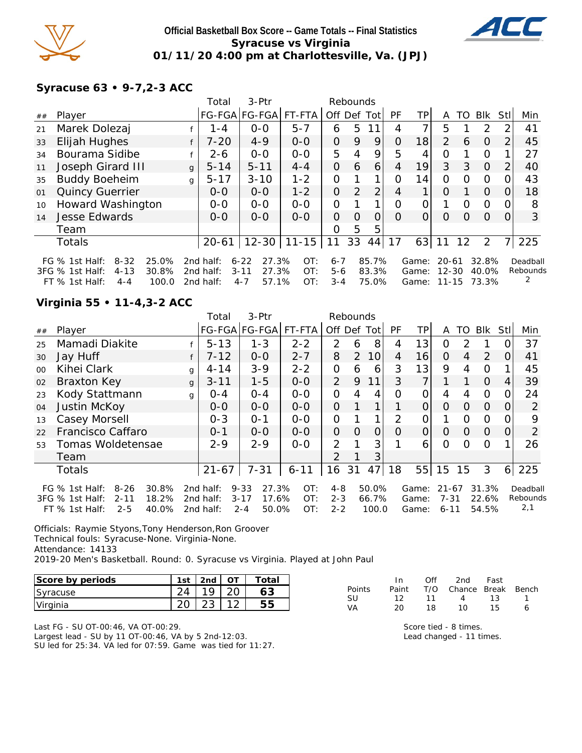

#### **Official Basketball Box Score -- Game Totals -- Final Statistics Syracuse vs Virginia 01/11/20 4:00 pm at Charlottesville, Va. (JPJ)**



## **Syracuse 63 • 9-7,2-3 ACC**

|    |                                       |              | Total     | 3-Ptr             |           |                | Rebounds |                |                |                 |                |          |          |                |          |
|----|---------------------------------------|--------------|-----------|-------------------|-----------|----------------|----------|----------------|----------------|-----------------|----------------|----------|----------|----------------|----------|
| ## | Player                                |              |           | FG-FGA FG-FGA     | FT-FTA    | Off Def Tot    |          |                | <b>PF</b>      | TPI             | A              | TO       | Blk      | Stll           | Min      |
| 21 | Marek Dolezaj                         |              | $1 - 4$   | $0-0$             | $5 - 7$   | 6              | 5        |                | 4              | 7.              | 5              |          | 2        | 2              | 41       |
| 33 | Elijah Hughes                         |              | $7 - 20$  | $4 - 9$           | $0 - 0$   | $\Omega$       | 9        | 9              | $\Omega$       | 18              | $\overline{2}$ | 6        | $\Omega$ | $\overline{2}$ | 45       |
| 34 | Bourama Sidibe                        |              | $2 - 6$   | $0-0$             | $0 - 0$   | 5              | 4        | 9              | 5              | 4               | O              |          | $\circ$  |                | 27       |
| 11 | Joseph Girard III                     | $\mathbf{q}$ | $5 - 14$  | $5 - 11$          | $4 - 4$   | $\overline{O}$ | 6        | 6              | 4              | 19 <sub>l</sub> | 3              | 3        | $\Omega$ | 2              | 40       |
| 35 | <b>Buddy Boeheim</b>                  | g            | $5 - 17$  | $3 - 10$          | $1 - 2$   | 0              | 1        | 1              | $\Omega$       | 14              | $\Omega$       | $\Omega$ | $\circ$  | 0              | 43       |
| 01 | <b>Quincy Guerrier</b>                |              | $0 - 0$   | $0 - 0$           | $1 - 2$   | $\overline{O}$ | 2        | $\overline{2}$ | $\overline{4}$ | 1               | O              |          | $\Omega$ | 0              | 18       |
| 10 | Howard Washington                     |              | $0 - 0$   | $0 - 0$           | $0-0$     | $\Omega$       |          | 1              | $\Omega$       | 0               | 1              | $\Omega$ | $\circ$  | 0              | 8        |
| 14 | <b>Jesse Edwards</b>                  |              | $0 - 0$   | $0 - 0$           | $0 - 0$   | $\Omega$       | $\Omega$ | 0              | $\Omega$       | 0               | $\Omega$       | Ω        | O        | O.             | 3        |
|    | Team                                  |              |           |                   |           | $\Omega$       | 5        | 5              |                |                 |                |          |          |                |          |
|    | <b>Totals</b>                         |              | $20 - 61$ | $12 - 30$         | $11 - 15$ | 11             | 33       | 44             | 17             | 63              | 11             | 12       | 2        | 7              | 225      |
|    | $8 - 32$<br>25.0%<br>FG $%$ 1st Half: |              | 2nd half: | 27.3%<br>$6 - 22$ | OT:       | $6 - 7$        |          | 85.7%          |                | Game:           | $20 - 61$      |          | 32.8%    |                | Deadball |
|    | 3FG % 1st Half:<br>30.8%<br>$4 - 13$  |              | 2nd half: | 27.3%<br>$3 - 11$ | OT:       | $5-6$          |          | 83.3%          |                | Game:           | $12 - 30$      |          | 40.0%    |                | Rebounds |
|    | $FT$ % 1st Half:<br>100.0<br>$4 - 4$  |              | 2nd half: | 57.1%<br>$4 - 7$  | OT:       | $3 - 4$        |          | 75.0%          |                | Game:           | $11 - 15$      |          | 73.3%    |                |          |

#### **Virginia 55 • 11-4,3-2 ACC**

|                |                              |              | 3-Ptr<br>Total |                   |          | Rebounds       |               |       |           |          |           |                |            |     |          |
|----------------|------------------------------|--------------|----------------|-------------------|----------|----------------|---------------|-------|-----------|----------|-----------|----------------|------------|-----|----------|
| ##             | Player                       |              |                | FG-FGA FG-FGA     | FT-FTA   | Off            | Def           | Tot   | <b>PF</b> | TP.      | A         | TO             | <b>BIK</b> | Stl | Min      |
| 25             | Mamadi Diakite               |              | $5 - 13$       | $1 - 3$           | $2 - 2$  | 2              | 6             | 8     | 4         | 13       | 0         | 2              |            |     | 37       |
| 30             | Jay Huff                     |              | $7 - 12$       | $0 - 0$           | $2 - 7$  | 8              | $\mathcal{P}$ | 10    | 4         | 16       | $\Omega$  | $\overline{4}$ | 2          | 0   | 41       |
| 0 <sup>0</sup> | Kihei Clark                  | g            | $4 - 14$       | $3 - 9$           | $2 - 2$  | O              | 6             | 6     | 3         | 13       | 9         | 4              | 0          |     | 45       |
| 02             | <b>Braxton Key</b>           | $\mathbf{q}$ | $3 - 11$       | $1 - 5$           | $0-0$    | 2              | 9             | 11    | 3         | 7        | 1         |                | $\Omega$   | 4   | 39       |
| 23             | Kody Stattmann               | g            | $0 - 4$        | $O - 4$           | $0-0$    | 0              | 4             | 4     | $\Omega$  | $\Omega$ | 4         | 4              | 0          | Ω   | 24       |
| 04             | Justin McKoy                 |              | $0 - 0$        | $0 - 0$           | $0 - 0$  | $\Omega$       | 1             | 1     |           | $\Omega$ | $\Omega$  | $\Omega$       | $\Omega$   | 0   | 2        |
| 13             | Casey Morsell                |              | $0 - 3$        | $0 - 1$           | $0-0$    | $\overline{O}$ |               |       | 2         | 0        |           | $\Omega$       | 0          |     | 9        |
| 22             | Francisco Caffaro            |              | $0 - 1$        | $0 - 0$           | $0 - 0$  | $\Omega$       | $\Omega$      | 0     | O         | 0        | $\Omega$  | $\Omega$       | $\Omega$   | O   | 2        |
| 53             | Tomas Woldetensae            |              | $2 - 9$        | $2 - 9$           | $0-0$    | 2              |               | 3     |           | 6        | Ω         | Ω              | $\Omega$   |     | 26       |
|                | Team                         |              |                |                   |          | $\mathcal{P}$  |               | 3     |           |          |           |                |            |     |          |
|                | Totals                       |              | $21 - 67$      | $7 - 31$          | $6 - 11$ | 16             | 31            | 47    | 18        | 55       | 15        | 15             | 3          | 6   | 225      |
|                | FG $%$ 1st Half:<br>$8 - 26$ | 30.8%        | 2nd half:      | 27.3%<br>$9 - 33$ | OT:      | $4 - 8$        |               | 50.0% |           | Game:    | $21 - 67$ |                | 31.3%      |     | Deadball |
|                | 3FG % 1st Half:<br>$2 - 11$  | 18.2%        | 2nd half:      | 17.6%<br>$3 - 17$ | OT:      | $2 - 3$        |               | 66.7% |           | Game:    | $7 - 31$  |                | 22.6%      |     | Rebounds |
|                | $2 - 5$<br>FT % 1st Half:    | 40.0%        | 2nd half:      | 50.0%<br>$2 - 4$  | OT:      | $2 - 2$        |               | 100.0 |           | Game:    | $6 - 11$  |                | 54.5%      |     | 2,1      |

Officials: Raymie Styons,Tony Henderson,Ron Groover Technical fouls: Syracuse-None. Virginia-None. Attendance: 14133 2019-20 Men's Basketball. Round: 0. Syracuse vs Virginia. Played at John Paul

| Score by periods | 1st              | 2nd | Totai |
|------------------|------------------|-----|-------|
| Syracuse         | $\sim$ $\lambda$ |     |       |
| Virginia         | റ                |     |       |

Last FG - SU OT-00:46, VA OT-00:29. Largest lead - SU by 11 OT-00:46, VA by 5 2nd-12:03. SU led for 25:34. VA led for 07:59. Game was tied for 11:27.

|               | In.   | Off         | 2nd                    | Fast |  |
|---------------|-------|-------------|------------------------|------|--|
| <b>Points</b> | Paint |             | T/O Chance Break Bench |      |  |
| <b>SU</b>     | 12.   | $\sqrt{11}$ | $\mathbf{\Delta}$      | 13   |  |
| VА            | 20    | 18.         | 1 O                    | 15.  |  |

Score tied - 8 times. Lead changed - 11 times.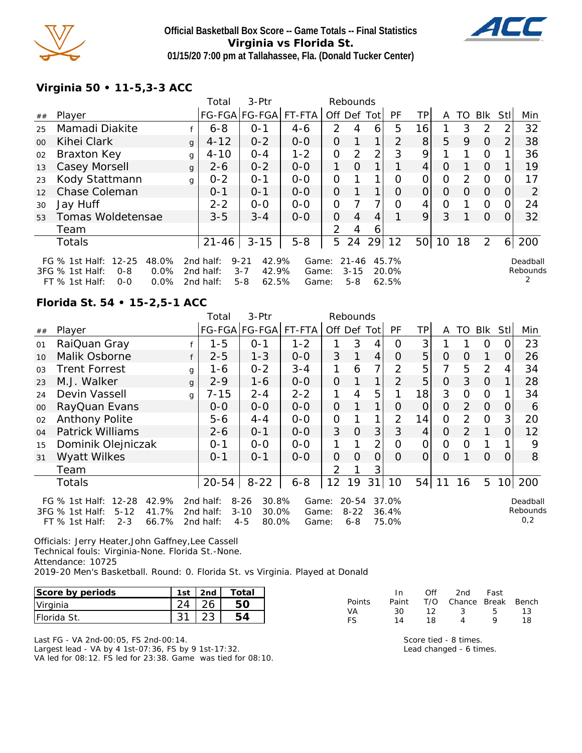

## **Official Basketball Box Score -- Game Totals -- Final Statistics Virginia vs Florida St. 01/15/20 7:00 pm at Tallahassee, Fla. (Donald Tucker Center)**



**Virginia 50 • 11-5,3-3 ACC**

|         |                                                                                                          |   | Total                               | $3-$ Ptr                                                  |                         |                | Rebounds                         |                |                         |                |    |               |               |      |                           |
|---------|----------------------------------------------------------------------------------------------------------|---|-------------------------------------|-----------------------------------------------------------|-------------------------|----------------|----------------------------------|----------------|-------------------------|----------------|----|---------------|---------------|------|---------------------------|
| ##      | Player                                                                                                   |   |                                     | FG-FGA FG-FGA FT-FTA                                      |                         | Off Def Tot    |                                  |                | <b>PF</b>               | TP.            | A  | TO            | Blk           | Stll | Min                       |
| 25      | Mamadi Diakite                                                                                           |   | $6 - 8$                             | $0 - 1$                                                   | $4 - 6$                 | 2              | 4                                | 6              | 5                       | 16             |    | 3             | $\mathcal{P}$ | 2    | 32                        |
| $00 \,$ | Kihei Clark                                                                                              | g | $4 - 12$                            | $0 - 2$                                                   | $0-0$                   | 0              |                                  | 1              | 2                       | 8 <sup>1</sup> | 5  | 9             | $\Omega$      | 2    | 38                        |
| 02      | Braxton Key                                                                                              | g | $4 - 10$                            | $0 - 4$                                                   | $1 - 2$                 | $\mathcal{O}$  | 2                                | $\overline{2}$ | 3                       | 9              |    |               | 0             |      | 36                        |
| 13      | Casey Morsell                                                                                            | g | $2 - 6$                             | $0 - 2$                                                   | $0-0$                   |                | $\circ$                          | 1              |                         | 4              | O  |               | $\Omega$      |      | 19                        |
| 23      | Kody Stattmann                                                                                           | q | $0 - 2$                             | $O - 1$                                                   | $0 - 0$                 | $\Omega$       |                                  | 1              | Ο                       | 0              | Ο  | $\mathcal{P}$ | $\Omega$      |      | 17                        |
| 12      | Chase Coleman                                                                                            |   | $O - 1$                             | $O - 1$                                                   | $0 - 0$                 | $\Omega$       |                                  | 1              | $\Omega$                | 0              | O  | Ω             | $\Omega$      | 0    | 2                         |
| 30      | Jay Huff                                                                                                 |   | $2 - 2$                             | $0-0$                                                     | $0-0$                   | $\mathcal{O}$  |                                  | 7              | Ω                       | 4              | Ο  |               | $\Omega$      |      | 24                        |
| 53      | Tomas Woldetensae                                                                                        |   | $3 - 5$                             | $3 - 4$                                                   | $0 - 0$                 | $\overline{O}$ | 4                                | 4              |                         | 9              | 3  |               | $\Omega$      |      | 32                        |
|         | Team                                                                                                     |   |                                     |                                                           |                         | $\overline{2}$ | 4                                | 6              |                         |                |    |               |               |      |                           |
|         | Totals                                                                                                   |   | $21 - 46$                           | $3 - 15$                                                  | $5 - 8$                 | 5              | 24                               | 29             | 12                      | 50             | 10 | 18            | 2             | 6    | 200                       |
|         | FG % 1st Half: 12-25<br>48.0%<br>0.0%<br>3FG % 1st Half:<br>$O - 8$<br>0.0%<br>$FT$ % 1st Half:<br>$O-O$ |   | 2nd half:<br>2nd half:<br>2nd half: | $9 - 21$<br>42.9%<br>$3 - 7$<br>42.9%<br>$5 - 8$<br>62.5% | Game:<br>Game:<br>Game: |                | $21 - 46$<br>$3 - 15$<br>$5 - 8$ |                | 45.7%<br>20.0%<br>62.5% |                |    |               |               |      | Deadball<br>Rebounds<br>2 |

#### **Florida St. 54 • 15-2,5-1 ACC**

|        |                                                                                                                        |              | Total                               | 3-Ptr                                                      |                         |                | Rebounds                         |                |                         |          |                |                |                |                |                             |
|--------|------------------------------------------------------------------------------------------------------------------------|--------------|-------------------------------------|------------------------------------------------------------|-------------------------|----------------|----------------------------------|----------------|-------------------------|----------|----------------|----------------|----------------|----------------|-----------------------------|
| $\#\#$ | Player                                                                                                                 |              |                                     | FG-FGA FG-FGA                                              | FT-FTA                  | Off Def        |                                  | Totl           | <b>PF</b>               | TP       | A              | TO             | Blk            | <b>StI</b>     | Min                         |
| 01     | RaiQuan Gray                                                                                                           |              | $1 - 5$                             | $0 - 1$                                                    | $1 - 2$                 |                | 3                                | 4              | Ω                       | 3        |                |                | O              | 0              | 23                          |
| 10     | Malik Osborne                                                                                                          | f            | $2 - 5$                             | $1 - 3$                                                    | $0-0$                   | 3              | 1                                | $\overline{4}$ | O                       | 5        | 0              | O              | 1              | 0              | 26                          |
| 03     | <b>Trent Forrest</b>                                                                                                   | g            | 1-6                                 | $0 - 2$                                                    | $3 - 4$                 | 1              | 6                                | $\overline{7}$ | $\overline{2}$          | 5        | 7              | 5              | $\overline{2}$ | 4              | 34                          |
| 23     | M.J. Walker                                                                                                            | $\mathbf{q}$ | $2 - 9$                             | $1 - 6$                                                    | $0-0$                   | $\overline{O}$ |                                  | $\mathbf{1}$   | $\mathcal{P}$           | 5        | $\overline{O}$ | 3              | $\Omega$       |                | 28                          |
| 24     | Devin Vassell                                                                                                          | g            | $7 - 15$                            | $2 - 4$                                                    | $2 - 2$                 | 1              | 4                                | 5              |                         | 18       | 3              | O              | $\Omega$       |                | 34                          |
| 00     | RayQuan Evans                                                                                                          |              | $O-O$                               | $0 - 0$                                                    | $0-0$                   | $\overline{O}$ |                                  | 1              | O                       | 0        | O              | 2              | $\Omega$       | 0              | 6                           |
| 02     | Anthony Polite                                                                                                         |              | $5 - 6$                             | $4 - 4$                                                    | $O-O$                   | $\mathcal{O}$  |                                  |                | $\overline{2}$          | 14       | $\overline{O}$ | $\overline{2}$ | $\Omega$       | 3 <sub>l</sub> | 20                          |
| 04     | <b>Patrick Williams</b>                                                                                                |              | $2 - 6$                             | $0 - 1$                                                    | $O-O$                   | 3              | $\overline{O}$                   | 3              | 3                       | 4        | $\Omega$       | 2              | 1              | $\Omega$       | 12                          |
| 15     | Dominik Olejniczak                                                                                                     |              | $0 - 1$                             | $0-0$                                                      | $0-0$                   |                |                                  | $\overline{2}$ | 0                       | $\Omega$ | $\Omega$       | $\Omega$       |                |                | 9                           |
| 31     | Wyatt Wilkes                                                                                                           |              | $0 - 1$                             | $0 - 1$                                                    | $0-0$                   | 0              | $\Omega$                         | $\overline{O}$ | $\Omega$                | 0        | O              |                | $\Omega$       | 0              | 8                           |
|        | Team                                                                                                                   |              |                                     |                                                            |                         | $\overline{2}$ |                                  | 3              |                         |          |                |                |                |                |                             |
|        | <b>Totals</b>                                                                                                          |              | $20 - 54$                           | $8 - 22$                                                   | $6 - 8$                 | 12             | 19                               | 31             | 10                      | 54       | 11             | 16             | 5              |                | 10 200                      |
|        | $12 - 28$<br>42.9%<br>FG $%$ 1st Half:<br>$5 - 12$<br>41.7%<br>3FG % 1st Half:<br>66.7%<br>$2 - 3$<br>$FT$ % 1st Half: |              | 2nd half:<br>2nd half:<br>2nd half: | $8 - 26$<br>30.8%<br>$3 - 10$<br>30.0%<br>$4 - 5$<br>80.0% | Game:<br>Game:<br>Game: |                | $20 - 54$<br>$8 - 22$<br>$6 - 8$ |                | 37.0%<br>36.4%<br>75.0% |          |                |                |                |                | Deadball<br>Rebounds<br>0,2 |

Officials: Jerry Heater,John Gaffney,Lee Cassell Technical fouls: Virginia-None. Florida St.-None. Attendance: 10725 2019-20 Men's Basketball. Round: 0. Florida St. vs Virginia. Played at Donald

| Score by periods    | 1 <sub>ct</sub> | 2n <sub>0</sub> | Totai |
|---------------------|-----------------|-----------------|-------|
| Virginia            |                 |                 |       |
| <b>IFlorida St.</b> |                 |                 |       |

Last FG - VA 2nd-00:05, FS 2nd-00:14. Largest lead - VA by 4 1st-07:36, FS by 9 1st-17:32. VA led for 08:12. FS led for 23:38. Game was tied for 08:10.

|        | In In | ∩ff | - 2nd - Fast                      |       |    |
|--------|-------|-----|-----------------------------------|-------|----|
| Points | Paint |     | T/O Chance Break Bench            |       |    |
| VA     | 30.   | 12  | $\mathbb{R}^2$ and $\mathbb{R}^2$ | - 5 - | 13 |
| FS.    | 14    | 18  | Δ                                 | o     | 18 |

Score tied - 8 times. Lead changed - 6 times.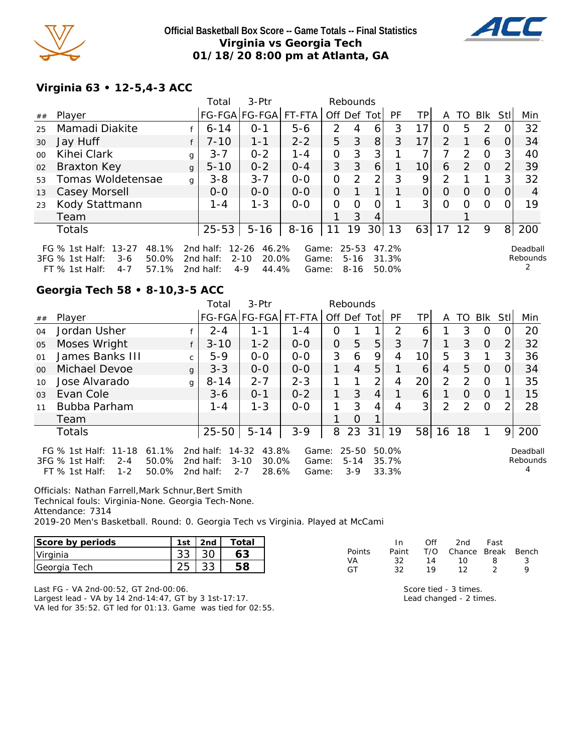

**Official Basketball Box Score -- Game Totals -- Final Statistics Virginia vs Georgia Tech 01/18/20 8:00 pm at Atlanta, GA**



#### **Virginia 63 • 12-5,4-3 ACC**

|                 |                                                                                                                     |              | Total                               | 3-Ptr                                                       |                         |                | Rebounds                          |                 |                         |                 |                |                |          |      |                      |
|-----------------|---------------------------------------------------------------------------------------------------------------------|--------------|-------------------------------------|-------------------------------------------------------------|-------------------------|----------------|-----------------------------------|-----------------|-------------------------|-----------------|----------------|----------------|----------|------|----------------------|
| ##              | Player                                                                                                              |              |                                     | FG-FGA FG-FGA                                               | FT-FTA                  | Off Def Tot    |                                   |                 | <b>PF</b>               | TP              | A              | TO.            | Blk      | Stll | Min                  |
| 25              | Mamadi Diakite                                                                                                      |              | $6 - 14$                            | $O - 1$                                                     | $5 - 6$                 | 2              | 4                                 | 6               | 3                       | 17              | 0              | 5              | 2        |      | 32                   |
| 30              | Jay Huff                                                                                                            |              | $7 - 10$                            | $1 - 1$                                                     | $2 - 2$                 | 5              | 3                                 | 8               | 3                       | 17              | $\overline{2}$ |                | 6        |      | 34                   |
| 00 <sup>2</sup> | Kihei Clark                                                                                                         | g            | $3 - 7$                             | $0 - 2$                                                     | 1-4                     | 0              | 3                                 | 3               |                         |                 |                | $\mathcal{P}$  | $\Omega$ | 3    | 40                   |
| 02              | <b>Braxton Key</b>                                                                                                  | $\mathbf{q}$ | $5 - 10$                            | $0 - 2$                                                     | $0 - 4$                 | 3              | 3                                 | 6               |                         | 10 <sup>1</sup> | 6              | $\overline{2}$ | $\Omega$ | 2    | 39                   |
| 53              | Tomas Woldetensae                                                                                                   | $\mathbf{q}$ | $3 - 8$                             | $3 - 7$                                                     | $0 - 0$                 | 0              | 2                                 | 2 <sub>1</sub>  | 3                       | 9               | 2              |                |          | 3    | 32                   |
| 13              | Casey Morsell                                                                                                       |              | $O - O$                             | $0 - 0$                                                     | $0 - 0$                 | $\overline{O}$ |                                   |                 |                         | $\overline{O}$  | $\Omega$       | $\Omega$       | $\Omega$ | 0    | 4                    |
| 23              | Kody Stattmann                                                                                                      |              | $1 - 4$                             | $1 - 3$                                                     | $0 - 0$                 | O              | Ω                                 | Ω               |                         | 3               | 0              | 0              | $\Omega$ |      | 19                   |
|                 | Team                                                                                                                |              |                                     |                                                             |                         |                | 3                                 | 4               |                         |                 |                |                |          |      |                      |
|                 | Totals                                                                                                              |              | $25 - 53$                           | $5 - 16$                                                    | $8 - 16$                | 11             | 19                                | 30 <sup>1</sup> | 13                      | 63              | 17             | -12            | 9        | 8    | 200                  |
|                 | FG $%$ 1st Half:<br>$13 - 27$<br>48.1%<br>50.0%<br>3FG % 1st Half:<br>$3-6$<br>57.1%<br>$FT$ % 1st Half:<br>$4 - 7$ |              | 2nd half:<br>2nd half:<br>2nd half: | $12 - 26$<br>46.2%<br>20.0%<br>$2 - 10$<br>$4 - 9$<br>44.4% | Game:<br>Game:<br>Game: |                | $25 - 53$<br>$5 - 16$<br>$8 - 16$ |                 | 47.2%<br>31.3%<br>50.0% |                 |                |                |          |      | Deadball<br>Rebounds |

#### **Georgia Tech 58 • 8-10,3-5 ACC**

|                |                                                                                   |                         | Total                               | $3-Ptr$                                                 |                         | Rebounds       |                            |                |                         |                 |                |               |          |      |                      |
|----------------|-----------------------------------------------------------------------------------|-------------------------|-------------------------------------|---------------------------------------------------------|-------------------------|----------------|----------------------------|----------------|-------------------------|-----------------|----------------|---------------|----------|------|----------------------|
| ##             | Plaver                                                                            |                         |                                     | FG-FGA FG-FGA                                           | FT-FTA                  | Off Def Tot    |                            |                | <b>PF</b>               | TP.             | A              | TO.           | Blk      | Stll | Min                  |
| O <sub>4</sub> | Jordan Usher                                                                      |                         | $2 - 4$                             | $1 - 1$                                                 | $1 - 4$                 | Ο              |                            |                | 2                       | 6               |                | 3             | O        |      | 20                   |
| 05             | Moses Wright                                                                      |                         | $3 - 10$                            | $1 - 2$                                                 | $0-0$                   | $\overline{O}$ | 5                          | 5              | 3                       | 7 <sub>1</sub>  |                | 3             | $\Omega$ | 2    | 32                   |
| 01             | James Banks III                                                                   | $\mathsf{C}$            | $5-9$                               | $0 - 0$                                                 | $0 - 0$                 | 3              | 6                          | 9              | 4                       | 10              | 5              | 3             |          | 3    | 36                   |
| 0 <sup>0</sup> | Michael Devoe                                                                     | $\mathbf{q}$            | $3 - 3$                             | $0 - 0$                                                 | $0 - 0$                 |                | $\overline{4}$             | 5              |                         | 6               | 4              | 5             | $\Omega$ | 0    | 34                   |
| 10             | Jose Alvarado                                                                     | g                       | $8 - 14$                            | $2 - 7$                                                 | $2 - 3$                 |                |                            | $\overline{2}$ | 4                       | 20 <sub>l</sub> | 2              | $\mathcal{P}$ | $\Omega$ |      | 35                   |
| 0 <sub>3</sub> | Evan Cole                                                                         |                         | $3-6$                               | $0 - 1$                                                 | $0 - 2$                 |                | 3                          | 4              |                         | 6               |                | $\Omega$      | $\Omega$ |      | 15                   |
| 11             | Bubba Parham                                                                      |                         | 1 - 4                               | $1 - 3$                                                 | $0 - 0$                 | 1              | 3                          | 4              | 4                       | 3               | $\overline{2}$ | $\mathcal{P}$ | $\Omega$ | 2    | 28                   |
|                | Team                                                                              |                         |                                     |                                                         |                         |                | $\Omega$                   |                |                         |                 |                |               |          |      |                      |
|                | <b>Totals</b>                                                                     |                         | $25 - 50$                           | $5 - 14$                                                | $3 - 9$                 | 8              | 23                         | 31             | 19                      | 58              | 16             | 18            |          | 9    | 200                  |
|                | FG % 1st Half: 11-18<br>3FG % 1st Half:<br>$2 - 4$<br>$1 - 2$<br>$FT$ % 1st Half: | 61.1%<br>50.0%<br>50.0% | 2nd half:<br>2nd half:<br>2nd half: | 43.8%<br>14-32<br>$3 - 10$<br>30.0%<br>$2 - 7$<br>28.6% | Game:<br>Game:<br>Game: |                | 25-50<br>$5 - 14$<br>$3-9$ |                | 50.0%<br>35.7%<br>33.3% |                 |                |               |          |      | Deadball<br>Rebounds |

Officials: Nathan Farrell, Mark Schnur, Bert Smith

Technical fouls: Virginia-None. Georgia Tech-None.

Attendance: 7314

2019-20 Men's Basketball. Round: 0. Georgia Tech vs Virginia. Played at McCami

| Score by periods | 1st       | 2nd       | $\tau$ otal |          |         | Off | 2nd      | Fast  |       |
|------------------|-----------|-----------|-------------|----------|---------|-----|----------|-------|-------|
| Virginia         | っっ<br>აა  | 30        | 62          | Points   | Paint   | T/O | Chance   | Break | Bench |
| Georgia Tech     | つに<br>ں ے | 33<br>ັບປ | 58          | VA<br>GT | 32<br>ັ | 10  | 10<br>1つ | ∸     |       |

Last FG - VA 2nd-00:52, GT 2nd-00:06. Largest lead - VA by 14 2nd-14:47, GT by 3 1st-17:17. VA led for 35:52. GT led for 01:13. Game was tied for 02:55. Score tied - 3 times. Lead changed - 2 times.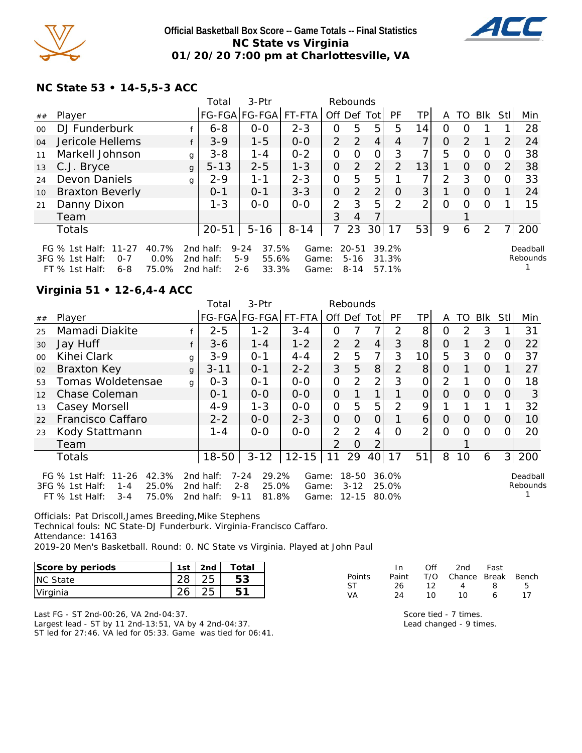

#### **Official Basketball Box Score -- Game Totals -- Final Statistics NC State vs Virginia 01/20/20 7:00 pm at Charlottesville, VA**



## **NC State 53 • 14-5,5-3 ACC**

|         |                                                                                   |                        | Total                               | $3-Ptr$                                                 |                         |                | Rebounds                          |                 |                         |                |          |          |                |     |                      |
|---------|-----------------------------------------------------------------------------------|------------------------|-------------------------------------|---------------------------------------------------------|-------------------------|----------------|-----------------------------------|-----------------|-------------------------|----------------|----------|----------|----------------|-----|----------------------|
| ##      | Player                                                                            |                        |                                     | FG-FGA FG-FGA                                           | FT-FTA                  | Off            | Def                               | Totl            | <b>PF</b>               | TP             | A        | TO.      | Blk            | Stl | Min                  |
| $00 \,$ | DJ Funderburk                                                                     |                        | $6 - 8$                             | $0 - 0$                                                 | $2 - 3$                 | Ο              | 5                                 | 5               | 5                       | 14             | 0        | $\Omega$ |                |     | 28                   |
| 04      | Jericole Hellems                                                                  |                        | $3 - 9$                             | $1 - 5$                                                 | $0-0$                   | $\overline{2}$ | 2                                 | $\overline{4}$  | 4                       | 7 <sup>1</sup> | $\Omega$ | 2        |                | 2   | 24                   |
| 11      | Markell Johnson                                                                   |                        | $3 - 8$<br>$\mathbf{q}$             | $1 - 4$                                                 | $0 - 2$                 | O              | $\Omega$                          | 0               | 3                       | 7 <sub>1</sub> | 5        | $\Omega$ | $\Omega$       |     | 38                   |
| 13      | C.J. Bryce                                                                        |                        | $5 - 13$<br>$\mathbf{q}$            | $2 - 5$                                                 | $1 - 3$                 | Ο              | 2                                 | $\overline{2}$  | 2                       | 13             |          | $\Omega$ | $\Omega$       |     | 38                   |
| 24      | Devon Daniels                                                                     |                        | $2 - 9$<br>$\mathbf{q}$             | 1-1                                                     | $2 - 3$                 | O              | 5                                 | 5               |                         | $\overline{7}$ | 2        | 3        | $\Omega$       |     | 33                   |
| 10      | <b>Braxton Beverly</b>                                                            |                        | $0 - 1$                             | $0 - 1$                                                 | $3 - 3$                 | $\overline{O}$ | 2                                 | 2               | 0                       | 3              |          | $\Omega$ | $\Omega$       |     | 24                   |
| 21      | Danny Dixon                                                                       |                        | $1 - 3$                             | $0 - 0$                                                 | $0 - 0$                 | 2              | 3                                 | 5               | 2                       | $\overline{2}$ | $\Omega$ | $\Omega$ | $\Omega$       |     | 15                   |
|         | Team                                                                              |                        |                                     |                                                         |                         | 3              | 4                                 |                 |                         |                |          |          |                |     |                      |
|         | <b>Totals</b>                                                                     |                        | $20 - 51$                           | $5 - 16$                                                | $8 - 14$                | 7              | 23                                | 30 <sup>l</sup> | 17                      | 53             | 9        | 6        | $\overline{2}$ |     | 200                  |
|         | FG % 1st Half: 11-27<br>3FG % 1st Half:<br>$0 - 7$<br>$6 - 8$<br>FT $%$ 1st Half: | 40.7%<br>0.0%<br>75.0% | 2nd half:<br>2nd half:<br>2nd half: | $9 - 24$<br>37.5%<br>$5-9$<br>55.6%<br>$2 - 6$<br>33.3% | Game:<br>Game:<br>Game: |                | $20 - 51$<br>$5 - 16$<br>$8 - 14$ |                 | 39.2%<br>31.3%<br>57.1% |                |          |          |                |     | Deadball<br>Rebounds |

# **Virginia 51 • 12-6,4-4 ACC**

|         |                                                                                                              |              | Total                               | 3-Ptr                                                      |                         |                | Rebounds                       |                |                         |                 |                |                |          |          |                      |
|---------|--------------------------------------------------------------------------------------------------------------|--------------|-------------------------------------|------------------------------------------------------------|-------------------------|----------------|--------------------------------|----------------|-------------------------|-----------------|----------------|----------------|----------|----------|----------------------|
| ##      | Player                                                                                                       |              |                                     | FG-FGA FG-FGA                                              | FT-FTA                  | Off Def        |                                | Tot            | <b>PF</b>               | TP              | A              | TO             | Blk      | Stll     | Min                  |
| 25      | Mamadi Diakite                                                                                               |              | $2 - 5$                             | $1 - 2$                                                    | $3 - 4$                 | 0              |                                | 7              | $\mathcal{P}$           | 8               | O              | $\overline{2}$ | 3        |          | 31                   |
| 30      | Jay Huff                                                                                                     |              | $3 - 6$                             | $1 - 4$                                                    | $1 - 2$                 | $\mathcal{P}$  | $\overline{2}$                 | 4              | 3                       | 8               | $\Omega$       |                | 2        | $\Omega$ | 22                   |
| $00 \,$ | Kihei Clark                                                                                                  | g            | $3 - 9$                             | $O - 1$                                                    | $4 - 4$                 | 2              | 5                              | 7              | 3                       | 10 <sup>1</sup> | 5              | 3              | $\Omega$ | 0        | 37                   |
| 02      | Braxton Key                                                                                                  | $\mathbf{q}$ | $3 - 11$                            | $0 - 1$                                                    | $2 - 2$                 | 3              | 5                              | 8              | 2                       | 8               | O              |                | $\Omega$ |          | 27                   |
| 53      | Tomas Woldetensae                                                                                            | g            | $0 - 3$                             | $O - 1$                                                    | $0 - 0$                 | $\mathcal{O}$  | 2                              | $\overline{2}$ | 3                       | 0               | 2              |                | $\circ$  | O        | 18                   |
| 12      | Chase Coleman                                                                                                |              | $O - 1$                             | $0 - 0$                                                    | $0 - 0$                 | $\overline{O}$ |                                |                |                         | 0               | $\Omega$       | $\Omega$       | $\Omega$ | $\Omega$ | 3                    |
| 13      | Casey Morsell                                                                                                |              | $4 - 9$                             | $1 - 3$                                                    | $O-O$                   | $\mathbf{O}$   | 5                              | 5              | 2                       | 9               |                |                |          |          | 32                   |
| 22      | Francisco Caffaro                                                                                            |              | $2 - 2$                             | $0-0$                                                      | $2 - 3$                 | $\overline{O}$ | 0                              | 0              |                         | 6               | $\overline{O}$ | 0              | $\Omega$ | $\Omega$ | 10                   |
| 23      | Kody Stattmann                                                                                               |              | $1 - 4$                             | $0-0$                                                      | $0-0$                   | $\overline{2}$ | 2                              | 4              | $\Omega$                | $\overline{2}$  | $\Omega$       | O              | $\Omega$ | 0        | 20                   |
|         | Team                                                                                                         |              |                                     |                                                            |                         | $\mathcal{P}$  | $\overline{O}$                 | $\overline{2}$ |                         |                 |                |                |          |          |                      |
|         | <b>Totals</b>                                                                                                |              | 18-50                               | $3 - 12$                                                   | $12 - 15$               | 11             | 29                             | 40             | 17                      | 51              | 8              | 10             | 6        | 3        | 200                  |
|         | FG % 1st Half: 11-26<br>42.3%<br>25.0%<br>3FG % 1st Half:<br>$1 - 4$<br>75.0%<br>$FT$ % 1st Half:<br>$3 - 4$ |              | 2nd half:<br>2nd half:<br>2nd half: | $7 - 24$<br>29.2%<br>25.0%<br>$2 - 8$<br>$9 - 11$<br>81.8% | Game:<br>Game:<br>Game: |                | 18-50<br>$3 - 12$<br>$12 - 15$ |                | 36.0%<br>25.0%<br>80.0% |                 |                |                |          |          | Deadball<br>Rebounds |

Officials: Pat Driscoll,James Breeding,Mike Stephens Technical fouls: NC State-DJ Funderburk. Virginia-Francisco Caffaro. Attendance: 14163 2019-20 Men's Basketball. Round: 0. NC State vs Virginia. Played at John Paul

| Score by periods | 1st I 2nd I | Total |
|------------------|-------------|-------|
|                  |             |       |

| Score by periods | 1 c t | 2nd | otal |
|------------------|-------|-----|------|
| <b>INC State</b> |       |     |      |
| Virginia         |       |     |      |

|        | In.   | Off | 2nd                    | Fast |    |
|--------|-------|-----|------------------------|------|----|
| Points | Paint |     | T/O Chance Break Bench |      |    |
| ST.    | 26.   | 12. | $\overline{a}$         | -8   | -5 |
| VA     | 24    | 10. | 10                     | А    | 17 |

Last FG - ST 2nd-00:26, VA 2nd-04:37. Largest lead - ST by 11 2nd-13:51, VA by 4 2nd-04:37. ST led for 27:46. VA led for 05:33. Game was tied for 06:41.

Score tied - 7 times. Lead changed - 9 times.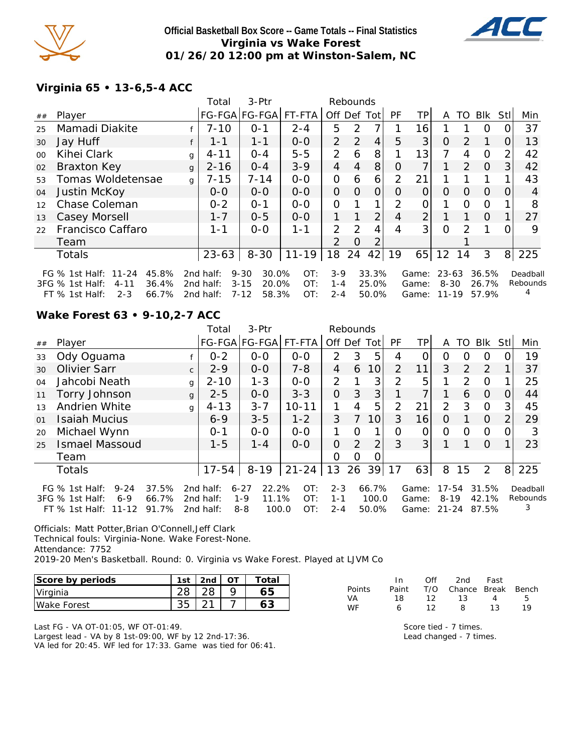

#### **Official Basketball Box Score -- Game Totals -- Final Statistics Virginia vs Wake Forest 01/26/20 12:00 pm at Winston-Salem, NC**



## **Virginia 65 • 13-6,5-4 ACC**

|         |                                      |              | Total     | 3-Ptr             |           |                | Rebounds       |                |           |                |           |                |          |                |          |
|---------|--------------------------------------|--------------|-----------|-------------------|-----------|----------------|----------------|----------------|-----------|----------------|-----------|----------------|----------|----------------|----------|
| ##      | Player                               |              |           | FG-FGA FG-FGA     | FT-FTA    | Off Def Tot    |                |                | <b>PF</b> | TPI            | A         | TO             | Blk      | Stll           | Min      |
| 25      | Mamadi Diakite                       |              | $7 - 10$  | $0 - 1$           | $2 - 4$   | 5              | 2              |                |           | 16             |           |                | O        | 0              | 37       |
| 30      | Jay Huff                             |              | $1 - 1$   | $1 - 1$           | $O-O$     | $\overline{2}$ | $\overline{2}$ | 4              | 5         | 3              | $\Omega$  | $\mathcal{P}$  | 1        | $\Omega$       | 13       |
| $00 \,$ | Kihei Clark                          | g            | $4 - 11$  | $0 - 4$           | $5 - 5$   | $\overline{2}$ | 6              | 8              |           | 13             |           | 4              | $\Omega$ | 2              | 42       |
| 02      | <b>Braxton Key</b>                   | $\mathbf{q}$ | $2 - 16$  | $0 - 4$           | $3 - 9$   | $\overline{4}$ | 4              | 8              | $\Omega$  | 7              |           | $\overline{2}$ | $\Omega$ | 31             | 42       |
| 53      | Tomas Woldetensae                    | g            | $7 - 15$  | $7 - 14$          | $0-0$     | 0              | 6              | 6              | 2         | 21             |           |                |          |                | 43       |
| 04      | Justin McKoy                         |              | $0 - 0$   | $0-0$             | $0-0$     | 0              | $\Omega$       | 0              | $\Omega$  | 0              | 0         | $\Omega$       | $\Omega$ | O              | 4        |
| 12      | Chase Coleman                        |              | $0 - 2$   | $0 - 1$           | $O-O$     | $\overline{O}$ |                |                | 2         | O              |           | $\Omega$       | $\Omega$ |                | 8        |
| 13      | Casey Morsell                        |              | $1 - 7$   | $0 - 5$           | $0-0$     | 1              |                | $\overline{2}$ | 4         | $\overline{2}$ |           |                | $\Omega$ |                | 27       |
| 22      | Francisco Caffaro                    |              | $1 - 1$   | $0 - 0$           | $1 - 1$   | $\mathcal{P}$  | $\mathcal{P}$  | 4              | 4         | 3 <sub>l</sub> | $\Omega$  | $\mathcal{P}$  |          |                | 9        |
|         | Team                                 |              |           |                   |           | 2              | $\Omega$       | 2              |           |                |           |                |          |                |          |
|         | <b>Totals</b>                        |              | $23 - 63$ | $8 - 30$          | $11 - 19$ | 18             | 24             | 42             | 19        |                | $65$   12 | 14             | 3        | 8 <sup>1</sup> | 225      |
|         | 45.8%<br>FG % 1st Half: 11-24        |              | 2nd half: | $9 - 30$<br>30.0% | OT:       | $3-9$          |                | 33.3%          |           | Game:          | 23-63     |                | 36.5%    |                | Deadball |
|         | 36.4%<br>3FG % 1st Half:<br>$4 - 11$ |              | 2nd half: | $3 - 15$<br>20.0% | OT:       | $1 - 4$        |                | 25.0%          |           | Game:          | $8 - 30$  |                | 26.7%    |                | Rebounds |
|         | 66.7%<br>FT % 1st Half:<br>$2 - 3$   |              | 2nd half: | 58.3%<br>7-12     | OT:       | $2 - 4$        |                | 50.0%          |           | Game:          | $11 - 19$ |                | 57.9%    |                |          |

## **Wake Forest 63 • 9-10,2-7 ACC**

|     |                             |              | Total     | 3-Ptr                |           |                | Rebounds |          |                |       |           |               |            |          |          |
|-----|-----------------------------|--------------|-----------|----------------------|-----------|----------------|----------|----------|----------------|-------|-----------|---------------|------------|----------|----------|
| ##  | Player                      |              |           | FG-FGA FG-FGA FT-FTA |           | Off Def        |          | Totl     | PF             | TP    | A         | TO            | <b>BIK</b> | Stl      | Min      |
| 33  | Ody Oguama                  |              | $0 - 2$   | $0 - 0$              | $O-O$     | $\overline{2}$ | 3        | 5        | 4              |       | Ω         | Ω             | 0          |          | 19       |
| 30  | <b>Olivier Sarr</b>         | $\mathsf{C}$ | $2 - 9$   | $0 - 0$              | $7 - 8$   | 4              | 6        | 10       | $\overline{2}$ | 11    | 3         | 2             | 2          |          | 37       |
| 04  | Jahcobi Neath               | $\mathbf{q}$ | $2 - 10$  | $1 - 3$              | $0-0$     | 2              |          | 3        | 2              | 5     |           | $\mathcal{P}$ | $\Omega$   |          | 25       |
| 11  | Torry Johnson               | $\mathbf{q}$ | $2 - 5$   | $0 - 0$              | $3 - 3$   | 0              | 3        | 3        |                |       |           | 6             | $\Omega$   | $\Omega$ | 44       |
| 1.3 | Andrien White               | $\alpha$     | $4 - 13$  | $3 - 7$              | $10 - 11$ | 1              | 4        | 5        | $\overline{2}$ | 21    | 2         | 3             | $\Omega$   | 3        | 45       |
| 01  | Isaiah Mucius               |              | $6 - 9$   | $3 - 5$              | $1 - 2$   | 3              | 7        | 10       | 3              | 16    | Ο         |               | $\Omega$   | 2        | 29       |
| 20  | Michael Wynn                |              | $0 - 1$   | $0 - 0$              | $0 - 0$   | 1              | $\Omega$ | 1        | Ω              |       | Ω         | $\Omega$      | $\Omega$   | Ω        | 3        |
| 25  | <b>Ismael Massoud</b>       |              | $1 - 5$   | $1 - 4$              | $0 - 0$   | 0              | 2        | 2        | 3              | 3     |           |               | $\Omega$   |          | 23       |
|     | Team                        |              |           |                      |           | 0              | 0        | $\Omega$ |                |       |           |               |            |          |          |
|     | <b>Totals</b>               |              | $17 - 54$ | $8 - 19$             | $21 - 24$ | 13             | 26       | 39 17    |                | 63    | 8         | 15            | 2          | 8        | 225      |
|     | $9 - 24$<br>FG % 1st Half:  | 37.5%        | 2nd half: | 22.2%<br>$6 - 27$    | OT:       | $2 - 3$        |          | 66.7%    |                | Game: | $17 - 54$ |               | 31.5%      |          | Deadball |
|     | 3FG % 1st Half:<br>6-9      | 66.7%        | 2nd half: | 11.1%<br>$1 - 9$     | OT:       | $1 - 1$        |          | 100.0    |                | Game: | $8 - 19$  |               | 42.1%      |          | Rebounds |
|     | FT % 1st Half:<br>$11 - 12$ | 91.7%        | 2nd half: | 100.0<br>$8 - 8$     | OT:       | $2 - 4$        |          | 50.0%    |                | Game: | $21 - 24$ |               | 87.5%      |          | 3        |

Officials: Matt Potter,Brian O'Connell,Jeff Clark Technical fouls: Virginia-None. Wake Forest-None. Attendance: 7752 2019-20 Men's Basketball. Round: 0. Virginia vs Wake Forest. Played at LJVM Co

FT % 1st Half: 2-3 66.7% 2nd half: 7-12 58.3% OT: 2-4 50.0%

| Score by periods | 1st | 2nd | Total |
|------------------|-----|-----|-------|
| Virginia         |     |     |       |
| Wake Forest      |     |     |       |

Last FG - VA OT-01:05, WF OT-01:49. Largest lead - VA by 8 1st-09:00, WF by 12 2nd-17:36. VA led for 20:45. WF led for 17:33. Game was tied for 06:41.

|               | In.   | $\bigcirc$ ff | 2nd Fast               |    |    |
|---------------|-------|---------------|------------------------|----|----|
| <b>Points</b> | Paint |               | T/O Chance Break Bench |    |    |
| VA            | 18    | 12            | $\overline{13}$        | 4  | Б. |
| WF            | 6     | 12.           | R.                     | 13 | 19 |
|               |       |               |                        |    |    |

Score tied - 7 times. Lead changed - 7 times.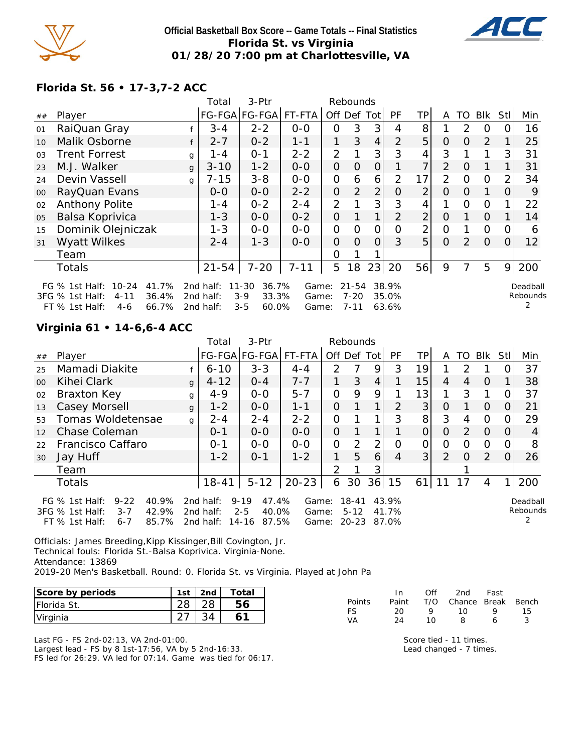

#### **Official Basketball Box Score -- Game Totals -- Final Statistics Florida St. vs Virginia 01/28/20 7:00 pm at Charlottesville, VA**



## **Florida St. 56 • 17-3,7-2 ACC**

|    |                                                                                                                      |              | Total                               | 3-Ptr                                                      |                         | Rebounds       |                                   |                |                         |                |                |                |                |                |                      |
|----|----------------------------------------------------------------------------------------------------------------------|--------------|-------------------------------------|------------------------------------------------------------|-------------------------|----------------|-----------------------------------|----------------|-------------------------|----------------|----------------|----------------|----------------|----------------|----------------------|
| ## | Player                                                                                                               |              |                                     | FG-FGA FG-FGA                                              | FT-FTA                  | Off Def        |                                   | Totl           | PF                      | ΤP             | A              | TO             | <b>Blk</b>     | Stl            | Min                  |
| 01 | RaiQuan Gray                                                                                                         |              | $3 - 4$                             | $2 - 2$                                                    | $0 - 0$                 | O              | 3                                 | 3              | 4                       | 8              |                | 2              | $\Omega$       |                | 16                   |
| 10 | Malik Osborne                                                                                                        | f            | $2 - 7$                             | $0 - 2$                                                    | $1 - 1$                 |                | 3                                 | $\overline{4}$ | $\overline{2}$          | 5              | $\Omega$       | $\Omega$       | 2              |                | 25                   |
| 03 | <b>Trent Forrest</b>                                                                                                 | g            | 1 - 4                               | $O - 1$                                                    | $2 - 2$                 | $\overline{2}$ |                                   | 3              | 3                       | 4              | 3              |                |                | 3              | 31                   |
| 23 | M.J. Walker                                                                                                          | $\mathbf{q}$ | $3 - 10$                            | $1 - 2$                                                    | $O-O$                   | 0              | O                                 | 0              |                         | 7              | $\overline{2}$ | $\Omega$       |                |                | 31                   |
| 24 | Devin Vassell                                                                                                        | $\mathbf{q}$ | $7 - 15$                            | $3 - 8$                                                    | $0-0$                   | 0              | 6                                 | 6              | 2                       | 17             | 2              | $\Omega$       | $\overline{O}$ |                | 34                   |
| 00 | RayQuan Evans                                                                                                        |              | $0 - 0$                             | $0-0$                                                      | $2 - 2$                 | 0              | 2                                 | $\overline{2}$ | Ο                       | $\overline{2}$ | $\Omega$       | $\Omega$       | 1              | O              | 9                    |
| 02 | Anthony Polite                                                                                                       |              | 1 - 4                               | $0 - 2$                                                    | $2 - 4$                 | $\overline{2}$ |                                   | 3              | 3                       | $\overline{4}$ |                | $\circ$        | $\Omega$       |                | 22                   |
| 05 | Balsa Koprivica                                                                                                      |              | $1 - 3$                             | $0 - 0$                                                    | $0 - 2$                 | 0              |                                   | $\mathbf{1}$   | $\overline{2}$          | $\overline{2}$ | $\Omega$       |                | $\Omega$       |                | 14                   |
| 15 | Dominik Olejniczak                                                                                                   |              | $1 - 3$                             | $0-0$                                                      | $0-0$                   | $\overline{O}$ | $\Omega$                          | O              | $\Omega$                | 2              | $\overline{O}$ |                | $\Omega$       | $\Omega$       | 6                    |
| 31 | Wyatt Wilkes                                                                                                         |              | $2 - 4$                             | $1 - 3$                                                    | $0-0$                   | $\Omega$       | $\Omega$                          | $\Omega$       | 3                       | 5              | $\Omega$       | $\overline{2}$ | $\Omega$       | $\Omega$       | 12                   |
|    | Team                                                                                                                 |              |                                     |                                                            |                         | O              |                                   |                |                         |                |                |                |                |                |                      |
|    | <b>Totals</b>                                                                                                        |              | $21 - 54$                           | $7 - 20$                                                   | $7 - 11$                | 5              | 18                                | 23             | 20                      | 56             | 9              |                | 5              | 9 <sub>1</sub> | 200                  |
|    | $10 - 24$<br>41.7%<br>FG $%$ 1st Half:<br>36.4%<br>3FG % 1st Half:<br>$4 - 11$<br>66.7%<br>$FT$ % 1st Half:<br>$4-6$ |              | 2nd half:<br>2nd half:<br>2nd half: | $11 - 30$<br>36.7%<br>$3 - 9$<br>33.3%<br>$3 - 5$<br>60.0% | Game:<br>Game:<br>Game: |                | $21 - 54$<br>$7 - 20$<br>$7 - 11$ |                | 38.9%<br>35.0%<br>63.6% |                |                |                |                |                | Deadball<br>Rebounds |

## **Virginia 61 • 14-6,6-4 ACC**

|                   |                                                                                                                      |              | Total                               | $3-Ptr$                                                 | Rebounds                |               |                                    |                |                         |                 |                |               |                |             |                           |
|-------------------|----------------------------------------------------------------------------------------------------------------------|--------------|-------------------------------------|---------------------------------------------------------|-------------------------|---------------|------------------------------------|----------------|-------------------------|-----------------|----------------|---------------|----------------|-------------|---------------------------|
| ##                | Player                                                                                                               |              |                                     | FG-FGA FG-FGA                                           | FT-FTA                  | Off Def Tot   |                                    |                | PF                      | TPI             | A              | TO            | Blk            | <b>StII</b> | Min                       |
| 25                | Mamadi Diakite                                                                                                       |              | $6 - 10$                            | $3 - 3$                                                 | $4 - 4$                 | $\mathcal{P}$ |                                    | 9              | 3                       | 19              |                | $\mathcal{D}$ |                |             | 37                        |
| $00 \,$           | Kihei Clark                                                                                                          | $\mathsf{q}$ | $4 - 12$                            | $0 - 4$                                                 | $7 - 7$                 |               | 3                                  | $\overline{4}$ |                         | 15              | 4              | 4             | $\Omega$       |             | 38                        |
| 02                | Braxton Key                                                                                                          | g            | $4 - 9$                             | $O-O$                                                   | $5 - 7$                 | $\Omega$      | 9                                  | 9              |                         | 13 <sub>1</sub> |                | 3             |                | O           | 37                        |
| 13                | Casey Morsell                                                                                                        | $\mathbf{q}$ | $1 - 2$                             | $0 - 0$                                                 | $1 - 1$                 | 0             |                                    |                | $\mathcal{P}$           | 3               | 0              |               | $\Omega$       | 0           | 21                        |
| 53                | Tomas Woldetensae                                                                                                    | q            | $2 - 4$                             | $2 - 4$                                                 | $2 - 2$                 | 0             |                                    |                | 3                       | 8 <sup>1</sup>  | 3              | 4             | $\Omega$       | $\Omega$    | 29                        |
| $12 \overline{ }$ | Chase Coleman                                                                                                        |              | $0 - 1$                             | $0 - 0$                                                 | $O-O$                   | 0             |                                    |                |                         | $\Omega$        | $\Omega$       | $\sqrt{2}$    | $\overline{0}$ | $\Omega$    | 4                         |
| 22                | Francisco Caffaro                                                                                                    |              | $O - 1$                             | $0 - 0$                                                 | $0 - 0$                 | $\Omega$      | 2                                  | 2              | $\Omega$                | 0               | $\Omega$       | $\Omega$      | $\Omega$       | O           | 8                         |
| 30                | Jay Huff                                                                                                             |              | $1 - 2$                             | $0 - 1$                                                 | $1 - 2$                 | 1             | 5                                  | 6              | 4                       | 3               | $\overline{2}$ | $\Omega$      | $\sqrt{2}$     | $\Omega$    | 26                        |
|                   | Team                                                                                                                 |              |                                     |                                                         |                         | 2             |                                    | 3              |                         |                 |                |               |                |             |                           |
|                   | <b>Totals</b>                                                                                                        |              | $18 - 41$                           | $5 - 12$                                                | $20 - 23$               | 6             | 30                                 | 36             | 15                      | 61              | 11             | 17            | 4              |             | 200                       |
|                   | $9 - 22$<br>40.9%<br>FG $%$ 1st Half:<br>42.9%<br>3FG % 1st Half:<br>$3 - 7$<br>85.7%<br>$FT$ % 1st Half:<br>$6 - 7$ |              | 2nd half:<br>2nd half:<br>2nd half: | 47.4%<br>$9 - 19$<br>40.0%<br>$2 - 5$<br>87.5%<br>14-16 | Game:<br>Game:<br>Game: |               | $18 - 41$<br>$5 - 12$<br>$20 - 23$ |                | 43.9%<br>41.7%<br>87.0% |                 |                |               |                |             | Deadball<br>Rebounds<br>2 |

Officials: James Breeding,Kipp Kissinger,Bill Covington, Jr. Technical fouls: Florida St.-Balsa Koprivica. Virginia-None. Attendance: 13869 2019-20 Men's Basketball. Round: 0. Florida St. vs Virginia. Played at John Pa

| Score by periods    | 1st | 2 <sub>nd</sub> | Total |
|---------------------|-----|-----------------|-------|
| <b>IFlorida St.</b> |     |                 |       |
| Virginia            |     |                 |       |

Last FG - FS 2nd-02:13, VA 2nd-01:00. Largest lead - FS by 8 1st-17:56, VA by 5 2nd-16:33. FS led for 26:29. VA led for 07:14. Game was tied for 06:17.

|               | In.   | Off | 2nd                    | Fast |    |
|---------------|-------|-----|------------------------|------|----|
| <b>Points</b> | Paint |     | T/O Chance Break Bench |      |    |
| FS.           | 20    | o   | 1 O                    | o    | 15 |
| VA            | 24    | 10  | R                      | ь    |    |

Score tied - 11 times. Lead changed - 7 times.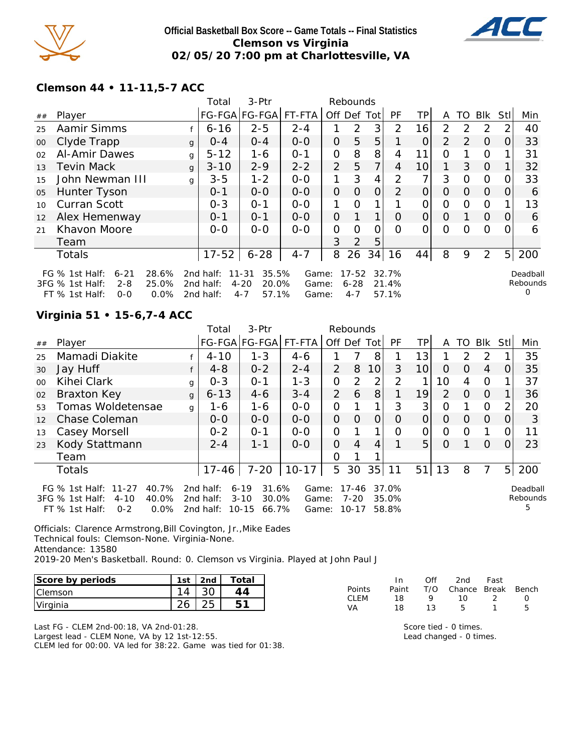

#### **Official Basketball Box Score -- Game Totals -- Final Statistics Clemson vs Virginia 02/05/20 7:00 pm at Charlottesville, VA**



## **Clemson 44 • 11-11,5-7 ACC**

|    |                              |         | Total                    | 3-Ptr                 |         |                | Rebounds |                |               |          |               |          |                |                  |          |
|----|------------------------------|---------|--------------------------|-----------------------|---------|----------------|----------|----------------|---------------|----------|---------------|----------|----------------|------------------|----------|
| ## | Player                       |         |                          | FG-FGA FG-FGA  FT-FTA |         | Off Def Tot    |          |                | PF.           | TΡ       | A             | TO.      | Blk            | Stl              | Min      |
| 25 | Aamir Simms                  |         | $6 - 16$                 | $2 - 5$               | $2 - 4$ |                | 2        | 3              | $\mathcal{P}$ | 16       | $\mathcal{P}$ | 2        | 2              |                  | 40       |
| 00 | Clyde Trapp                  |         | $O - 4$<br>q             | $0 - 4$               | $0-0$   | $\Omega$       | 5        | 5              |               | $\Omega$ | 2             | 2        | $\Omega$       | $\Omega$         | 33       |
| 02 | Al-Amir Dawes                |         | $5 - 12$<br>g            | 1-6                   | $0 - 1$ | 0              | 8        | 8              | 4             | 11       | Ο             |          | 0              |                  | 31       |
| 13 | <b>Tevin Mack</b>            |         | $3 - 10$<br>$\mathbf{q}$ | $2 - 9$               | $2 - 2$ | $\overline{2}$ | 5        | 7 <sub>1</sub> | 4             | 10       | 1             | 3        | $\Omega$       |                  | 32       |
| 15 | John Newman III              |         | $3 - 5$<br>g             | $1 - 2$               | $0-0$   | 1              | 3        | 4              | 2             | 7        | 3             | 0        | $\Omega$       |                  | 33       |
| 05 | Hunter Tyson                 |         | $0 - 1$                  | $0-0$                 | $0-0$   | $\overline{O}$ | O        | 0              | $\mathcal{P}$ | 0        | $\Omega$      | $\Omega$ | $\Omega$       | $\left( \right)$ | 6        |
| 10 | <b>Curran Scott</b>          |         | $0 - 3$                  | $O - 1$               | $0-0$   | 1.             | $\Omega$ | 1.             |               | 0        | $\Omega$      | $\Omega$ | $\Omega$       |                  | 13       |
| 12 | Alex Hemenway                |         | $0 - 1$                  | $O - 1$               | $0-0$   | $\overline{O}$ | 1        | $\mathbf 1$    | O             | O        | O             |          | $\overline{O}$ | $\Omega$         | 6        |
| 21 | Khavon Moore                 |         | $0-0$                    | $O-O$                 | $0-0$   | O              | Ω        | ი              | O             | 0        | 0             | 0        | $\Omega$       |                  | 6        |
|    | Team                         |         |                          |                       |         | 3              | 2        | 5              |               |          |               |          |                |                  |          |
|    | <b>Totals</b>                |         | $17 - 52$                | $6 - 28$              | $4 - 7$ | 8              | 26       | 34             | 16            | 44       | 8             | 9        | 2              | 5                | 200      |
|    | FG $%$ 1st Half:<br>$6 - 21$ | 28.6%   | 2nd half:                | 35.5%<br>$11 - 31$    | Game:   |                | 17-52    |                | 32.7%         |          |               |          |                |                  | Deadball |
|    | 3FG % 1st Half:<br>$2 - 8$   | 25.0%   | 2nd half:                | $4 - 20$<br>20.0%     | Game:   |                | $6 - 28$ |                | 21.4%         |          |               |          |                |                  | Rebounds |
|    | FT % 1st Half:<br>$O-O$      | $0.0\%$ | 2nd half:                | 57.1%<br>$4 - 7$      | Game:   |                | $4 - 7$  |                | 57.1%         |          |               |          |                |                  | 0        |

## **Virginia 51 • 15-6,7-4 ACC**

|        |                                                                                                                     |              | Total                               | 3-Ptr                                                        |                         | Rebounds       |                                    |                 |                         |                 |          |               |               |                |                           |
|--------|---------------------------------------------------------------------------------------------------------------------|--------------|-------------------------------------|--------------------------------------------------------------|-------------------------|----------------|------------------------------------|-----------------|-------------------------|-----------------|----------|---------------|---------------|----------------|---------------------------|
| ##     | Player                                                                                                              |              |                                     | FG-FGA FG-FGA FT-FTA                                         |                         | Off Def Tot    |                                    |                 | PF                      | TPI             | A        | TO            | Blk           | Stll           | Min                       |
| 25     | Mamadi Diakite                                                                                                      |              | $4 - 10$                            | $1 - 3$                                                      | $4 - 6$                 |                | 7                                  | 8               |                         | 13              |          | $\mathcal{P}$ | $\mathcal{P}$ |                | 35                        |
| 30     | Jay Huff                                                                                                            |              | $4 - 8$                             | $0 - 2$                                                      | $2 - 4$                 | 2              | 8                                  | 10 <sup>1</sup> | 3                       | 10 <sup>1</sup> | $\Omega$ | 0             | 4             | 0              | 35                        |
| $00\,$ | Kihei Clark                                                                                                         | g            | $O - 3$                             | $0 - 1$                                                      | $1 - 3$                 | $\overline{O}$ | 2                                  | 2               | 2                       | 1               | 10       | 4             | $\Omega$      |                | 37                        |
| 02     | <b>Braxton Key</b>                                                                                                  | $\mathbf{q}$ | $6 - 13$                            | $4 - 6$                                                      | $3 - 4$                 | 2              | 6                                  | 8               |                         | 19              | 2        | $\Omega$      | $\Omega$      |                | 36                        |
| 53     | Tomas Woldetensae                                                                                                   | g            | 1-6                                 | $1 - 6$                                                      | $0-0$                   | $\Omega$       |                                    | $\mathbf{1}$    | 3                       | 3 <sup>1</sup>  | 0        |               | $\Omega$      | $\overline{2}$ | 20                        |
| 12     | Chase Coleman                                                                                                       |              | $O-O$                               | $0 - 0$                                                      | $0 - 0$                 | $\overline{O}$ | $\Omega$                           | $\overline{O}$  | O                       | $\Omega$        | $\Omega$ | O             | $\Omega$      | O              | 3                         |
| 13     | Casey Morsell                                                                                                       |              | $0 - 2$                             | $O - 1$                                                      | $0 - 0$                 | $\Omega$       |                                    | $\mathbf{1}$    | $\Omega$                | 0               | $\Omega$ | O             |               | $\Omega$       | 11                        |
| 23     | Kody Stattmann                                                                                                      |              | $2 - 4$                             | $1 - 1$                                                      | $0 - 0$                 | $\Omega$       | 4                                  | 4               |                         | 5               | $\circ$  |               | $\Omega$      | 0              | 23                        |
|        | Team                                                                                                                |              |                                     |                                                              |                         | 0              |                                    |                 |                         |                 |          |               |               |                |                           |
|        | Totals                                                                                                              |              | $17 - 46$                           | $7 - 20$                                                     | $10 - 17$               | 5              | 30                                 | 35              | 11                      | 51              | 13       | 8             | 7             | 5 <sup>1</sup> | 200                       |
|        | 40.7%<br>FG $%$ 1st Half:<br>$11 - 27$<br>3FG % 1st Half:<br>40.0%<br>$4 - 10$<br>FT % 1st Half:<br>$0 - 2$<br>0.0% |              | 2nd half:<br>2nd half:<br>2nd half: | 31.6%<br>$6 - 19$<br>$3 - 10$<br>30.0%<br>$10 - 15$<br>66.7% | Game:<br>Game:<br>Game: |                | $17 - 46$<br>$7 - 20$<br>$10 - 17$ |                 | 37.0%<br>35.0%<br>58.8% |                 |          |               |               |                | Deadball<br>Rebounds<br>5 |

Officials: Clarence Armstrong,Bill Covington, Jr.,Mike Eades Technical fouls: Clemson-None. Virginia-None.

Attendance: 13580

2019-20 Men's Basketball. Round: 0. Clemson vs Virginia. Played at John Paul J

| Score by periods | 1st | 2 <sub>nd</sub> | $\tau$ otal |
|------------------|-----|-----------------|-------------|
| I Clemson        |     |                 |             |
| Virginia         |     |                 |             |

|               | In.   | ∩ff | 2nd -                  | Fast |   |
|---------------|-------|-----|------------------------|------|---|
| <b>Points</b> | Paint |     | T/O Chance Break Bench |      |   |
| CLEM          | 18.   | o   | 1 O                    |      |   |
| VA            | 18    | 13. | h                      |      | ь |
|               |       |     |                        |      |   |

Last FG - CLEM 2nd-00:18, VA 2nd-01:28. Largest lead - CLEM None, VA by 12 1st-12:55. CLEM led for 00:00. VA led for 38:22. Game was tied for 01:38. Score tied - 0 times. Lead changed - 0 times.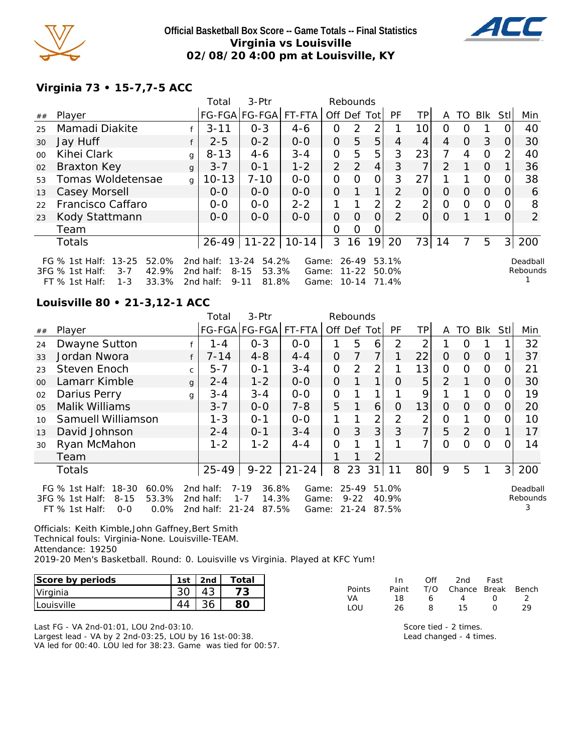

#### **Official Basketball Box Score -- Game Totals -- Final Statistics Virginia vs Louisville 02/08/20 4:00 pm at Louisville, KY**



# **Virginia 73 • 15-7,7-5 ACC**

|                                                                                                                                                                                                                                                                                                                                            |                    |              | Total                 | 3-Ptr                     |         |                | Rebounds |                |                |                |               |          |          |                |     |
|--------------------------------------------------------------------------------------------------------------------------------------------------------------------------------------------------------------------------------------------------------------------------------------------------------------------------------------------|--------------------|--------------|-----------------------|---------------------------|---------|----------------|----------|----------------|----------------|----------------|---------------|----------|----------|----------------|-----|
| ##                                                                                                                                                                                                                                                                                                                                         | Player             |              | FG-FGA FG-FGA  FT-FTA |                           |         |                |          | Off Def Tot    | PF             | TΡ             | A             | TO.      | Blk      | Stl            | Min |
| 25                                                                                                                                                                                                                                                                                                                                         | Mamadi Diakite     |              | $3 - 11$              | $O - 3$                   | $4-6$   | 0              | 2        | 2              |                | 10             | 0             | $\Omega$ |          |                | 40  |
| 30                                                                                                                                                                                                                                                                                                                                         | Jay Huff           |              | $2 - 5$               | $0 - 2$                   | $0-0$   | 0              | 5        | 5              | 4              | 4              | 4             | $\Omega$ | 3        | 0              | 30  |
| $00\,$                                                                                                                                                                                                                                                                                                                                     | Kihei Clark        | g            | $8 - 13$              | $4-6$                     | $3 - 4$ | O              | 5        | 5              | 3              | 23             | 7             | 4        | $\Omega$ |                | 40  |
| 02                                                                                                                                                                                                                                                                                                                                         | <b>Braxton Key</b> | g            | $3 - 7$               | $0 - 1$                   | $1 - 2$ | $\overline{2}$ | 2        | $\overline{4}$ | 3              | 7              | $\mathcal{P}$ |          | $\Omega$ |                | 36  |
| 53                                                                                                                                                                                                                                                                                                                                         | Tomas Woldetensae  | $\mathbf{q}$ | $10 - 13$             | $7 - 10$                  | $0 - 0$ | O              | Ω        | 0              | 3              | 27             |               |          | $\Omega$ | $\Omega$       | 38  |
| 13                                                                                                                                                                                                                                                                                                                                         | Casey Morsell      |              | $O-O$                 | $0 - 0$                   | $0 - 0$ | O              | 1        | 1 <sub>1</sub> | 2              | $\Omega$       | $\Omega$      | $\Omega$ | $\Omega$ | $\Omega$       | 6   |
| 22                                                                                                                                                                                                                                                                                                                                         | Francisco Caffaro  |              | $0 - 0$               | $0 - 0$                   | $2 - 2$ |                |          | $\overline{2}$ | $\overline{2}$ | $\overline{2}$ | 0             | 0        | $\Omega$ |                | 8   |
| 23                                                                                                                                                                                                                                                                                                                                         | Kody Stattmann     |              | $0 - 0$               | $0 - 0$                   | $O-O$   | O              | $\Omega$ | $\Omega$       | $\mathcal{P}$  | $\Omega$       | $\Omega$      |          |          |                | 2   |
|                                                                                                                                                                                                                                                                                                                                            | Team               |              |                       |                           |         | Ω              | Ω        |                |                |                |               |          |          |                |     |
|                                                                                                                                                                                                                                                                                                                                            | Totals             |              |                       | $26 - 49$   11-22   10-14 |         | 3              | 16       | 19             | 20             | 73             | 14            |          | 5        | 3 <sup>1</sup> | 200 |
| $13 - 25$<br>52.0%<br>13-24<br>54.2%<br>26-49<br>53.1%<br>FG $\%$ 1st Half:<br>2nd half:<br>Game:<br>Deadball<br>Rebounds<br>3FG % 1st Half:<br>42.9%<br>2nd half:<br>$8 - 15$<br>53.3%<br>$3 - 7$<br>Game:<br>$11 - 22$<br>50.0%<br>33.3%<br>2nd half:<br>$9 - 11$<br>81.8%<br>$10 - 14$<br>$FT$ % 1st Half:<br>$1 - 3$<br>Game:<br>71.4% |                    |              |                       |                           |         |                |          |                |                |                |               |          |          |                |     |

#### **Louisville 80 • 21-3,12-1 ACC**

|                 |                                                                                                                       |              | Total                               | 3-Ptr                                                   |                         |                | Rebounds                   |    |                         |                |                |          |          |                |                           |
|-----------------|-----------------------------------------------------------------------------------------------------------------------|--------------|-------------------------------------|---------------------------------------------------------|-------------------------|----------------|----------------------------|----|-------------------------|----------------|----------------|----------|----------|----------------|---------------------------|
| ##              | Player                                                                                                                |              |                                     | FG-FGA FG-FGA                                           | FT-FTA                  | Off Def Tot    |                            |    | <b>PF</b>               | TPI            | A              | TO       | Blk      | Stll           | Min                       |
| 24              | Dwayne Sutton                                                                                                         |              | 1 - 4                               | $O - 3$                                                 | $0 - 0$                 |                | 5                          | 6  | 2                       | 2              |                | O        |          |                | 32                        |
| 33              | Jordan Nwora                                                                                                          | f            | $7 - 14$                            | $4 - 8$                                                 | $4 - 4$                 | 0              | 7                          | 7  |                         | 22             | $\Omega$       | $\Omega$ | $\Omega$ |                | 37                        |
| 23              | Steven Enoch                                                                                                          | $\mathsf{C}$ | $5 - 7$                             | $O - 1$                                                 | $3 - 4$                 | O              | $\overline{2}$             | 2  |                         | 13             | 0              | $\Omega$ | $\Omega$ | 0              | 21                        |
| 00 <sup>2</sup> | Lamarr Kimble                                                                                                         | g            | $2 - 4$                             | $1 - 2$                                                 | $0 - 0$                 | $\overline{O}$ |                            |    | $\Omega$                | 5 <sup>1</sup> | 2              |          | $\Omega$ | 0              | 30                        |
| 02              | Darius Perry                                                                                                          | $\mathsf{q}$ | $3 - 4$                             | $3 - 4$                                                 | $0 - 0$                 | $\overline{O}$ |                            |    |                         | 9              |                |          | $\Omega$ | $\Omega$       | 19                        |
| 0 <sub>5</sub>  | Malik Williams                                                                                                        |              | $3 - 7$                             | $0 - 0$                                                 | $7 - 8$                 | 5              | 1                          | 6  | $\Omega$                | 13             | $\Omega$       | $\Omega$ | $\Omega$ | $\Omega$       | 20                        |
| 10              | Samuell Williamson                                                                                                    |              | $1 - 3$                             | $0 - 1$                                                 | $0-0$                   | 1              |                            | 2  | 2                       | 2              | $\overline{O}$ |          | $\Omega$ | $\Omega$       | 10                        |
| 13              | David Johnson                                                                                                         |              | $2 - 4$                             | $0 - 1$                                                 | $3 - 4$                 | $\Omega$       | 3                          | 3  | 3                       | $\overline{7}$ | 5              | 2        | $\Omega$ |                | 17                        |
| 30              | Ryan McMahon                                                                                                          |              | $1 - 2$                             | $1 - 2$                                                 | $4 - 4$                 | O              |                            |    |                         | 7              | $\Omega$       | ∩        | $\Omega$ | 0              | 14                        |
|                 | Team                                                                                                                  |              |                                     |                                                         |                         |                |                            | 2  |                         |                |                |          |          |                |                           |
|                 | <b>Totals</b>                                                                                                         |              | $25 - 49$                           | $9 - 22$                                                | $21 - 24$               | 8              | 23                         | 31 | 11                      | 80             | 9              | 5        |          | 3 <sup>1</sup> | 200                       |
|                 | FG $%$ 1st Half:<br>18-30<br>$60.0\%$<br>3FG % 1st Half:<br>$8 - 15$<br>53.3%<br>$0.0\%$<br>$FT$ % 1st Half:<br>$O-O$ |              | 2nd half:<br>2nd half:<br>2nd half: | 36.8%<br>7-19<br>$1 - 7$<br>14.3%<br>$21 - 24$<br>87.5% | Game:<br>Game:<br>Game: |                | 25-49<br>$9 - 22$<br>21-24 |    | 51.0%<br>40.9%<br>87.5% |                |                |          |          |                | Deadball<br>Rebounds<br>3 |

Officials: Keith Kimble,John Gaffney,Bert Smith Technical fouls: Virginia-None. Louisville-TEAM. Attendance: 19250 2019-20 Men's Basketball. Round: 0. Louisville vs Virginia. Played at KFC Yum!

| Score by periods   | 1st | 2nd | Total                    |
|--------------------|-----|-----|--------------------------|
| Virginia           |     |     | $\overline{\phantom{a}}$ |
| <b>ILouisville</b> |     |     |                          |

Last FG - VA 2nd-01:01, LOU 2nd-03:10. Largest lead - VA by 2 2nd-03:25, LOU by 16 1st-00:38. VA led for 00:40. LOU led for 38:23. Game was tied for 00:57.

| Fast                   |
|------------------------|
| T/O Chance Break Bench |
|                        |
| າ໑                     |
|                        |

Score tied - 2 times. Lead changed - 4 times.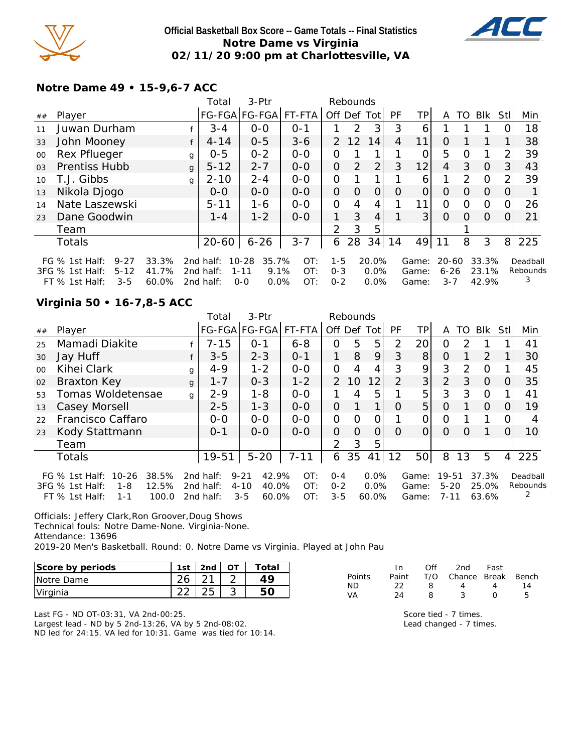

#### **Official Basketball Box Score -- Game Totals -- Final Statistics Notre Dame vs Virginia 02/11/20 9:00 pm at Charlottesville, VA**



## **Notre Dame 49 • 15-9,6-7 ACC**

|                 |                              |       |              | Total     | 3-Ptr              |         |               | Rebounds       |             |           |                |           |               |          |                |               |
|-----------------|------------------------------|-------|--------------|-----------|--------------------|---------|---------------|----------------|-------------|-----------|----------------|-----------|---------------|----------|----------------|---------------|
| ##              | Player                       |       |              |           | FG-FGA FG-FGA      | FT-FTA  |               |                | Off Def Tot | <b>PF</b> | TPI            | A         | TO            | Blk      | Stll           | Min           |
| 11              | Juwan Durham                 |       |              | $3 - 4$   | $0-0$              | $0 - 1$ |               | $\mathcal{P}$  | 3           | 3         | 6              |           |               |          |                | 18            |
| 33              | John Mooney                  |       | f            | $4 - 14$  | $0 - 5$            | $3 - 6$ | $\mathcal{P}$ | 12             | 14          | 4         | 11             | $\Omega$  |               |          |                | 38            |
| 00              | Rex Pflueger                 |       | g            | $0 - 5$   | $0 - 2$            | $0 - 0$ | 0             |                |             |           | 0              | 5         | Ω             |          | 2              | 39            |
| 0 <sub>3</sub>  | Prentiss Hubb                |       | $\mathbf{q}$ | $5 - 12$  | $2 - 7$            | $0 - 0$ | 0             | 2              | 2           | 3         | 12             | 4         | 3             | $\Omega$ | 3              | 43            |
| 10 <sup>1</sup> | T.J. Gibbs                   |       | g            | $2 - 10$  | $2 - 4$            | $0 - 0$ | 0             |                |             |           | 6              |           | $\mathcal{P}$ | $\circ$  | 2              | 39            |
| 13              | Nikola Djogo                 |       |              | $0 - 0$   | $0-0$              | $0-0$   | 0             | $\Omega$       | 0           | $\Omega$  | 0              | O         | O             | 0        | O              |               |
| 14              | Nate Laszewski               |       |              | $5 - 11$  | $1 - 6$            | $0-0$   | $\Omega$      | $\overline{4}$ | 4           |           | 11             | 0         | $\Omega$      | $\circ$  | 0              | 26            |
| 23              | Dane Goodwin                 |       |              | $1 - 4$   | $1 - 2$            | $0 - 0$ | 1.            | 3              | 4           |           | 3 <sup>1</sup> | 0         | $\Omega$      | $\Omega$ | $\Omega$       | 21            |
|                 | Team                         |       |              |           |                    |         | 2             | 3              | 5           |           |                |           |               |          |                |               |
|                 | <b>Totals</b>                |       |              | $20 - 60$ | $6 - 26$           | $3 - 7$ | 6             | 28             | 34          | 14        | 49             | 11        | 8             | 3        | 8 <sup>1</sup> | 225           |
|                 | FG $%$ 1st Half:<br>$9 - 27$ | 33.3% |              | 2nd half: | $10 - 28$<br>35.7% | OT:     | $1 - 5$       |                | 20.0%       |           | Game:          | $20 - 60$ |               | 33.3%    |                | Deadball      |
|                 | 3FG % 1st Half:<br>$5 - 12$  | 41.7% |              | 2nd half: | 9.1%<br>$1 - 11$   | OT:     | $0 - 3$       |                | 0.0%        |           | Game:          | $6 - 26$  |               | 23.1%    |                | Rebounds<br>3 |
|                 | $3 - 5$<br>FT $\%$ 1st Half: | 60.0% |              | 2nd half: | 0.0%<br>$0 - 0$    | OT:     | $0 - 2$       |                | 0.0%        |           | Game:          | $3 - 7$   |               | 42.9%    |                |               |

#### **Virginia 50 • 16-7,8-5 ACC**

|         |                                                                                                                       |   | Total                               | 3-Ptr                                                      |                   |                               | Rebounds |                             |               |                         |                           |               |                         |          |                           |
|---------|-----------------------------------------------------------------------------------------------------------------------|---|-------------------------------------|------------------------------------------------------------|-------------------|-------------------------------|----------|-----------------------------|---------------|-------------------------|---------------------------|---------------|-------------------------|----------|---------------------------|
| ##      | Player                                                                                                                |   |                                     | FG-FGA FG-FGA  FT-FTA                                      |                   |                               |          | Off Def Tot                 | PF            | TP <sub>1</sub>         | A                         | TO.           | Blk                     | Stl      | Min                       |
| 25      | Mamadi Diakite                                                                                                        |   | $7 - 15$                            | $O - 1$                                                    | $6 - 8$           | 0                             | 5        | 5                           | $\mathcal{P}$ | 20                      | 0                         | $\mathcal{P}$ |                         |          | 41                        |
| 30      | Jay Huff                                                                                                              |   | $3 - 5$                             | $2 - 3$                                                    | $0 - 1$           |                               | 8        | 9                           | 3             | 8                       | 0                         |               | 2                       |          | 30                        |
| $00 \,$ | Kihei Clark                                                                                                           | g | $4 - 9$                             | $1 - 2$                                                    | $0 - 0$           | 0                             | 4        | 4                           | 3             | 9                       | 3                         | $\mathcal{P}$ | $\Omega$                |          | 45                        |
| 02      | Braxton Key                                                                                                           | g | $1 - 7$                             | $0 - 3$                                                    | $1 - 2$           | $\overline{2}$                | 10       | 12                          | 2             | 3 <sub>l</sub>          | $\overline{2}$            | 3             | $\Omega$                | $\Omega$ | 35                        |
| 53      | Tomas Woldetensae                                                                                                     | g | $2 - 9$                             | $1 - 8$                                                    | $0 - 0$           |                               | 4        | 5                           |               | 5                       | 3                         | 3             | $\Omega$                |          | 41                        |
| 13      | Casey Morsell                                                                                                         |   | $2 - 5$                             | $1 - 3$                                                    | $0-0$             | $\Omega$                      |          | $\mathbf 1$                 | $\Omega$      | 5                       | $\Omega$                  |               | $\Omega$                |          | 19                        |
| 22      | Francisco Caffaro                                                                                                     |   | $O-O$                               | $0 - 0$                                                    | $0 - 0$           | 0                             | O        | 0                           |               | 0                       | 0                         |               |                         |          | 4                         |
| 23      | Kody Stattmann                                                                                                        |   | $0 - 1$                             | $0 - 0$                                                    | $0 - 0$           | 0                             | O        | 0                           | O             | 0                       | $\Omega$                  | $\Omega$      |                         |          | 10                        |
|         | Team                                                                                                                  |   |                                     |                                                            |                   | 2                             | 3        | 5                           |               |                         |                           |               |                         |          |                           |
|         | <b>Totals</b>                                                                                                         |   | 19-51                               | $5 - 20$                                                   | $7 - 11$          | 6                             | 35       | 41                          | 12            | 50                      | 8                         | 13            | 5                       | 4        | 225                       |
|         | $10 - 26$<br>38.5%<br>FG $\%$ 1st Half:<br>12.5%<br>$3FG \%$ 1st Half:<br>$1 - 8$<br>$FT$ % 1st Half:<br>100.0<br>1-1 |   | 2nd half:<br>2nd half:<br>2nd half: | 42.9%<br>$9 - 21$<br>$4 - 10$<br>40.0%<br>$3 - 5$<br>60.0% | OT:<br>OT:<br>OT: | $0 - 4$<br>$0 - 2$<br>$3 - 5$ |          | $0.0\%$<br>$0.0\%$<br>60.0% |               | Game:<br>Game:<br>Game: | 19-51<br>$5 - 20$<br>7-11 |               | 37.3%<br>25.0%<br>63.6% |          | Deadball<br>Rebounds<br>2 |

Officials: Jeffery Clark,Ron Groover,Doug Shows

Technical fouls: Notre Dame-None. Virginia-None.

Attendance: 13696

2019-20 Men's Basketball. Round: 0. Notre Dame vs Virginia. Played at John Pau

| Score by periods | 1st $ $ 2nd $ $ | Total |
|------------------|-----------------|-------|
| Notre Dame       |                 |       |
| Virginia         |                 |       |

|               | In.   | ∩ff | 2nd | Fast |                        |
|---------------|-------|-----|-----|------|------------------------|
| <b>Points</b> | Paint |     |     |      |                        |
| ND            | つつ    |     | 4   |      | 14                     |
| VA.           | 24.   |     |     |      |                        |
|               |       |     |     |      | T/O Chance Break Bench |

Last FG - ND OT-03:31, VA 2nd-00:25. Largest lead - ND by 5 2nd-13:26, VA by 5 2nd-08:02. ND led for 24:15. VA led for 10:31. Game was tied for 10:14. Score tied - 7 times. Lead changed - 7 times.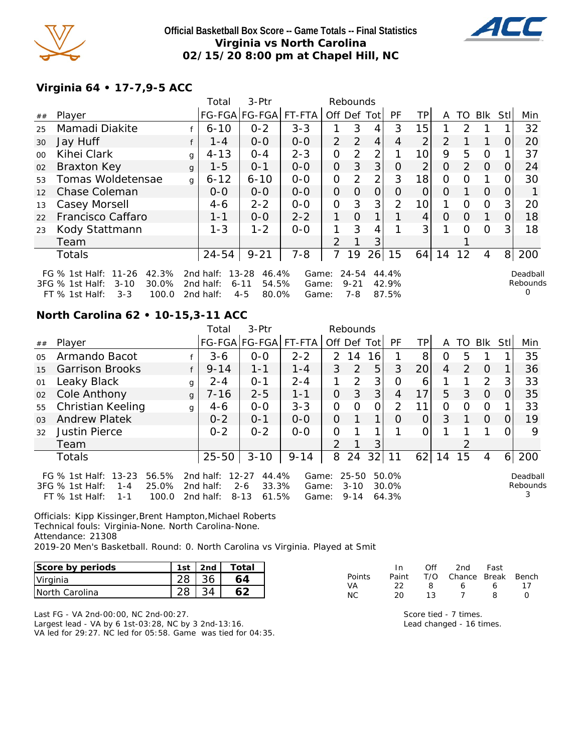

**Official Basketball Box Score -- Game Totals -- Final Statistics Virginia vs North Carolina 02/15/20 8:00 pm at Chapel Hill, NC**



#### **Virginia 64 • 17-7,9-5 ACC**

|         |                                                                                                               |              | Total                                  | 3-Ptr                                                       |                         |                | Rebounds                 |                |                         |                |          |               |          |     |                           |
|---------|---------------------------------------------------------------------------------------------------------------|--------------|----------------------------------------|-------------------------------------------------------------|-------------------------|----------------|--------------------------|----------------|-------------------------|----------------|----------|---------------|----------|-----|---------------------------|
| ##      | Player                                                                                                        |              |                                        | FG-FGA FG-FGA                                               | FT-FTA                  | Off Def Tot    |                          |                | PF                      | <b>TP</b>      | A        | TO            | Blk      | Stl | Min                       |
| 25      | Mamadi Diakite                                                                                                |              | $6 - 10$                               | $0 - 2$                                                     | $3 - 3$                 |                | 3                        | 4              | 3                       | 15             |          | $\mathcal{P}$ |          |     | 32                        |
| 30      | Jay Huff                                                                                                      |              | $1 - 4$                                | $0 - 0$                                                     | $0-0$                   | 2              | 2                        | $\overline{4}$ | 4                       | 2              | 2        |               | 1        | 0   | 20                        |
| $00 \,$ | Kihei Clark                                                                                                   | g            | $4 - 13$                               | $O - 4$                                                     | $2 - 3$                 | O              | 2                        | $\overline{2}$ |                         | 10             | 9        | 5             | $\Omega$ |     | 37                        |
| 02      | <b>Braxton Key</b>                                                                                            | $\mathbf{q}$ | $1 - 5$                                | $0 - 1$                                                     | $0-0$                   | $\overline{O}$ | 3                        | 3              | 0                       | $\overline{2}$ | 0        | 2             | $\Omega$ | O   | 24                        |
| 53      | Tomas Woldetensae                                                                                             | g            | $6 - 12$                               | $6 - 10$                                                    | $0 - 0$                 | $\overline{O}$ | 2                        | $\overline{2}$ | 3                       | 18             | 0        | O             | 1        | O   | 30                        |
| 12      | Chase Coleman                                                                                                 |              | $0 - 0$                                | $0 - 0$                                                     | $0-0$                   | $\Omega$       | $\Omega$                 | $\overline{O}$ | $\Omega$                | $\Omega$       | O        |               | $\Omega$ | 0   |                           |
| 13      | Casey Morsell                                                                                                 |              | 4-6                                    | $2 - 2$                                                     | $0-0$                   | O              | 3                        | 3              | 2                       | 10             |          | $\Omega$      | $\Omega$ | 3   | 20                        |
| 22      | Francisco Caffaro                                                                                             |              | $1 - 1$                                | $0 - 0$                                                     | $2 - 2$                 | 1              | $\Omega$                 | 1              |                         | 4              | $\Omega$ | $\Omega$      | 1        | 0   | 18                        |
| 23      | Kody Stattmann                                                                                                |              | $1 - 3$                                | $1 - 2$                                                     | $0-0$                   | 1              | 3                        | 4              |                         | 3              |          | ∩             | $\Omega$ | 3   | 18                        |
|         | Team                                                                                                          |              |                                        |                                                             |                         | 2              |                          | 3              |                         |                |          |               |          |     |                           |
|         | <b>Totals</b>                                                                                                 |              | $24 - 54$                              | $9 - 21$                                                    | $7 - 8$                 | 7              | 19                       | 26             | 15                      | 64             | 14       | 12            | 4        | 8   | 200                       |
|         | FG % 1st Half: 11-26<br>42.3%<br>30.0%<br>3FG % 1st Half:<br>$3 - 10$<br>$3 - 3$<br>$FT$ % 1st Half:<br>100.0 |              | 2nd half:<br>2nd half:<br>2 $nd$ half: | $13 - 28$<br>46.4%<br>$6 - 11$<br>54.5%<br>$4 - 5$<br>80.0% | Game:<br>Game:<br>Game: |                | 24-54<br>$9 - 21$<br>7-8 |                | 44.4%<br>42.9%<br>87.5% |                |          |               |          |     | Deadball<br>Rebounds<br>O |

#### **North Carolina 62 • 10-15,3-11 ACC**

|                |                                                                                                                  |              | Total                               | 3-Ptr                                                       |                         |               | Rebounds                          |             |                         |                 |                |               |            |          |                           |
|----------------|------------------------------------------------------------------------------------------------------------------|--------------|-------------------------------------|-------------------------------------------------------------|-------------------------|---------------|-----------------------------------|-------------|-------------------------|-----------------|----------------|---------------|------------|----------|---------------------------|
| ##             | Player                                                                                                           |              |                                     | FG-FGA FG-FGA  FT-FTA                                       |                         |               |                                   | Off Def Tot | <b>PF</b>               | TP.             | A              |               | TO BIK StI |          | Min                       |
| 0 <sub>5</sub> | Armando Bacot                                                                                                    |              | $3-6$                               | $0 - 0$                                                     | $2 - 2$                 | $\mathcal{P}$ | 14                                | 16          |                         | 8               | O              | 5             |            |          | 35                        |
| 15             | <b>Garrison Brooks</b>                                                                                           |              | $9 - 14$                            | $1 - 1$                                                     | $1 - 4$                 | 3             | 2                                 | 5           | 3                       | 20 <sup>1</sup> | $\overline{4}$ | $\mathcal{P}$ | $\Omega$   |          | 36                        |
| 01             | Leaky Black                                                                                                      | g            | $2 - 4$                             | $O - 1$                                                     | $2 - 4$                 |               | 2                                 | 3           | 0                       | 6               |                |               | 2          | 3        | 33                        |
| 02             | Cole Anthony                                                                                                     | $\mathbf{q}$ | $7 - 16$                            | $2 - 5$                                                     | $1 - 1$                 | $\Omega$      | 3                                 | 3           | 4                       | 17              | 5              | 3             | $\Omega$   | $\Omega$ | 35                        |
| 55             | Christian Keeling                                                                                                | g            | $4-6$                               | $0 - 0$                                                     | $3 - 3$                 | $\Omega$      | $\Omega$                          | 0           | 2                       | 11              | $\Omega$       | 0             | $\Omega$   |          | 33                        |
| 0 <sub>3</sub> | <b>Andrew Platek</b>                                                                                             |              | $0 - 2$                             | $0 - 1$                                                     | $0 - 0$                 | 0             |                                   | 1           | Ω                       | O               | 3              |               | $\Omega$   | 0        | 19                        |
| 32             | <b>Justin Pierce</b>                                                                                             |              | $0 - 2$                             | $0 - 2$                                                     | $O-O$                   | $\Omega$      |                                   | $\mathbf 1$ |                         |                 |                |               |            | ∩        | 9                         |
|                | Team                                                                                                             |              |                                     |                                                             |                         | $\mathcal{P}$ |                                   | 3           |                         |                 |                | 2             |            |          |                           |
|                | <b>Totals</b>                                                                                                    |              | 25-50                               | $3 - 10$                                                    | $9 - 14$                | 8             | 24                                | 32          | 11                      | 62              | 14             | 15            | 4          | 6        | 200                       |
|                | $13 - 23$<br>56.5%<br>FG $\%$ 1st Half:<br>25.0%<br>3FG % 1st Half:<br>$1 - 4$<br>FT % 1st Half:<br>100.0<br>1-1 |              | 2nd half:<br>2nd half:<br>2nd half: | 44.4%<br>$12 - 27$<br>33.3%<br>$2 - 6$<br>61.5%<br>$8 - 13$ | Game:<br>Game:<br>Game: |               | $25 - 50$<br>$3 - 10$<br>$9 - 14$ |             | 50.0%<br>30.0%<br>64.3% |                 |                |               |            |          | Deadball<br>Rebounds<br>3 |

Officials: Kipp Kissinger,Brent Hampton,Michael Roberts Technical fouls: Virginia-None. North Carolina-None. Attendance: 21308 2019-20 Men's Basketball. Round: 0. North Carolina vs Virginia. Played at Smit

| Score by periods | 1st | 2nd | Total |
|------------------|-----|-----|-------|
| Virginia         |     |     |       |
| INorth Carolina  |     |     |       |

|               | $\ln$ | ∩ff | - 2nd - Fast                 |    |    |
|---------------|-------|-----|------------------------------|----|----|
| <b>Points</b> | Paint |     | - T/O - Chance Break - Bench |    |    |
| VA            | フフ    | 8   | 6                            | 6. | 17 |
| NC.           | 20.   | 13  |                              | я  |    |

Last FG - VA 2nd-00:00, NC 2nd-00:27. Largest lead - VA by 6 1st-03:28, NC by 3 2nd-13:16. VA led for 29:27. NC led for 05:58. Game was tied for 04:35.

Score tied - 7 times. Lead changed - 16 times.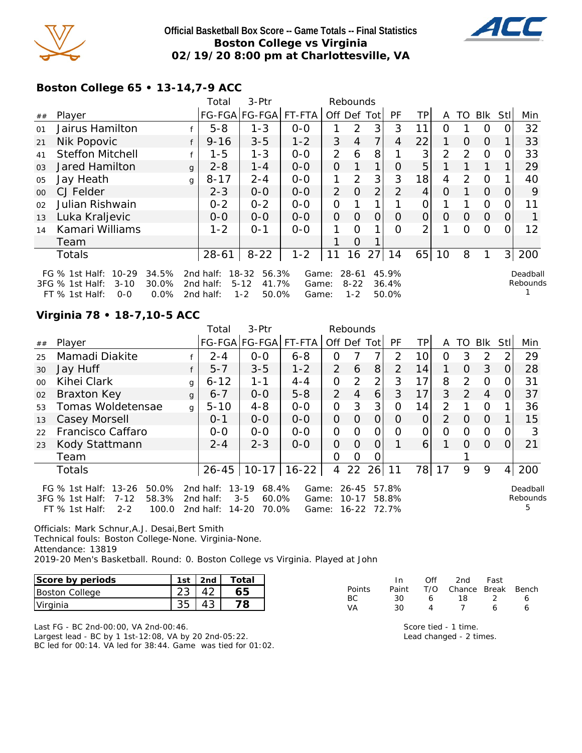

#### **Official Basketball Box Score -- Game Totals -- Final Statistics Boston College vs Virginia 02/19/20 8:00 pm at Charlottesville, VA**



## **Boston College 65 • 13-14,7-9 ACC**

|        |                                                                                                                      |              | Total                               | 3-Ptr                                                   | Rebounds                |                |                                  |                |                         |                |                |          |                |                |                      |
|--------|----------------------------------------------------------------------------------------------------------------------|--------------|-------------------------------------|---------------------------------------------------------|-------------------------|----------------|----------------------------------|----------------|-------------------------|----------------|----------------|----------|----------------|----------------|----------------------|
| ##     | Player                                                                                                               |              |                                     | FG-FGA FG-FGA                                           | FT-FTA                  | Off Def Tot    |                                  |                | <b>PF</b>               | TP             | A              | TO       | Blk            | Stl            | Min                  |
| 01     | Jairus Hamilton                                                                                                      |              | $5 - 8$                             | $1 - 3$                                                 | $0 - 0$                 |                | 2                                | 3              | 3                       | 11             | Ο              |          | $\Omega$       |                | 32                   |
| 21     | Nik Popovic                                                                                                          |              | $9 - 16$                            | $3 - 5$                                                 | $1 - 2$                 | 3              | 4                                | 7              | 4                       | 22             | 1              | $\Omega$ | $\Omega$       |                | 33                   |
| 41     | <b>Steffon Mitchell</b>                                                                                              |              | $1 - 5$                             | $1 - 3$                                                 | $0-0$                   | $\overline{2}$ | 6                                | 8              |                         | 3              | $\overline{2}$ | 2        | $\Omega$       | Ω              | 33                   |
| 03     | <b>Jared Hamilton</b>                                                                                                | $\mathbf{q}$ | $2 - 8$                             | $1 - 4$                                                 | $0 - 0$                 | $\overline{O}$ |                                  | 1              | Ο                       | 5              |                |          |                |                | 29                   |
| 05     | Jay Heath                                                                                                            | g            | $8 - 17$                            | $2 - 4$                                                 | $0-0$                   | 1              | 2                                | 3              | 3                       | 18             | 4              | 2        | $\Omega$       |                | 40                   |
| $00\,$ | CJ Felder                                                                                                            |              | $2 - 3$                             | $0-0$                                                   | $0-0$                   | 2              | $\Omega$                         | $\overline{2}$ | 2                       | 4              | Ο              |          | $\Omega$       | 0              | 9                    |
| 02     | Julian Rishwain                                                                                                      |              | $0 - 2$                             | $0 - 2$                                                 | $0-0$                   | $\overline{O}$ |                                  |                |                         | Ο              |                |          | $\overline{O}$ |                | 11                   |
| 13     | Luka Kraljevic                                                                                                       |              | $O-O$                               | $0-0$                                                   | $0-0$                   | $\overline{O}$ | O                                | 0              | $\Omega$                | 0              | $\Omega$       | $\Omega$ | $\Omega$       | $\Omega$       |                      |
| 14     | Kamari Williams                                                                                                      |              | $1 - 2$                             | $0 - 1$                                                 | $0-0$                   | 1              | $\Omega$                         | 1              | Ω                       | $\overline{2}$ |                | Ω        | $\Omega$       |                | 12                   |
|        | Team                                                                                                                 |              |                                     |                                                         |                         |                | $\Omega$                         |                |                         |                |                |          |                |                |                      |
|        | <b>Totals</b>                                                                                                        |              | $28 - 61$                           | $8 - 22$                                                | $1 - 2$                 | 11             | 16                               | 27             | 14                      | 65             | 10             | 8        |                | 3 <sup>1</sup> | 200                  |
|        | 34.5%<br>FG $%$ 1st Half:<br>$10-29$<br>3FG % 1st Half:<br>$3 - 10$<br>30.0%<br>$FT$ % 1st Half:<br>$0.0\%$<br>$O-O$ |              | 2nd half:<br>2nd half:<br>2nd half: | 18-32<br>56.3%<br>41.7%<br>$5 - 12$<br>$1 - 2$<br>50.0% | Game:<br>Game:<br>Game: |                | $28 - 61$<br>$8 - 22$<br>$1 - 2$ |                | 45.9%<br>36.4%<br>50.0% |                |                |          |                |                | Deadball<br>Rebounds |

## **Virginia 78 • 18-7,10-5 ACC**

|         |                                                                                                                        |              | Total                               | 3-Ptr                                                        |                         |                | Rebounds                        |                |                         |                 |                |               |                |          |                           |
|---------|------------------------------------------------------------------------------------------------------------------------|--------------|-------------------------------------|--------------------------------------------------------------|-------------------------|----------------|---------------------------------|----------------|-------------------------|-----------------|----------------|---------------|----------------|----------|---------------------------|
| ##      | Player                                                                                                                 |              |                                     | FG-FGA FG-FGA FT-FTA                                         |                         | Off Def Tot    |                                 |                | <b>PF</b>               | TPI             | A              | TO            | Blk            | Stll     | Min                       |
| 25      | Mamadi Diakite                                                                                                         |              | $2 - 4$                             | $0-0$                                                        | $6 - 8$                 | 0              |                                 | 7              | $\mathcal{P}$           | 10 <sup>1</sup> | 0              | 3             | $\mathcal{P}$  | 2        | 29                        |
| 30      | Jay Huff                                                                                                               |              | $5 - 7$                             | $3 - 5$                                                      | $1 - 2$                 | 2              | 6                               | 8 <sup>1</sup> | 2                       | 14              |                | $\Omega$      | 3              | O        | 28                        |
| $00 \,$ | Kihei Clark                                                                                                            | g            | $6 - 12$                            | $1 - 1$                                                      | $4 - 4$                 | $\overline{O}$ | 2                               | $\overline{2}$ | 3                       | 17              | 8              | $\mathcal{P}$ | $\Omega$       | O.       | 31                        |
| 02      | <b>Braxton Key</b>                                                                                                     | $\mathbf{q}$ | $6 - 7$                             | $0-0$                                                        | $5 - 8$                 | 2              | $\overline{4}$                  | 6              | 3                       | 17 <sub>1</sub> | 3              | $\mathcal{P}$ | $\overline{4}$ | 0        | 37                        |
| 53      | Tomas Woldetensae                                                                                                      | g            | $5 - 10$                            | $4 - 8$                                                      | $0 - 0$                 | $\overline{O}$ | 3                               | 3              | O                       | 14              | $\mathcal{P}$  |               | $\Omega$       |          | 36                        |
| 13      | Casey Morsell                                                                                                          |              | $0 - 1$                             | $0-0$                                                        | $0 - 0$                 | $\overline{O}$ | $\Omega$                        | $\overline{O}$ | $\Omega$                | $\overline{O}$  | $\overline{2}$ | $\Omega$      | $\Omega$       |          | 15                        |
| 22      | Francisco Caffaro                                                                                                      |              | $0 - 0$                             | $0-0$                                                        | $0-0$                   | $\mathbf{O}$   | 0                               | O              | O                       | 0               | 0              | 0             | $\Omega$       | 0        | 3                         |
| 23      | Kody Stattmann                                                                                                         |              | $2 - 4$                             | $2 - 3$                                                      | $O-O$                   | $\Omega$       | $\Omega$                        | $\overline{O}$ |                         | $\overline{6}$  |                | $\Omega$      | $\Omega$       | $\Omega$ | 21                        |
|         | Team                                                                                                                   |              |                                     |                                                              |                         | 0              | 0                               | 0              |                         |                 |                |               |                |          |                           |
|         | Totals                                                                                                                 |              | $26 - 45$                           | $10-17$                                                      | $16 - 22$               | 4              | 22                              | 26             | 11                      | 78              | 17             | 9             | 9              | 4        | 200                       |
|         | FG $%$ 1st Half:<br>$13 - 26$<br>50.0%<br>58.3%<br>3FG % 1st Half:<br>$7 - 12$<br>$FT$ % 1st Half:<br>$2 - 2$<br>100.0 |              | 2nd half:<br>2nd half:<br>2nd half: | 68.4%<br>$13 - 19$<br>60.0%<br>$3 - 5$<br>$14 - 20$<br>70.0% | Game:<br>Game:<br>Game: |                | $26 - 45$<br>$10 - 17$<br>16-22 |                | 57.8%<br>58.8%<br>72.7% |                 |                |               |                |          | Deadball<br>Rebounds<br>5 |

Officials: Mark Schnur,A.J. Desai,Bert Smith Technical fouls: Boston College-None. Virginia-None.

Attendance: 13819

2019-20 Men's Basketball. Round: 0. Boston College vs Virginia. Played at John

| Score by periods | 1st | . 1 2nd ' | Total |
|------------------|-----|-----------|-------|
| Boston College   |     |           |       |
| Virginia         |     |           |       |

Last FG - BC 2nd-00:00, VA 2nd-00:46. Largest lead - BC by 1 1st-12:08, VA by 20 2nd-05:22. BC led for 00:14. VA led for 38:44. Game was tied for 01:02.

|               | In.   | Off | 2nd                    | Fast |  |
|---------------|-------|-----|------------------------|------|--|
| <b>Points</b> | Paint |     | T/O Chance Break Bench |      |  |
| ВC            | 30    | 6   | 18 I                   |      |  |
| VA            | 30.   |     |                        |      |  |
|               |       |     |                        |      |  |

Score tied - 1 time. Lead changed - 2 times.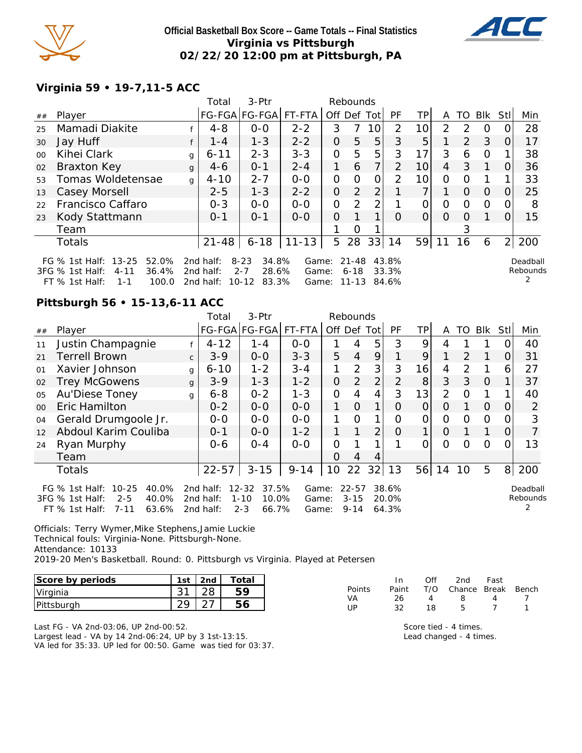

#### **Official Basketball Box Score -- Game Totals -- Final Statistics Virginia vs Pittsburgh 02/22/20 12:00 pm at Pittsburgh, PA**



## **Virginia 59 • 19-7,11-5 ACC**

|        |                                                                                                                  |   | Total                               | 3-Ptr                                                       |                         |             | Rebounds                       |                |                         |                |                |                |          |                |                           |
|--------|------------------------------------------------------------------------------------------------------------------|---|-------------------------------------|-------------------------------------------------------------|-------------------------|-------------|--------------------------------|----------------|-------------------------|----------------|----------------|----------------|----------|----------------|---------------------------|
| ##     | Player                                                                                                           |   | FG-FGA FG-FGA  FT-FTA               |                                                             |                         | Off Def Tot |                                |                | PF                      | ΤP             | A              | TO             | Blk      | Stl            | Min                       |
| 25     | Mamadi Diakite                                                                                                   |   | $4 - 8$                             | $0 - 0$                                                     | $2 - 2$                 | 3           |                                | 10             | $\overline{2}$          | 10             | 2              | $\mathcal{P}$  | $\Omega$ |                | 28                        |
| 30     | Jay Huff                                                                                                         |   | $1 - 4$                             | $1 - 3$                                                     | $2 - 2$                 | 0           | 5                              | 5              | 3                       | 5              |                | $\overline{2}$ | 3        | O              | 17                        |
| $00\,$ | Kihei Clark                                                                                                      | g | $6 - 11$                            | $2 - 3$                                                     | $3 - 3$                 | 0           | 5                              | 5              | 3                       | 17             | 3              | 6              | $\Omega$ |                | 38                        |
| 02     | <b>Braxton Key</b>                                                                                               | g | $4-6$                               | $0 - 1$                                                     | $2 - 4$                 | 1           | 6                              | 7 <sub>1</sub> | $\overline{2}$          | 10             | $\overline{4}$ | 3              |          | O              | 36                        |
| 53     | Tomas Woldetensae                                                                                                | g | $4 - 10$                            | $2 - 7$                                                     | $0 - 0$                 | 0           | $\Omega$                       | 0              | $\mathcal{P}$           | 10             | $\Omega$       | $\Omega$       |          |                | 33                        |
| 13     | Casey Morsell                                                                                                    |   | $2 - 5$                             | $1 - 3$                                                     | $2 - 2$                 | 0           | 2                              | 2              |                         | $\overline{7}$ |                | $\Omega$       | $\Omega$ | 0              | 25                        |
| 22     | Francisco Caffaro                                                                                                |   | $0 - 3$                             | $0 - 0$                                                     | $0 - 0$                 | O           | 2                              | 2 <sub>1</sub> |                         | 0              | 0              | $\Omega$       | $\Omega$ | $\Omega$       | 8                         |
| 23     | Kody Stattmann                                                                                                   |   | $0 - 1$                             | $0 - 1$                                                     | $0 - 0$                 | 0           |                                | $\mathbf 1$ .  | O                       | $\overline{O}$ | $\Omega$       | $\Omega$       |          | $\Omega$       | 15                        |
|        | Team                                                                                                             |   |                                     |                                                             |                         |             | O                              |                |                         |                |                | 3              |          |                |                           |
|        | <b>Totals</b>                                                                                                    |   | $21 - 48$                           | $6 - 18$                                                    | $11 - 13$               | 5           | 28                             | 33             | 14                      | 59             | 11             | 16             | 6        | $\overline{2}$ | 200                       |
|        | FG % 1st Half: 13-25<br>52.0%<br>36.4%<br>$3FG \%$ 1st Half:<br>$4 - 11$<br>$FT$ % 1st Half:<br>100.0<br>$1 - 1$ |   | 2nd half:<br>2nd half:<br>2nd half: | 34.8%<br>$8 - 23$<br>$2 - 7$<br>28.6%<br>83.3%<br>$10 - 12$ | Game:<br>Game:<br>Game: |             | $21 - 48$<br>$6 - 18$<br>11-13 |                | 43.8%<br>33.3%<br>84.6% |                |                |                |          |                | Deadball<br>Rebounds<br>2 |

#### **Pittsburgh 56 • 15-13,6-11 ACC**

|         |                                                                                                                        |              | Total                               | 3-Ptr                                                   | Rebounds                |             |                                   |    |                         |                |          |               |          |            |                      |
|---------|------------------------------------------------------------------------------------------------------------------------|--------------|-------------------------------------|---------------------------------------------------------|-------------------------|-------------|-----------------------------------|----|-------------------------|----------------|----------|---------------|----------|------------|----------------------|
| ##      | Player                                                                                                                 |              |                                     | FG-FGA FG-FGA                                           | FT-FTA                  | Off Def Tot |                                   |    | <b>PF</b>               | TPI            | A        | TO            | Blk      | <b>Stl</b> | Min                  |
| 11      | Justin Champagnie                                                                                                      |              | $4 - 12$                            | $1 - 4$                                                 | $0 - 0$                 |             | 4                                 | 5  | 3                       | 9              | 4        |               |          | ( )        | 40                   |
| 21      | <b>Terrell Brown</b>                                                                                                   | $\mathsf{C}$ | $3 - 9$                             | $0-0$                                                   | $3 - 3$                 | 5           | 4                                 | 9  |                         | 9              |          | $\mathcal{P}$ |          | $\Omega$   | 31                   |
| 01      | Xavier Johnson                                                                                                         | g            | $6 - 10$                            | $1 - 2$                                                 | $3 - 4$                 | 1           | $\overline{2}$                    | 3  | 3                       | 16             | 4        | 2             | 1        | 6          | 27                   |
| 02      | <b>Trey McGowens</b>                                                                                                   | $\mathbf{q}$ | $3 - 9$                             | $1 - 3$                                                 | $1 - 2$                 | 0           | $\overline{2}$                    | 2  | $\overline{2}$          | 8              | 3        | 3             | $\Omega$ |            | 37                   |
| 05      | Au'Diese Toney                                                                                                         | q            | $6 - 8$                             | $0 - 2$                                                 | $1 - 3$                 | $\Omega$    | 4                                 | 4  | 3                       | 13             | 2        | $\Omega$      |          |            | 40                   |
| $00 \,$ | Eric Hamilton                                                                                                          |              | $0 - 2$                             | $0 - 0$                                                 | $0-0$                   | 1           | $\overline{O}$                    | 1  | $\Omega$                | $\overline{O}$ | $\Omega$ |               | $\Omega$ | $\Omega$   | 2                    |
| 04      | Gerald Drumgoole Jr.                                                                                                   |              | $0-0$                               | $0-0$                                                   | $0-0$                   | 1           | $\Omega$                          |    | Ω                       | 0              | 0        | ∩             | $\circ$  |            | 3                    |
| 12      | Abdoul Karim Couliba                                                                                                   |              | $0 - 1$                             | $0 - 0$                                                 | $1 - 2$                 | 1           |                                   | 2  | $\Omega$                | $\mathbf{1}$   | $\Omega$ |               |          | $\Omega$   |                      |
| 24      | Ryan Murphy                                                                                                            |              | $0 - 6$                             | $O - 4$                                                 | $O-O$                   | O           |                                   |    |                         | 0              | $\Omega$ | Ω             | $\Omega$ | 0          | 13                   |
|         | Team                                                                                                                   |              |                                     |                                                         |                         | O           | 4                                 | 4  |                         |                |          |               |          |            |                      |
|         | Totals                                                                                                                 |              | $22 - 57$                           | $3 - 15$                                                | $9 - 14$                | 10          | 22                                | 32 | 13                      | 56             | 14       | 10            | 5        | 8          | 200                  |
|         | FG $%$ 1st Half:<br>$10 - 25$<br>40.0%<br>$2 - 5$<br>3FG % 1st Half:<br>40.0%<br>63.6%<br>$7 - 11$<br>$FT$ % 1st Half: |              | 2nd half:<br>2nd half:<br>2nd half: | 37.5%<br>12-32<br>$1 - 10$<br>10.0%<br>$2 - 3$<br>66.7% | Game:<br>Game:<br>Game: |             | $22 - 57$<br>$3 - 15$<br>$9 - 14$ |    | 38.6%<br>20.0%<br>64.3% |                |          |               |          |            | Deadball<br>Rebounds |

Officials: Terry Wymer,Mike Stephens,Jamie Luckie Technical fouls: Virginia-None. Pittsburgh-None. Attendance: 10133 2019-20 Men's Basketball. Round: 0. Pittsburgh vs Virginia. Played at Petersen

| Score by periods | 1st | 2nd | Total |
|------------------|-----|-----|-------|
| Virginia         |     |     |       |
| Pittsburgh       |     |     |       |

Last FG - VA 2nd-03:06, UP 2nd-00:52. Largest lead - VA by 14 2nd-06:24, UP by 3 1st-13:15. VA led for 35:33. UP led for 00:50. Game was tied for 03:37.

|               | In.   | Off               | 2nd                    | Fast |  |
|---------------|-------|-------------------|------------------------|------|--|
| <b>Points</b> | Paint |                   | T/O Chance Break Bench |      |  |
| VA            | 26.   | $\mathbf{\Delta}$ | 8.                     |      |  |
| l IP          | 32    | 18                | h                      |      |  |
|               |       |                   |                        |      |  |

Score tied - 4 times. Lead changed - 4 times.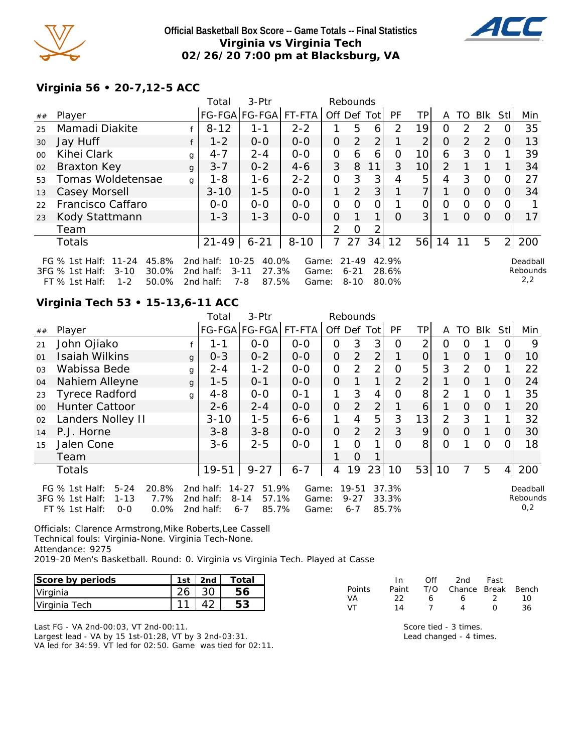

**Official Basketball Box Score -- Game Totals -- Final Statistics Virginia vs Virginia Tech 02/26/20 7:00 pm at Blacksburg, VA**



# **Virginia 56 • 20-7,12-5 ACC**

|         |                                                                                                                            |   | Total                               | 3-Ptr                                                       |                         |                | Rebounds                          |             |                         |                |                |                |          |                |                             |
|---------|----------------------------------------------------------------------------------------------------------------------------|---|-------------------------------------|-------------------------------------------------------------|-------------------------|----------------|-----------------------------------|-------------|-------------------------|----------------|----------------|----------------|----------|----------------|-----------------------------|
| ##      | Player                                                                                                                     |   |                                     | FG-FGA FG-FGA                                               | FT-FTA                  |                |                                   | Off Def Tot | <b>PF</b>               | ΤP             | A              | TO             | Blk      | Stl            | Min                         |
| 25      | Mamadi Diakite                                                                                                             |   | $8 - 12$                            | $1 - 1$                                                     | $2 - 2$                 |                | 5                                 | 6           | 2                       | 19             | 0              | $\mathcal{D}$  | 2        |                | 35                          |
| 30      | Jay Huff                                                                                                                   |   | $1 - 2$                             | $0-0$                                                       | $0-0$                   | $\overline{O}$ | 2                                 | 2           |                         | 2              | O              | $\overline{2}$ | 2        | O              | 13                          |
| $00 \,$ | Kihei Clark                                                                                                                | g | $4 - 7$                             | $2 - 4$                                                     | $0 - 0$                 | 0              | 6                                 | 6           | Ω                       | 10             | 6              | 3              | $\Omega$ |                | 39                          |
| 02      | Braxton Key                                                                                                                | g | $3 - 7$                             | $0 - 2$                                                     | $4 - 6$                 | 3              | 8                                 | 11          | 3                       | 10             | 2              |                |          |                | 34                          |
| 53      | Tomas Woldetensae                                                                                                          | g | $1 - 8$                             | 1-6                                                         | $2 - 2$                 | 0              | 3                                 | 3           | 4                       | 5              | $\overline{4}$ | 3              | $\Omega$ | $\Omega$       | 27                          |
| 13      | Casey Morsell                                                                                                              |   | $3 - 10$                            | $1 - 5$                                                     | $0 - 0$                 | 1              | 2                                 | 3           |                         | $\overline{7}$ |                | $\Omega$       | $\Omega$ | $\Omega$       | 34                          |
| 22      | Francisco Caffaro                                                                                                          |   | $0 - 0$                             | $0 - 0$                                                     | $0 - 0$                 | 0              | $\Omega$                          | 0           |                         | 0              | 0              | $\Omega$       | $\Omega$ | O              |                             |
| 23      | Kody Stattmann                                                                                                             |   | $1 - 3$                             | $1 - 3$                                                     | $0-0$                   | 0              | 1                                 | 1           | O                       | 3 <sup>1</sup> |                | $\Omega$       | $\Omega$ | O              | 17                          |
|         | Team                                                                                                                       |   |                                     |                                                             |                         | 2              | O                                 | っ           |                         |                |                |                |          |                |                             |
|         | Totals                                                                                                                     |   | $21 - 49$                           | $6 - 21$                                                    | $8 - 10$                | $\overline{7}$ | 27                                | 34          | 12                      | 56             | 14             | 11             | 5        | $\overline{2}$ | 200                         |
|         | $11 - 24$<br>45.8%<br>FG $\%$ 1st Half:<br>30.0%<br>$3FG$ % 1st Half:<br>$3 - 10$<br>$1 - 2$<br>50.0%<br>$FT \%$ 1st Half: |   | 2nd half:<br>2nd half:<br>2nd half: | 40.0%<br>$10 - 25$<br>27.3%<br>$3 - 11$<br>$7 - 8$<br>87.5% | Game:<br>Game:<br>Game: |                | $21 - 49$<br>$6 - 21$<br>$8 - 10$ |             | 42.9%<br>28.6%<br>80.0% |                |                |                |          |                | Deadball<br>Rebounds<br>2,2 |

# **Virginia Tech 53 • 15-13,6-11 ACC**

|                |                                                                                                                   |              | Total                               | $3-Ptr$                                                 |                         |                | Rebounds                         |                |                         |                |                |          |                |                |                             |
|----------------|-------------------------------------------------------------------------------------------------------------------|--------------|-------------------------------------|---------------------------------------------------------|-------------------------|----------------|----------------------------------|----------------|-------------------------|----------------|----------------|----------|----------------|----------------|-----------------------------|
| ##             | Player                                                                                                            |              |                                     | FG-FGA FG-FGA                                           | FT-FTA                  | Off Def        |                                  | Tot            | <b>PF</b>               | TP             | A              | TO       | <b>BIK</b>     | <b>Stl</b>     | Min                         |
| 21             | John Ojiako                                                                                                       |              | 1-1                                 | $0 - 0$                                                 | $0 - 0$                 | 0              | 3                                | 3              | O                       | 2              | 0              | O        |                | O              | 9                           |
| 01             | <b>Isaiah Wilkins</b>                                                                                             | g            | $0 - 3$                             | $0 - 2$                                                 | $0 - 0$                 | $\overline{O}$ | $\overline{2}$                   | 2              |                         | $\Omega$       |                | $\Omega$ |                | O              | 10                          |
| 03             | Wabissa Bede                                                                                                      | g            | $2 - 4$                             | $1 - 2$                                                 | $0-0$                   | $\overline{O}$ | 2                                | $\overline{2}$ | O                       | 5              | 3              | 2        | $\Omega$       |                | 22                          |
| 04             | Nahiem Alleyne                                                                                                    | g            | $1 - 5$                             | $O - 1$                                                 | $0-0$                   | $\overline{O}$ |                                  |                | 2                       | 2              |                | $\Omega$ | 1              | O              | 24                          |
| 23             | <b>Tyrece Radford</b>                                                                                             | $\mathbf{q}$ | $4 - 8$                             | $O-O$                                                   | $0 - 1$                 | 1              | 3                                | 4              | Ο                       | 8 <sup>1</sup> | 2              |          | $\Omega$       |                | 35                          |
| 0 <sup>0</sup> | <b>Hunter Cattoor</b>                                                                                             |              | $2 - 6$                             | $2 - 4$                                                 | $0 - 0$                 | 0              | $\overline{2}$                   | 2              |                         | $\overline{6}$ | 1              | $\Omega$ | $\overline{O}$ |                | 20                          |
| 02             | Landers Nolley II                                                                                                 |              | $3 - 10$                            | $1 - 5$                                                 | $6 - 6$                 | 1              | 4                                | 5              | 3                       | 13             | $\overline{2}$ | 3        |                |                | 32                          |
| 14             | P.J. Horne                                                                                                        |              | $3 - 8$                             | $3 - 8$                                                 | $0-0$                   | $\overline{O}$ | $\overline{2}$                   | 2              | 3                       | 9              | $\Omega$       | $\Omega$ | 1              | $\Omega$       | 30                          |
| 15             | Jalen Cone                                                                                                        |              | $3 - 6$                             | $2 - 5$                                                 | $0-0$                   | 1              | $\Omega$                         | 1              | $\Omega$                | 8              | 0              |          | $\circ$        | 0              | 18                          |
|                | Team                                                                                                              |              |                                     |                                                         |                         |                | $\Omega$                         |                |                         |                |                |          |                |                |                             |
|                | <b>Totals</b>                                                                                                     |              | 19-51                               | $9 - 27$                                                | $6 - 7$                 | 4              | 19                               | 23             | 10                      | 53             | 10             |          | 5              | $\overline{4}$ | 200                         |
|                | 20.8%<br>FG $%$ 1st Half:<br>$5 - 24$<br>3FG % 1st Half:<br>$1 - 13$<br>7.7%<br>0.0%<br>FT % 1st Half:<br>$0 - 0$ |              | 2nd half:<br>2nd half:<br>2nd half: | 51.9%<br>14-27<br>$8 - 14$<br>57.1%<br>85.7%<br>$6 - 7$ | Game:<br>Game:<br>Game: |                | $19 - 51$<br>$9 - 27$<br>$6 - 7$ |                | 37.3%<br>33.3%<br>85.7% |                |                |          |                |                | Deadball<br>Rebounds<br>0,2 |

Officials: Clarence Armstrong,Mike Roberts,Lee Cassell Technical fouls: Virginia-None. Virginia Tech-None. Attendance: 9275 2019-20 Men's Basketball. Round: 0. Virginia vs Virginia Tech. Played at Casse

| Score by periods | 1st | 2nd | Total |
|------------------|-----|-----|-------|
| Virginia         |     |     |       |
| Virginia Tech    |     |     |       |

Last FG - VA 2nd-00:03, VT 2nd-00:11. Largest lead - VA by 15 1st-01:28, VT by 3 2nd-03:31. VA led for 34:59. VT led for 02:50. Game was tied for 02:11.

|        | In In | Off | 2nd                          | Fast             |     |
|--------|-------|-----|------------------------------|------------------|-----|
| Points |       |     | Paint T/O Chance Break Bench |                  |     |
| VA     | 22.   | 6   | 6                            | $\mathcal{L}$    | 1 O |
| ۱/T    | 14    |     | $\mathcal{A}$                | $\left( \right)$ | 36. |
|        |       |     |                              |                  |     |

Score tied - 3 times. Lead changed - 4 times.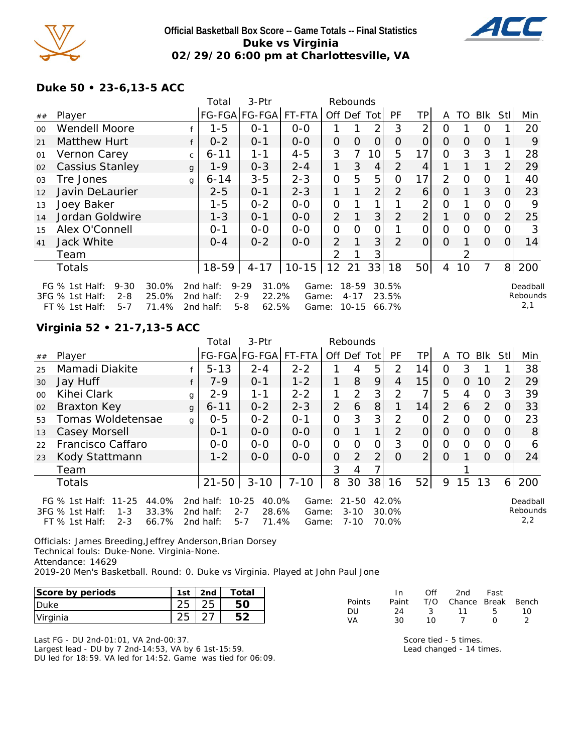

#### **Official Basketball Box Score -- Game Totals -- Final Statistics Duke vs Virginia 02/29/20 6:00 pm at Charlottesville, VA**



#### **Duke 50 • 23-6,13-5 ACC**

|         |                                                                                         |                         | Total                               | 3-Ptr                                                     |                         | Rebounds       |                                    |                |                         |                 |          |          |                |                |                             |
|---------|-----------------------------------------------------------------------------------------|-------------------------|-------------------------------------|-----------------------------------------------------------|-------------------------|----------------|------------------------------------|----------------|-------------------------|-----------------|----------|----------|----------------|----------------|-----------------------------|
| ##      | Player                                                                                  |                         |                                     | FG-FGA FG-FGA                                             | FT-FTA                  | Off Def        |                                    | Totl           | PF                      | ΤP              | A        | TO       | Blk            | Stll           | Min                         |
| $00 \,$ | <b>Wendell Moore</b>                                                                    |                         | $1 - 5$                             | $O - 1$                                                   | $0 - 0$                 |                |                                    | 2              | 3                       | 2               | 0        |          | O              |                | 20                          |
| 21      | Matthew Hurt                                                                            | f                       | $0 - 2$                             | $0 - 1$                                                   | $0 - 0$                 | $\overline{O}$ | $\Omega$                           | $\Omega$       | O                       | $\overline{O}$  | $\Omega$ | $\Omega$ | $\Omega$       |                | 9                           |
| 01      | Vernon Carey                                                                            | $\mathsf{C}$            | $6 - 11$                            | 1-1                                                       | $4 - 5$                 | 3              | 7                                  | 10             | 5                       | 17              | 0        | 3        | 3              |                | 28                          |
| 02      | <b>Cassius Stanley</b>                                                                  | $\mathbf{q}$            | $1 - 9$                             | $0 - 3$                                                   | $2 - 4$                 | 1              | 3                                  | 4              | 2                       | $\overline{4}$  |          |          |                | 2              | 29                          |
| 03      | Tre Jones                                                                               | $\mathbf{q}$            | $6 - 14$                            | $3 - 5$                                                   | $2 - 3$                 | $\Omega$       | 5                                  | 5              | O                       | 17              | 2        | $\circ$  | $\Omega$       |                | 40                          |
| 12      | Javin DeLaurier                                                                         |                         | $2 - 5$                             | $0 - 1$                                                   | $2 - 3$                 | $\mathbf{1}$   |                                    | $\overline{2}$ | 2                       | 6               | 0        |          | 3              | O              | 23                          |
| 13      | Joey Baker                                                                              |                         | $1 - 5$                             | $0 - 2$                                                   | $0 - 0$                 | 0              |                                    |                |                         | 2               | 0        |          | $\Omega$       |                | 9                           |
| 14      | Jordan Goldwire                                                                         |                         | $1 - 3$                             | $O - 1$                                                   | $0 - 0$                 | $\overline{2}$ |                                    | 3              | $\overline{2}$          | $\overline{2}$  |          | $\Omega$ | $\overline{O}$ |                | 25                          |
| 15      | Alex O'Connell                                                                          |                         | $0 - 1$                             | $0-0$                                                     | $0-0$                   | $\overline{O}$ | O                                  | 0              |                         | 0               | $\Omega$ | $\Omega$ | $\overline{O}$ |                | 3                           |
| 41      | Jack White                                                                              |                         | $O - 4$                             | $0 - 2$                                                   | $0 - 0$                 | $\overline{2}$ |                                    | 3              | 2                       | $\overline{O}$  | $\Omega$ |          | $\Omega$       | $\Omega$       | 14                          |
|         | Team                                                                                    |                         |                                     |                                                           |                         | $\overline{2}$ |                                    | 3              |                         |                 |          |          |                |                |                             |
|         | <b>Totals</b>                                                                           |                         | 18-59                               | $4 - 17$                                                  | $10 - 15$               | 12             | 21                                 | 33             | 18                      | 50 <sup>1</sup> | 4        | 10       | 7              | 8 <sup>1</sup> | 200                         |
|         | FG % 1st Half:<br>$9 - 30$<br>3FG % 1st Half:<br>$2 - 8$<br>$FT$ % 1st Half:<br>$5 - 7$ | 30.0%<br>25.0%<br>71.4% | 2nd half:<br>2nd half:<br>2nd half: | $9 - 29$<br>31.0%<br>$2 - 9$<br>22.2%<br>$5 - 8$<br>62.5% | Game:<br>Game:<br>Game: |                | $18 - 59$<br>$4 - 17$<br>$10 - 15$ |                | 30.5%<br>23.5%<br>66.7% |                 |          |          |                |                | Deadball<br>Rebounds<br>2,1 |

# **Virginia 52 • 21-7,13-5 ACC**

|         |                                                                                                            |              | Total                               | 3-Ptr                                                  | Rebounds                |                |                                   |                |                         |                |                |          |                |      |                             |
|---------|------------------------------------------------------------------------------------------------------------|--------------|-------------------------------------|--------------------------------------------------------|-------------------------|----------------|-----------------------------------|----------------|-------------------------|----------------|----------------|----------|----------------|------|-----------------------------|
| ##      | Player                                                                                                     |              |                                     | FG-FGA FG-FGA                                          | FT-FTA                  |                |                                   | Off Def Tot    | PF                      | ΤP             | A              | TO.      | Blk            | Stll | Min                         |
| 25      | Mamadi Diakite                                                                                             |              | $5 - 13$                            | $2 - 4$                                                | $2 - 2$                 |                | 4                                 | 5              | 2                       | 14             | 0              | 3        |                |      | 38                          |
| 30      | Jay Huff                                                                                                   |              | $7 - 9$                             | $0 - 1$                                                | $1 - 2$                 | 1              | 8                                 | 9              | 4                       | 15             | 0              | 0        | 10             |      | 29                          |
| $00 \,$ | Kihei Clark                                                                                                | g            | $2 - 9$                             | 1-1                                                    | $2 - 2$                 | 1              | $\overline{2}$                    | 3              | $\mathcal{P}$           | 7              | 5              | 4        | $\Omega$       | 3    | 39                          |
| 02      | Braxton Key                                                                                                | $\mathbf{q}$ | $6 - 11$                            | $0 - 2$                                                | $2 - 3$                 | 2              | 6                                 | 8              |                         | 14             | $\overline{2}$ | 6        | 2              |      | 33                          |
| 53      | Tomas Woldetensae                                                                                          | $\mathbf{q}$ | $0 - 5$                             | $0 - 2$                                                | $O - 1$                 | O              | 3                                 | 3              | $\mathcal{P}$           | 0              | 2              | $\Omega$ | $\Omega$       |      | 23                          |
| 13      | Casey Morsell                                                                                              |              | $0 - 1$                             | $0-0$                                                  | $0-0$                   | $\overline{O}$ |                                   | 1 <sub>1</sub> | $\mathcal{D}$           | 0              | 0              | $\Omega$ | $\overline{O}$ |      | 8                           |
| 22      | Francisco Caffaro                                                                                          |              | $0 - 0$                             | $0 - 0$                                                | $0 - 0$                 | $\Omega$       | $\Omega$                          | $\Omega$       | 3                       | 0              | $\Omega$       | $\Omega$ | $\Omega$       |      | 6                           |
| 23      | Kody Stattmann                                                                                             |              | $1 - 2$                             | $0 - 0$                                                | $0 - 0$                 | O              | 2                                 | 2              | 0                       | 2 <sub>1</sub> | $\Omega$       |          | $\Omega$       |      | 24                          |
|         | Team                                                                                                       |              |                                     |                                                        |                         | 3              | 4                                 |                |                         |                |                |          |                |      |                             |
|         | Totals                                                                                                     |              | $21 - 50$                           | $3 - 10$                                               | $7 - 10$                | 8              | 30                                | 38             | 16                      | 52             | 9              | 15       | 13             | 6    | 200                         |
|         | FG % 1st Half: 11-25<br>44.0%<br>33.3%<br>3FG % 1st Half:<br>$1 - 3$<br>66.7%<br>FT % 1st Half:<br>$2 - 3$ |              | 2nd half:<br>2nd half:<br>2nd half: | 40.0%<br>10-25<br>28.6%<br>$2 - 7$<br>71.4%<br>$5 - 7$ | Game:<br>Game:<br>Game: |                | $21 - 50$<br>$3 - 10$<br>$7 - 10$ |                | 42.0%<br>30.0%<br>70.0% |                |                |          |                |      | Deadball<br>Rebounds<br>2,2 |

Officials: James Breeding,Jeffrey Anderson,Brian Dorsey Technical fouls: Duke-None. Virginia-None. Attendance: 14629 2019-20 Men's Basketball. Round: 0. Duke vs Virginia. Played at John Paul Jone

| Score by periods | 1 <sub>ct</sub> | 2nd | Total |
|------------------|-----------------|-----|-------|
| 'Duke            |                 |     |       |
| Virginia         |                 |     |       |

Last FG - DU 2nd-01:01, VA 2nd-00:37. Largest lead - DU by 7 2nd-14:53, VA by 6 1st-15:59. DU led for 18:59. VA led for 14:52. Game was tied for 06:09.

|               | - In  | Off  | 2nd                    | Fast             |    |
|---------------|-------|------|------------------------|------------------|----|
| <b>Points</b> | Paint |      | T/O Chance Break Bench |                  |    |
| DU            | 24    | $-3$ | - 11 - 5               |                  | 10 |
| VA            | ∩?    | 1 N  |                        | $\left( \right)$ |    |

Score tied - 5 times. Lead changed - 14 times.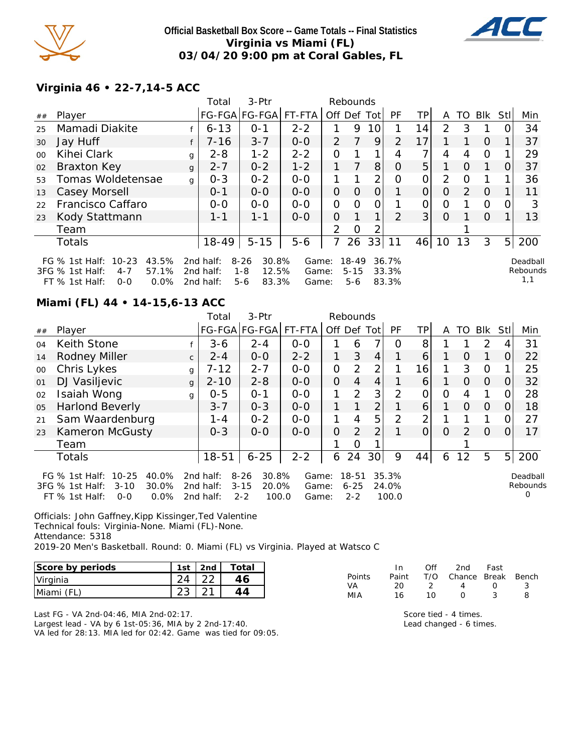

**Official Basketball Box Score -- Game Totals -- Final Statistics Virginia vs Miami (FL) 03/04/20 9:00 pm at Coral Gables, FL**



#### **Virginia 46 • 22-7,14-5 ACC**

|         |                                                                                                                         |              | Total                                  | 3-Ptr                                                     |                         |                | Rebounds                 |             |                         |                |                |               |          |      |                             |
|---------|-------------------------------------------------------------------------------------------------------------------------|--------------|----------------------------------------|-----------------------------------------------------------|-------------------------|----------------|--------------------------|-------------|-------------------------|----------------|----------------|---------------|----------|------|-----------------------------|
| ##      | Player                                                                                                                  |              |                                        | FG-FGA FG-FGA FT-FTA                                      |                         |                |                          | Off Def Tot | PF                      | ΤP             | A              | TO            | Blk      | Stll | Min                         |
| 25      | Mamadi Diakite                                                                                                          |              | $6 - 13$                               | $0 - 1$                                                   | $2 - 2$                 |                | 9                        | 10          |                         | 14             | 2              | 3             |          |      | 34                          |
| 30      | Jay Huff                                                                                                                |              | 7-16                                   | $3 - 7$                                                   | $0 - 0$                 | 2              | 7                        | 9           | $\overline{2}$          | 17             |                |               | $\Omega$ |      | 37                          |
| $00 \,$ | Kihei Clark                                                                                                             | g            | $2 - 8$                                | $1 - 2$                                                   | $2 - 2$                 | 0              |                          | 1           | 4                       |                | 4              | 4             | $\Omega$ |      | 29                          |
| 02      | Braxton Key                                                                                                             | $\mathbf{q}$ | $2 - 7$                                | $0 - 2$                                                   | $1 - 2$                 |                |                          | 8           | O                       | 5              |                | $\Omega$      |          | 0    | 37                          |
| 53      | Tomas Woldetensae                                                                                                       | g            | $0 - 3$                                | $0 - 2$                                                   | $0-0$                   | 1              |                          | 2           | Ω                       | O              | 2              | $\Omega$      |          |      | 36                          |
| 13      | Casey Morsell                                                                                                           |              | $0 - 1$                                | $0-0$                                                     | $0 - 0$                 | $\overline{O}$ | $\circ$                  | $\Omega$    |                         | $\overline{O}$ | $\overline{O}$ | $\mathcal{P}$ | $\Omega$ |      | 11                          |
| 22      | Francisco Caffaro                                                                                                       |              | $0 - 0$                                | $0 - 0$                                                   | $0 - 0$                 | 0              | $\Omega$                 | 0           |                         | 0              | O              |               | $\Omega$ | O    | 3                           |
| 23      | Kody Stattmann                                                                                                          |              | $1 - 1$                                | $1 - 1$                                                   | $0 - 0$                 | 0              | 1                        | 1           | $\mathcal{P}$           | 3 <sup>1</sup> | $\Omega$       |               | $\Omega$ |      | 13                          |
|         | Team                                                                                                                    |              |                                        |                                                           |                         | $\mathcal{P}$  | O                        |             |                         |                |                |               |          |      |                             |
|         | Totals                                                                                                                  |              | 18-49                                  | $5 - 15$                                                  | $5 - 6$                 |                | 26                       | 33          | 11                      | 46             | 10             | 13            | 3        | 5    | 200                         |
|         | FG $%$ 1st Half:<br>$10 - 23$<br>43.5%<br>57.1%<br>$3FG$ % 1st Half:<br>$4 - 7$<br>$FT$ % 1st Half:<br>$0.0\%$<br>$O-O$ |              | 2nd half:<br>2 $nd$ half:<br>2nd half: | 30.8%<br>$8 - 26$<br>$1 - 8$<br>12.5%<br>83.3%<br>$5 - 6$ | Game:<br>Game:<br>Game: |                | 18-49<br>$5 - 15$<br>5-6 |             | 36.7%<br>33.3%<br>83.3% |                |                |               |          |      | Deadball<br>Rebounds<br>1,1 |

#### **Miami (FL) 44 • 14-15,6-13 ACC**

|    |                                                                                                                     |              | Total                               | 3-Ptr                                                      |                         |                | Rebounds                         |                 |                         |                |          |               |               |                |                           |
|----|---------------------------------------------------------------------------------------------------------------------|--------------|-------------------------------------|------------------------------------------------------------|-------------------------|----------------|----------------------------------|-----------------|-------------------------|----------------|----------|---------------|---------------|----------------|---------------------------|
| ## | Player                                                                                                              |              |                                     | FG-FGA FG-FGA                                              | FT-FTA                  | Off Def Tot    |                                  |                 | PF                      | ΤP             | A        | TO            | <b>BIK</b>    | Stll           | Min                       |
| 04 | Keith Stone                                                                                                         |              | $3 - 6$                             | $2 - 4$                                                    | $0 - 0$                 |                | 6                                | 7               | O                       | 8              |          |               | $\mathcal{P}$ |                | 31                        |
| 14 | Rodney Miller                                                                                                       | $\mathsf{C}$ | $2 - 4$                             | $0-0$                                                      | $2 - 2$                 |                | 3                                | $\overline{4}$  |                         | 6              |          | $\Omega$      | 1             | O              | 22                        |
| 00 | Chris Lykes                                                                                                         | g            | $7 - 12$                            | $2 - 7$                                                    | $0 - 0$                 | $\overline{O}$ | 2                                | $\overline{2}$  |                         | 16             | 1        | 3             | $\Omega$      |                | 25                        |
| 01 | DJ Vasiljevic                                                                                                       | g            | $2 - 10$                            | $2 - 8$                                                    | $O - O$                 | $\Omega$       | 4                                | 4               |                         | 6              |          | $\Omega$      | $\Omega$      | Ω              | 32                        |
| 02 | Isaiah Wong                                                                                                         | g            | $0 - 5$                             | $O - 1$                                                    | $0 - 0$                 |                | 2                                | 3               | 2                       | 0              | O        | 4             |               |                | 28                        |
| 05 | <b>Harlond Beverly</b>                                                                                              |              | $3 - 7$                             | $0 - 3$                                                    | $0 - 0$                 | 1              | 1                                | $\overline{2}$  | 1                       | 6 <sup>1</sup> | 1        | $\Omega$      | $\Omega$      | Ω              | 18                        |
| 21 | Sam Waardenburg                                                                                                     |              | 1 - 4                               | $0 - 2$                                                    | $0 - 0$                 |                | $\overline{4}$                   | 5               | 2                       | $\overline{2}$ |          |               |               |                | 27                        |
| 23 | Kameron McGusty                                                                                                     |              | $0 - 3$                             | $0 - 0$                                                    | $0 - 0$                 | $\overline{O}$ | 2                                | 2               |                         | 01             | $\Omega$ | $\mathcal{P}$ | $\Omega$      | Ω              | 17                        |
|    | Team                                                                                                                |              |                                     |                                                            |                         |                | O                                |                 |                         |                |          |               |               |                |                           |
|    | <b>Totals</b>                                                                                                       |              | $18 - 51$                           | $6 - 25$                                                   | $2 - 2$                 | 6              | 24                               | 30 <sup>1</sup> | 9                       | 44             | 6        | 12            | 5             | 5 <sub>l</sub> | 200                       |
|    | $10 - 25$<br>40.0%<br>FG $%$ 1st Half:<br>30.0%<br>$3 - 10$<br>3FG % 1st Half:<br>0.0%<br>$FT$ % 1st Half:<br>$O-O$ |              | 2nd half:<br>2nd half:<br>2nd half: | 30.8%<br>$8 - 26$<br>$3 - 15$<br>20.0%<br>$2 - 2$<br>100.0 | Game:<br>Game:<br>Game: |                | $18 - 51$<br>$6 - 25$<br>$2 - 2$ |                 | 35.3%<br>24.0%<br>100.0 |                |          |               |               |                | Deadball<br>Rebounds<br>O |

Officials: John Gaffney,Kipp Kissinger,Ted Valentine Technical fouls: Virginia-None. Miami (FL)-None. Attendance: 5318 2019-20 Men's Basketball. Round: 0. Miami (FL) vs Virginia. Played at Watsco C

| Score by periods | 1st | 2 <sub>nd</sub> | Total |
|------------------|-----|-----------------|-------|
| Virginia         |     |                 |       |
| Miami (FL)       |     |                 |       |

|               | In.   | ∩ff | 2nd                    | Fast             |  |
|---------------|-------|-----|------------------------|------------------|--|
| <b>Points</b> | Paint |     | T/O Chance Break Bench |                  |  |
| VA.           | 20    | - 2 | Δ                      | $\left( \right)$ |  |
| MIA           | 16    | 10  | $\left( \right)$       |                  |  |

Last FG - VA 2nd-04:46, MIA 2nd-02:17. Largest lead - VA by 6 1st-05:36, MIA by 2 2nd-17:40. VA led for 28:13. MIA led for 02:42. Game was tied for 09:05.

Score tied - 4 times. Lead changed - 6 times.